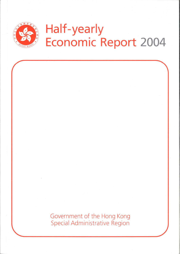

# Half-yearly Economic Report 2004

Government of the Hong Kong Special Administrative Region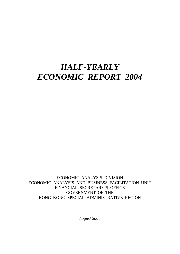# *HALF-YEARLY ECONOMIC REPORT 2004*

ECONOMIC ANALYSIS DIVISION ECONOMIC ANALYSIS AND BUSINESS FACILITATION UNIT FINANCIAL SECRETARY'S OFFICE GOVERNMENT OF THE HONG KONG SPECIAL ADMINISTRATIVE REGION

*August 2004*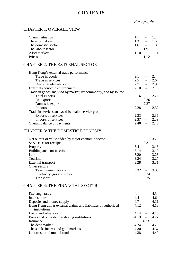# **CONTENTS**

Overall situation 1.1 - 1.2

# *Paragraphs*

# CHAPTER 1: OVERALL VIEW

| The external sector<br>The domestic sector<br>The labour sector<br>Asset markets<br>Prices                                                                                                                                                                                                                                  | 1.3<br>$1.6 -$<br>1.10                             | $\overline{\phantom{a}}$<br>1.9<br>$\sim$ $-$<br>1.12                                                                   | 1.5<br>1.8<br>1.11                                 |
|-----------------------------------------------------------------------------------------------------------------------------------------------------------------------------------------------------------------------------------------------------------------------------------------------------------------------------|----------------------------------------------------|-------------------------------------------------------------------------------------------------------------------------|----------------------------------------------------|
| <b>CHAPTER 2: THE EXTERNAL SECTOR</b>                                                                                                                                                                                                                                                                                       |                                                    |                                                                                                                         |                                                    |
| Hong Kong's external trade performance<br>Trade in goods<br>Trade in services<br>Overall trade balance<br>External economic environment                                                                                                                                                                                     | 2.1<br>2.5                                         | $\omega_{\rm{max}}$<br>$\omega_{\rm{max}}$<br>$2.7 -$<br>$2.10 -$                                                       | 2.4<br>2.6<br>2.9<br>2.15                          |
| Trade in goods analysed by market, by commodity, and by source<br>Total exports<br>Re-exports<br>Domestic exports                                                                                                                                                                                                           | 2.16                                               | $\sim$<br>2.26<br>2.27                                                                                                  | 2.25                                               |
| Imports<br>Trade in services analysed by major service group                                                                                                                                                                                                                                                                | 2.28                                               | $\equiv$                                                                                                                | 2.32                                               |
| Exports of services<br>Imports of services<br>Overall balance of payments                                                                                                                                                                                                                                                   | $2.33 -$                                           | $2.37 - 2.39$<br>$2.40 -$                                                                                               | 2.36<br>2.43                                       |
| <b>CHAPTER 3: THE DOMESTIC ECONOMY</b>                                                                                                                                                                                                                                                                                      |                                                    |                                                                                                                         |                                                    |
| Net output or value added by major economic sector<br>Service sector receipts<br>Property<br>Building and construction<br>Land<br>Tourism<br>External transport<br>Other sectors                                                                                                                                            | 3.1<br>$3.4 -$<br>$3.20 -$<br>$3.24 -$<br>$3.28 -$ | $\sim 10^{-11}$<br>3.3<br>$3.14 -$                                                                                      | 3.2<br>3.13<br>3.19<br>3.23<br>3.27<br>3.31        |
| Telecommunications<br>Electricity, gas and water<br><b>Transport</b>                                                                                                                                                                                                                                                        | 3.32                                               | $\sim$ $-$<br>3.34<br>3.35                                                                                              | 3.33                                               |
| <b>CHAPTER 4: THE FINANCIAL SECTOR</b>                                                                                                                                                                                                                                                                                      |                                                    |                                                                                                                         |                                                    |
| Exchange rates<br>Interest rates<br>Deposits and money supply<br>Hong Kong dollar external claims and liabilities of authorized<br>institutions<br>Loans and advances<br>Banks and other deposit-taking institutions<br>Insurance<br>The debt market<br>The stock, futures and gold markets<br>Unit trusts and mutual funds |                                                    | $4.1 -$<br>$4.4 -$<br>$4.7 -$<br>$4.12 -$<br>$4.14 - 4.18$<br>$4.19 -$<br>4.23<br>$4.24 -$<br>$4.30 - 4.37$<br>$4.38 -$ | 4.3<br>4.6<br>4.11<br>4.13<br>4.22<br>4.29<br>4.40 |
|                                                                                                                                                                                                                                                                                                                             |                                                    |                                                                                                                         |                                                    |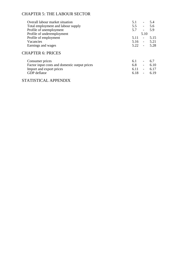# CHAPTER 5: THE LABOUR SECTOR

| Overall labour market situation               | 5.1      | $\overline{\phantom{a}}$ | 5.4  |
|-----------------------------------------------|----------|--------------------------|------|
| Total employment and labour supply            | 5.5      | $\blacksquare$           | 5.6  |
| Profile of unemployment                       | 5.7      | $\overline{a}$           | 5.9  |
| Profile of underemployment                    |          | 5.10                     |      |
| Profile of employment                         | 5.11     | $\overline{\phantom{a}}$ | 5.15 |
| Vacancies                                     | 5.16     | $\equiv$                 | 5.21 |
| Earnings and wages                            | $5.22 -$ |                          | 5.28 |
| <b>CHAPTER 6: PRICES</b>                      |          |                          |      |
| Consumer prices                               | 6.1      | $\overline{\phantom{a}}$ | 6.7  |
| Factor input costs and domestic output prices | 6.8      | $\overline{a}$           | 6.10 |
| Import and export prices                      | 6.11     | $\overline{\phantom{a}}$ | 6.17 |
| GDP deflator                                  | 6.18     | $\overline{a}$           | 6.19 |

### STATISTICAL APPENDIX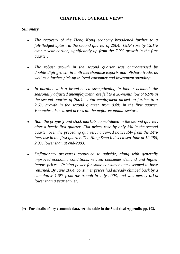#### **CHAPTER 1 : OVERALL VIEW\***

#### *Summary*

- The recovery of the Hong Kong economy broadened further to a *full-fledged upturn in the second quarter of 2004. GDP rose by 12.1% over a year earlier, significantly up from the 7.0% growth in the first quarter.*
- *The robust growth in the second quarter was characterised by double-digit growth in both merchandise exports and offshore trade, as well as a further pick-up in local consumer and investment spending.*
- In parallel with a broad-based strengthening in labour demand, the *seasonally adjusted unemployment rate fell to a 28-month low of 6.9% in the second quarter of 2004. Total employment picked up further to a 2.6% growth in the second quarter, from 0.8% in the first quarter. Vacancies also surged across all the major economic sectors.*
- Both the property and stock markets consolidated in the second quarter, *after a hectic first quarter. Flat prices rose by only 3% in the second quarter over the preceding quarter, narrowed noticeably from the 14% increase in the first quarter. The Hang Seng Index closed June at 12 286, 2.3% lower than at end-2003.*
- Deflationary pressures continued to subside, along with generally *improved economic conditions, revived consumer demand and higher import prices. Pricing power for some consumer items seemed to have returned. By June 2004, consumer prices had already climbed back by a cumulative 1.0% from the trough in July 2003, and was merely 0.1% lower than a year earlier.*
- **(\*) For details of key economic data, see the table in the Statistical Appendix pp. 103.**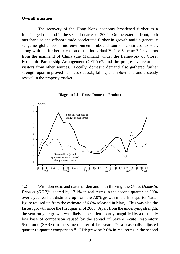#### **Overall situation**

1.1 The recovery of the Hong Kong economy broadened further to a full-fledged rebound in the second quarter of 2004. On the external front, both merchandise and offshore trade accelerated further in growth amid a generally sanguine global economic environment. Inbound tourism continued to soar, along with the further extension of the Individual Visitor Scheme<sup> $(1)$ </sup> for visitors from the mainland of China (the Mainland) under the framework of Closer Economic Partnership Arrangement  $(CEPA)^{(2)}$ , and the progressive return of visitors from other sources. Locally, domestic demand also gathered further strength upon improved business outlook, falling unemployment, and a steady revival in the property market.



**Diagram 1.1 : Gross Domestic Product**

1.2 With domestic and external demand both thriving, the *Gross Domestic Product (GDP)*<sup>(3)</sup> soared by 12.1% in real terms in the second quarter of 2004 over a year earlier, distinctly up from the 7.0% growth in the first quarter (latter figure revised up from the estimate of 6.8% released in May). This was also the fastest growth since the first quarter of 2000. Apart from the underlying strength, the year-on-year growth was likely to be at least partly magnified by a distinctly low base of comparison caused by the spread of Severe Acute Respiratory Syndrome (SARS) in the same quarter of last year. On a seasonally adjusted quarter-to-quarter comparison<sup>(4)</sup>, GDP grew by 2.6% in real terms in the second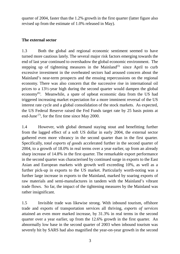quarter of 2004, faster than the 1.2% growth in the first quarter (latter figure also revised up from the estimate of 1.0% released in May).

#### **The external sector**

1.3 Both the global and regional economic sentiment seemed to have turned more cautious lately. The several major risk factors emerging towards the end of last year continued to overshadow the global economic environment. The stepping up of tightening measures in the Mainland<sup>(5)</sup> since April to curb excessive investment in the overheated sectors had aroused concern about the Mainland's near-term prospects and the ensuing repercussions on the regional economy. There was also concern that the successive rise in international oil prices to a 13½-year high during the second quarter would dampen the global economy<sup> $(6)$ </sup>. Meanwhile, a spate of upbeat economic data from the US had triggered increasing market expectation for a more imminent reversal of the US interest rate cycle and a global consolidation of the stock markets. As expected, the US Federal Reserve raised the Fed Funds target rate by 25 basis points at end-June  $(7)$ , for the first time since May 2000.

1.4 However, with global demand staying stout and benefitting further from the lagged effect of a soft US dollar in early 2004, the external sector gathered even more vibrancy in the second quarter than in the first quarter. Specifically, *total exports of goods* accelerated further in the second quarter of 2004, to a growth of 18.0% in real terms over a year earlier, up from an already sharp increase of 14.8% in the first quarter. The remarkable export performance in the second quarter was characterised by continued surge in exports to the East Asian and European markets with growth well exceeding 10%, as well as a further pick-up in exports to the US market. Particularly worth-noting was a further large increase in exports to the Mainland, marked by soaring exports of raw materials and semi-manufactures in tandem with the Mainland's vibrant trade flows. So far, the impact of the tightening measures by the Mainland was rather insignificant.

1.5 Invisible trade was likewise strong. With inbound tourism, offshore trade and exports of transportation services all thriving, *exports of services* attained an even more marked increase, by 31.3% in real terms in the second quarter over a year earlier, up from the 12.6% growth in the first quarter. An abnormally low base in the second quarter of 2003 when inbound tourism was severely hit by SARS had also magnified the year-on-year growth in the second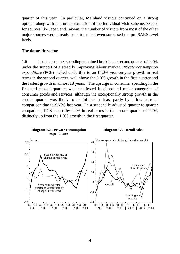quarter of this year. In particular, Mainland visitors continued on a strong uptrend along with the further extension of the Individual Visit Scheme. Except for sources like Japan and Taiwan, the number of visitors from most of the other major sources were already back to or had even surpassed the pre-SARS level lately.

#### **The domestic sector**

1.6 Local consumer spending remained brisk in the second quarter of 2004, under the support of a steadily improving labour market. *Private consumption expenditure* (PCE) picked up further to an 11.0% year-on-year growth in real terms in the second quarter, well above the 6.0% growth in the first quarter and the fastest growth in almost 13 years. The upsurge in consumer spending in the first and second quarters was manifested in almost all major categories of consumer goods and services, although the exceptionally strong growth in the second quarter was likely to be inflated at least partly by a low base of comparison due to SARS last year. On a seasonally adjusted quarter-to-quarter comparison, PCE leaped by 4.2% in real terms in the second quarter of 2004, distinctly up from the 1.0% growth in the first quarter.

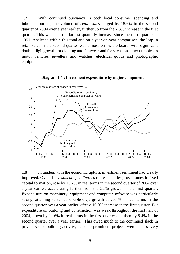1.7 With continued buoyancy in both local consumer spending and inbound tourism, the volume of *retail sales* surged by 15.6% in the second quarter of 2004 over a year earlier, further up from the 7.3% increase in the first quarter. This was also the largest quarterly increase since the third quarter of 1991. Analysed within this total and on a year-on-year comparison, the leap in retail sales in the second quarter was almost across-the-board, with significant double-digit growth for clothing and footwear and for such consumer durables as motor vehicles, jewellery and watches, electrical goods and photographic equipment.



**Diagram 1.4 : Investment expenditure by major component**

1.8 In tandem with the economic upturn, investment sentiment had clearly improved. Overall *investment spending*, as represented by gross domestic fixed capital formation, rose by 13.2% in real terms in the second quarter of 2004 over a year earlier, accelerating further from the 5.5% growth in the first quarter. Expenditure on machinery, equipment and computer software was particularly strong, attaining sustained double-digit growth at 26.1% in real terms in the second quarter over a year earlier, after a 16.0% increase in the first quarter. But expenditure on building and construction was weak throughout the first half of 2004, down by 11.6% in real terms in the first quarter and then by 9.4% in the second quarter over a year earlier. This owed much to the continued slack in private sector building activity, as some prominent projects were successively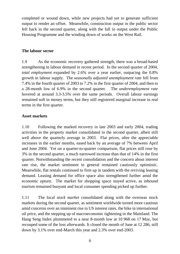completed or wound down, while new projects had yet to generate sufficient output to render an offset. Meanwhile, construction output in the public sector fell back in the second quarter, along with the fall in output under the Public Housing Programme and the winding down of works on the West Rail.

#### **The labour sector**

1.9 As the economic recovery gathered strength, there was a broad-based strengthening in labour demand in recent period. In the second quarter of 2004, *total employment* expanded by 2.6% over a year earlier, outpacing the 0.8% growth in labour supply. The *seasonally adjusted unemployment rate* fell from 7.4% in the fourth quarter of 2003 to 7.2% in the first quarter of 2004, and then to a 28-month low of 6.9% in the second quarter. The *underemployment rate* hovered at around 3.3-3.5% over the same periods. Overall labour earnings remained soft in money terms, but they still registered marginal increase in real terms in the first quarter.

#### **Asset markets**

1.10 Following the marked recovery in late 2003 and early 2004, trading activities in the property market consolidated in the second quarter, albeit still well above the quarterly average in 2003. Flat prices, after the appreciable increases in the earlier months, eased back by an average of 7% between April and June 2004. Yet on a quarter-to-quarter comparison, flat prices still rose by 3% in the second quarter, a much narrowed increase than that of 14% in the first quarter. Notwithstanding the recent consolidation and the concern about interest rate rise, the market sentiment in general remained cautiously optimistic. Meanwhile, flat rentals continued to firm up in tandem with the reviving leasing demand. Leasing demand for office space also strengthened further amid the economic upturn. The market for shopping space stayed active, as inbound tourism remained buoyant and local consumer spending picked up further.

1.11 The local *stock market* consolidated along with the overseas stock markets during the second quarter, as sentiment worldwide turned more cautious amid concerns over an imminent rise in US interest rates, the hike in international oil price, and the stepping up of macroeconomic tightening in the Mainland. The Hang Seng Index plummeted to a near 8-month low at 10 968 on 17 May, but recouped some of the loss afterwards. It closed the month of June at 12 286, still down by 3.1% over end-March this year and 2.3% over end-2003.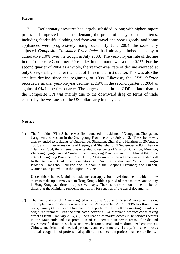#### **Prices**

1.12 Deflationary pressures had largely subsided. Along with higher import prices and improved consumer demand, the prices of many consumer items, including foodstuffs, clothing and footwear, travel and sports goods, and home appliances were progressively rising back. By June 2004, the seasonally adjusted *Composite Consumer Price Index* had already climbed back by a cumulative 1.0% over the trough in July 2003. The year-on-year rate of decline in the Composite Consumer Price Index in that month was a mere 0.1%. For the second quarter of 2004 as a whole, the year-on-year rate of decline averaged at only 0.9%, visibly smaller than that of 1.8% in the first quarter. This was also the smallest decline since the beginning of 1999. Likewise, the *GDP deflator* recorded a smaller year-on-year decline, at 2.9% in the second quarter of 2004 as against 4.0% in the first quarter. The larger decline in the GDP deflator than in the Composite CPI was mainly due to the downward drag on terms of trade caused by the weakness of the US dollar early in the year.

#### **Notes :**

(1) The Individual Visit Scheme was first launched to residents of Dongguan, Zhongshan, Jiangmen and Foshan in the Guangdong Province on 28 July 2003. The scheme was then extended to residents of Guangzhou, Shenzhen, Zhuhai and Huizhou on 20 August 2003, and further to residents of Beijing and Shanghai on 1 September 2003. Then on 1 January 2004, the scheme was extended to residents of Shantou, Chazhou, Meizhou, Zhaoqing, Qingyuan and Yunfu in the Guangdong Province, and on 1 May 2004, to the entire Guangdong Province. From 1 July 2004 onwards, the scheme was extended still further to residents of nine more cities, viz. Nanjing, Suzhou and Wuxi in Jiangsu Province; Hangzhou, Ningpo and Taizhou in the Zhejiang Province; and Fuzhou, Xiamen and Quanzhou in the Fujian Province.

Under this scheme, Mainland residents can apply for travel documents which allow them to make up to two visits to Hong Kong within a period of three months, and to stay in Hong Kong each time for up to seven days. There is no restriction on the number of times that the Mainland residents may apply for renewal of the travel documents.

(2) The main parts of CEPA were signed on 29 June 2003, and the six Annexes setting out the implementation details were signed on 29 September 2003. CEPA has three main parts, namely (1) zero-tariff treatment for exports from Hong Kong meeting the rules of origin requirement, with the first batch covering 374 Mainland product codes taking effect as from 1 January 2004; (2) liberalisation of market access in 18 services sectors in the Mainland; and (3) promotion of co-operation in seven areas of trade and investment facilitation, such as customs clearance, small and medium-sized enterprises, Chinese medicine and medical products, and e-commerce. Lately, it also embraces mutual recognition of professional qualifications in certain professional service fields.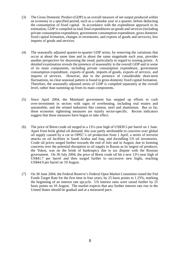- (3) The Gross Domestic Product (GDP) is an overall measure of net output produced within an economy in a specified period, such as a calendar year or a quarter, before deducting the consumption of fixed capital. In accordance with the expenditure approach to its estimation, GDP is compiled as total final expenditures on goods and services (including private consumption expenditure, government consumption expenditure, gross domestic fixed capital formation, changes in inventories, and exports of goods and services), less imports of goods and services.
- (4) The seasonally adjusted quarter-to-quarter GDP series, by removing the variations that occur at about the same time and in about the same magnitude each year, provides another perspective for discerning the trend, particularly in regard to turning points. A detailed examination reveals the presence of seasonality in the overall GDP and in some of its main components, including private consumption expenditure, government consumption expenditure, exports of goods, imports of goods, exports of services, and imports of services. However, due to the presence of considerable short-term fluctuations, no clear seasonal pattern is found in gross domestic fixed capital formation. Therefore, the seasonally adjusted series of GDP is compiled separately at the overall level, rather than summing up from its main components.
- (5) Since April 2004, the Mainland government has stepped up efforts to curb over-investment in sectors with signs of overheating, including real estates and automobile, and the related industries like cement, steel and aluminium. But so far, these economic tightening measures are mainly sector-specific. Recent indicators suggest that these measures have begun to take effect.
- (6) The price of Brent crude oil surged to a 13½-year high of US\$39.5 per barrel on 1 June. Apart from brisk global oil demand, this was partly attributable to concerns over global oil supply caused by a cut in OPEC's oil production from 1 April, a series of terrorist attacks on oil facilities in Saudi Arabia and Iraq, and dwindling US oil inventories. Crude oil prices surged further towards the end of July and in August, due to looming concerns over the potential disruption in oil supply in Russia as its largest oil producer, the Yukos, was on the brink of bankruptcy due to tax dispute with the Russian government. On 30 July 2004, the price of Brent crude oil hit a new 13½-year high of US\$41.7 per barrel and then surged further to successive new highs, reaching US\$44.9 per barrel on 19 August.
- (7) On 30 June 2004, the Federal Reserve's Federal Open Market Committee raised the Fed Funds Target Rate for the first time in four years, by 25 basis points to 1.25%, marking the beginning of an interest rate upcycle. US interest rates were raised further by 25 basis points on 10 August. The market expects that any further interest rate rise in the United States should be gradual and at a measured pace.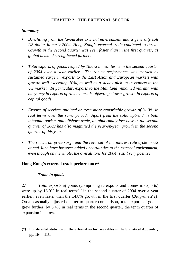#### **CHAPTER 2 : THE EXTERNAL SECTOR**

#### *Summary*

- *Benefitting from the favourable external environment and a generally soft US dollar in early 2004, Hong Kong's external trade continued to thrive. Growth in the second quarter was even faster than in the first quarter, as global demand strengthened further.*
- *Total exports of goods leaped by 18.0% in real terms in the second quarter of 2004 over a year earlier. The robust performance was marked by sustained surge in exports to the East Asian and European markets with growth well exceeding 10%, as well as a steady pick-up in exports to the US market. In particular, exports to the Mainland remained vibrant, with buoyancy in exports of raw materials offsetting slower growth in exports of capital goods.*
- *Exports of services attained an even more remarkable growth of 31.3% in real terms over the same period. Apart from the solid uptrend in both inbound tourism and offshore trade, an abnormally low base in the second quarter of 2003 has also magnified the year-on-year growth in the second quarter of this year.*
- *The recent oil price surge and the reversal of the interest rate cycle in US at end-June have however added uncertainties to the external environment, even though on the whole, the overall tone for 2004 is still very positive.*

#### **Hong Kong's external trade performance\***

#### *Trade in goods*

2.1 *Total exports of goods* (comprising re-exports and domestic exports) were up by 18.0% in real terms<sup>(1)</sup> in the second quarter of 2004 over a year earlier, even faster than the 14.8% growth in the first quarter *(Diagram 2.1)*. On a seasonally adjusted quarter-to-quarter comparison, total exports of goods grew further, by 5.4% in real terms in the second quarter, the tenth quarter of expansion in a row.

**<sup>(\*)</sup> For detailed statistics on the external sector, see tables in the Statistical Appendix, pp. 104 – 113.**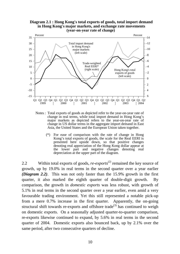

Notes : Total exports of goods as depicted refer to the year-on-year rate of change in real terms, while total import demand in Hong Kong's major markets as depicted refers to the year-on-year rate of change in US dollar terms in the aggregate import demand in East Asia, the United States and the European Union taken together.

(\*) For ease of comparison with the rate of change in Hong Kong's total exports of goods, the scale for the Real EERI is presented here upside down, so that positive changes denoting real appreciation of the Hong Kong dollar appear at the lower part and negative changes denoting real depreciation at the upper part of the diagram.

2.2 Within total exports of goods, *re-exports(2)* remained the key source of growth, up by 19.0% in real terms in the second quarter over a year earlier *(Diagram 2.2)*. This was not only faster than the 15.9% growth in the first quarter, it also marked the eighth quarter of double-digit growth. By comparison, the growth in *domestic exports* was less robust, with growth of 5.1% in real terms in the second quarter over a year earlier, even amid a very favourable trading environment. Yet this still represented a notable pick-up from a mere 0.7% increase in the first quarter. Apparently, the on-going structural shift towards re-exports and offshore trade<sup>(3)</sup> has continued to weigh on domestic exports. On a seasonally adjusted quarter-to-quarter comparison, re-exports likewise continued to expand, by 5.6% in real terms in the second quarter of 2004. Domestic exports also bounced back, up by 2.1% over the same period, after two consecutive quarters of decline.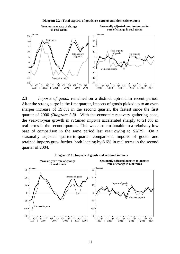

**Diagram 2.2 : Total exports of goods, re-exports and domestic exports**

2.3 *Imports of goods* remained on a distinct uptrend in recent period. After the strong surge in the first quarter, imports of goods picked up to an even sharper increase of 19.8% in the second quarter, the fastest since the first quarter of 2000 *(Diagram 2.3)*. With the economic recovery gathering pace, the year-on-year growth in *retained imports* accelerated sharply to 21.8% in real terms in the second quarter. This was also attributable to a relatively low base of comparison in the same period last year owing to SARS. On a seasonally adjusted quarter-to-quarter comparison, imports of goods and retained imports grew further, both leaping by 5.6% in real terms in the second quarter of 2004.



**Diagram 2.3 : Imports of goods and retained imports**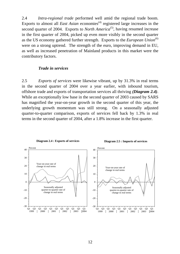2.4 *Intra-regional trade* performed well amid the regional trade boom. Exports to almost all *East Asian* economies<sup>(4)</sup> registered large increases in the second quarter of 2004. Exports to *North America*<sup>(5)</sup>, having resumed increase in the first quarter of 2004, picked up even more visibly in the second quarter as the US economy gathered further strength. Exports to the *European Union*<sup>(6)</sup> were on a strong uptrend. The strength of the euro, improving demand in EU, as well as increased penetration of Mainland products in this market were the contributory factors.

#### *Trade in services*

2.5 *Exports of services* were likewise vibrant, up by 31.3% in real terms in the second quarter of 2004 over a year earlier, with inbound tourism, offshore trade and exports of transportation services all thriving *(Diagram 2.4)*. While an exceptionally low base in the second quarter of 2003 caused by SARS has magnified the year-on-year growth in the second quarter of this year, the underlying growth momentum was still strong. On a seasonally adjusted quarter-to-quarter comparison, exports of services fell back by 1.3% in real terms in the second quarter of 2004, after a 1.8% increase in the first quarter.



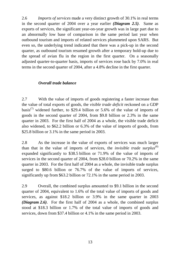2.6 *Imports of services* made a very distinct growth of 30.1% in real terms in the second quarter of 2004 over a year earlier *(Diagram 2.5)*. Same as exports of services, the significant year-on-year growth was in large part due to an abnormally low base of comparison in the same period last year when outbound tourism and imports of related services plummeted upon SARS. But even so, the underlying trend indicated that there was a pick-up in the second quarter, as outbound tourism resumed growth after a temporary hold-up due to the spread of avian flu in the region in the first quarter. On a seasonally adjusted quarter-to-quarter basis, imports of services rose back by 7.0% in real terms in the second quarter of 2004, after a 4.8% decline in the first quarter.

#### *Overall trade balance*

2.7 With the value of imports of goods registering a faster increase than the value of total exports of goods, the *visible trade deficit* reckoned on a GDP basis<sup>(7)</sup> widened further, to \$29.4 billion or 5.6% of the value of imports of goods in the second quarter of 2004, from \$9.8 billion or 2.3% in the same quarter in 2003. For the first half of 2004 as a whole, the visible trade deficit also widened, to \$62.2 billion or 6.3% of the value of imports of goods, from \$25.8 billion or 3.1% in the same period in 2003.

2.8 As the increase in the value of exports of services was much larger than that in the value of imports of services, the *invisible trade surplus*<sup>(8)</sup> expanded significantly to \$38.5 billion or 71.9% of the value of imports of services in the second quarter of 2004, from \$28.0 billion or 70.2% in the same quarter in 2003. For the first half of 2004 as a whole, the invisible trade surplus surged to \$80.6 billion or 76.7% of the value of imports of services, significantly up from \$63.2 billion or 72.1% in the same period in 2003.

2.9 Overall, the combined surplus amounted to \$9.1 billion in the second quarter of 2004, equivalent to 1.6% of the total value of imports of goods and services, as against \$18.2 billion or 3.9% in the same quarter in 2003 *(Diagram 2.6)*. For the first half of 2004 as a whole, the combined surplus stood at \$18.3 billion or 1.7% of the total value of imports of goods and services, down from \$37.4 billion or 4.1% in the same period in 2003.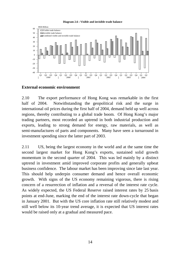



#### **External economic environment**

2.10 The export performance of Hong Kong was remarkable in the first half of 2004. Notwithstanding the geopolitical risk and the surge in international oil prices during the first half of 2004, demand held up well across regions, thereby contributing to a global trade boom. Of Hong Kong's major trading partners, most recorded an uptrend in both industrial production and exports, leading to strong demand for energy, raw materials, as well as semi-manufactures of parts and components. Many have seen a turnaround in investment spending since the latter part of 2003.

2.11 US, being the largest economy in the world and at the same time the second largest market for Hong Kong's exports, sustained solid growth momentum in the second quarter of 2004. This was led mainly by a distinct uptrend in investment amid improved corporate profits and generally upbeat business confidence. The labour market has been improving since late last year. This should help underpin consumer demand and hence overall economic growth. With signs of the US economy remaining vigorous, there is rising concern of a resurrection of inflation and a reversal of the interest rate cycle. As widely expected, the US Federal Reserve raised interest rates by 25 basis points at end-June, marking the end of the interest rate down-cycle that began in January 2001. But with the US core inflation rate still relatively modest and still well below its 10-year trend average, it is expected that US interest rates would be raised only at a gradual and measured pace.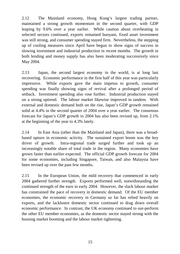2.12 The Mainland economy, Hong Kong's largest trading partner, maintained a strong growth momentum in the second quarter, with GDP leaping by 9.6% over a year earlier. While caution about overheating in selected sectors continued, exports remained buoyant, fixed asset investment was still strong, and consumer spending stayed firm. Nevertheless, the stepping up of cooling measures since April have begun to show signs of success in slowing investment and industrial production in recent months. The growth in both lending and money supply has also been moderating successively since May 2004.

2.13 Japan, the second largest economy in the world, is at long last recovering. Economic performance in the first half of this year was particularly impressive. While exports gave the main impetus to growth, consumer spending was finally showing signs of revival after a prolonged period of setback. Investment spending also rose further. Industrial production stayed on a strong uptrend. The labour market likewise improved in tandem. With external and domestic demand both on the rise, Japan's GDP growth remained solid at 4.4% in the second quarter of 2004 over a year earlier. The consensus forecast for Japan's GDP growth in 2004 has also been revised up, from 2.1% at the beginning of the year to 4.3% lately.

2.14 In East Asia (other than the Mainland and Japan), there was a broadbased upturn in economic activity. The sustained export boom was the key driver of growth. Intra-regional trade surged further and took up an increasingly notable share of total trade in the region. Many economies have grown faster than earlier expected. The official GDP growth forecast for 2004 for some economies, including Singapore, Taiwan, and also Malaysia have been revised up over the past few months.

2.15 In the European Union, the mild recovery that commenced in early 2004 gathered further strength. Exports performed well, notwithstanding the continued strength of the euro in early 2004. However, the slack labour market has constrained the pace of recovery in domestic demand. Of the EU member economies, the economic recovery in Germany so far has relied heavily on exports, and the lacklustre domestic sector continued to drag down overall economic performance. In contrast, the UK economy continued to out-perform the other EU member economies, as the domestic sector stayed strong with the housing market booming and the labour market tightening.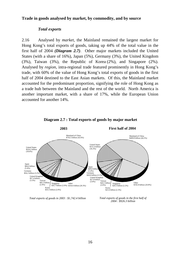#### **Trade in goods analysed by market, by commodity, and by source**

#### *Total exports*

2.16 Analysed by *market*, the Mainland remained the largest market for Hong Kong's total exports of goods, taking up 44% of the total value in the first half of 2004 *(Diagram 2.7)*. Other major markets included the United States (with a share of 16%), Japan (5%), Germany (3%), the United Kingdom (3%), Taiwan (3%), the Republic of Korea (2%), and Singapore (2%). Analysed by *region*, intra-regional trade featured prominently in Hong Kong's trade, with 60% of the value of Hong Kong's total exports of goods in the first half of 2004 destined to the East Asian markets. Of this, the Mainland market accounted for the predominant proportion, signifying the role of Hong Kong as a trade hub between the Mainland and the rest of the world. North America is another important market, with a share of 17%, while the European Union accounted for another 14%.



#### **Diagram 2.7 : Total exports of goods by major market**

*Total exports of goods in 2003 : \$1,742.4 billion Total exports of goods in the first half of* 

*2004 : \$926.3 billion*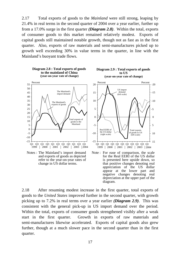2.17 Total exports of goods to the *Mainland* were still strong, leaping by 21.4% in real terms in the second quarter of 2004 over a year earlier, further up from a 17.0% surge in the first quarter *(Diagram 2.8)*. Within the total, exports of consumer goods to this market remained relatively modest. Exports of capital goods still maintained notable growth, though not as fast as in the first quarter. Also, exports of raw materials and semi-manufactures picked up to growth well exceeding 30% in value terms in the quarter, in line with the Mainland's buoyant trade flows.



Notes : The Mainland's import demand and exports of goods as depicted refer to the year-on-year rates of change in US dollar terms.

**Diagram 2.9 : Total exports of goods to US (year-on-year rate of change)**



appreciation of the US dollar appear at the lower part and negative changes denoting real depreciation at the upper part of the

diagram.

2.18 After resuming modest increase in the first quarter, total exports of goods to the *United States* improved further in the second quarter, with growth picking up to 7.2% in real terms over a year earlier *(Diagram 2.9)*. This was consistent with the general pick-up in US import demand over the period. Within the total, exports of consumer goods strengthened visibly after a weak start in the first quarter. Growth in exports of raw materials and semi-manufactures likewise accelerated. Exports of capital goods also grew further, though at a much slower pace in the second quarter than in the first quarter.

17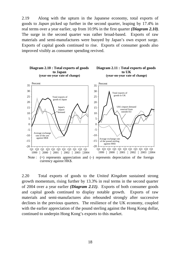2.19 Along with the upturn in the Japanese economy, total exports of goods to *Japan* picked up further in the second quarter, leaping by 17.4% in real terms over a year earlier, up from 10.9% in the first quarter *(Diagram 2.10)*. The surge in the second quarter was rather broad-based. Exports of raw materials and semi-manufactures were buoyed by Japan's own export surge. Exports of capital goods continued to rise. Exports of consumer goods also improved visibly as consumer spending revived.



2.20 Total exports of goods to the *United Kingdom* sustained strong growth momentum, rising further by 13.3% in real terms in the second quarter of 2004 over a year earlier *(Diagram 2.11)*. Exports of both consumer goods and capital goods continued to display notable growth. Exports of raw materials and semi-manufactures also rebounded strongly after successive declines in the previous quarters. The resilience of the UK economy, coupled with the earlier appreciation of the pound sterling against the Hong Kong dollar, continued to underpin Hong Kong's exports to this market.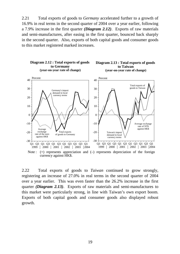2.21 Total exports of goods to *Germany* accelerated further to a growth of 16.9% in real terms in the second quarter of 2004 over a year earlier, following a 7.9% increase in the first quarter *(Diagram 2.12)*. Exports of raw materials and semi-manufactures, after easing in the first quarter, bounced back sharply in the second quarter. Also, exports of both capital goods and consumer goods to this market registered marked increases.



2.22 Total exports of goods to *Taiwan* continued to grow strongly, registering an increase of 27.0% in real terms in the second quarter of 2004 over a year earlier. This was even faster than the 26.2% increase in the first quarter *(Diagram 2.13)*. Exports of raw materials and semi-manufactures to this market were particularly strong, in line with Taiwan's own export boom. Exports of both capital goods and consumer goods also displayed robust growth.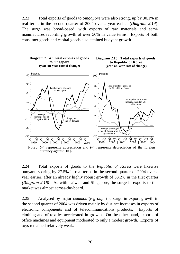2.23 Total exports of goods to *Singapore* were also strong, up by 30.1% in real terms in the second quarter of 2004 over a year earlier *(Diagram 2.14*). The surge was broad-based, with exports of raw materials and semimanufactures recording growth of over 50% in value terms. Exports of both consumer goods and capital goods also attained buoyant growth.



2.24 Total exports of goods to the *Republic of Korea* were likewise buoyant, soaring by 27.5% in real terms in the second quarter of 2004 over a year earlier, after an already highly robust growth of 33.2% in the first quarter *(Diagram 2.15)*. As with Taiwan and Singapore, the surge in exports to this market was almost across-the-board.

2.25 Analysed by major *commodity group*, the surge in export growth in the second quarter of 2004 was driven mainly by distinct increases in exports of electronic components and of telecommunications products. Exports of clothing and of textiles accelerated in growth. On the other hand, exports of office machines and equipment moderated to only a modest growth. Exports of toys remained relatively weak.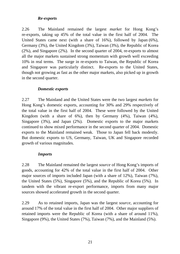#### *Re-exports*

2.26 The Mainland remained the largest *market* for Hong Kong's re-exports, taking up 45% of the total value in the first half of 2004. The United States came next (with a share of 16%), followed by Japan (6%), Germany (3%), the United Kingdom (3%), Taiwan (3%), the Republic of Korea (2%), and Singapore (2%). In the second quarter of 2004, re-exports to almost all the major markets sustained strong momentum with growth well exceeding 10% in real terms. The surge in re-exports to Taiwan, the Republic of Korea and Singapore was particularly distinct. Re-exports to the United States, though not growing as fast as the other major markets, also picked up in growth in the second quarter.

#### *Domestic exports*

2.27 The Mainland and the United States were the two largest *markets* for Hong Kong's domestic exports, accounting for 30% and 29% respectively of the total value in the first half of 2004. These were followed by the United Kingdom (with a share of 6%), then by Germany (4%), Taiwan (4%), Singapore (3%), and Japan (2%). Domestic exports to the major markets continued to show mixed performance in the second quarter of 2004. Domestic exports to the Mainland remained weak. Those to Japan fell back modestly. But domestic exports to US, Germany, Taiwan, UK and Singapore recorded growth of various magnitudes.

#### *Imports*

2.28 The Mainland remained the largest *source* of Hong Kong's imports of goods, accounting for 42% of the total value in the first half of 2004. Other major sources of imports included Japan (with a share of 12%), Taiwan (7%), the United States (5%), Singapore (5%), and the Republic of Korea (5%). In tandem with the vibrant re-export performance, imports from many major sources showed accelerated growth in the second quarter.

2.29 As to retained imports, Japan was the largest *source*, accounting for around 17% of the total value in the first half of 2004. Other major suppliers of retained imports were the Republic of Korea (with a share of around 11%), Singapore (9%), the United States (7%), Taiwan (7%), and the Mainland (5%).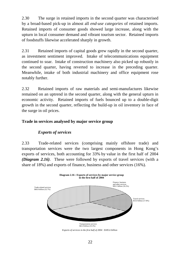2.30 The surge in retained imports in the second quarter was characterised by a broad-based pick-up in almost all *end-use categories* of retained imports. Retained imports of consumer goods showed large increase, along with the upturn in local consumer demand and vibrant tourism sector. Retained imports of foodstuffs likewise accelerated sharply in growth.

2.31 Retained imports of capital goods grew rapidly in the second quarter, as investment sentiment improved. Intake of telecommunications equipment continued to soar. Intake of construction machinery also picked up robustly in the second quarter, having reverted to increase in the preceding quarter. Meanwhile, intake of both industrial machinery and office equipment rose notably further.

2.32 Retained imports of raw materials and semi-manufactures likewise remained on an uptrend in the second quarter, along with the general upturn in economic activity. Retained imports of fuels bounced up to a double-digit growth in the second quarter, reflecting the build-up in oil inventory in face of the surge in oil prices.

#### **Trade in services analysed by major service group**

#### *Exports of services*

2.33 Trade-related services (comprising mainly offshore trade) and transportation services were the two largest components in Hong Kong's exports of services, both accounting for 33% by value in the first half of 2004 *(Diagram 2.16)*. These were followed by exports of travel services (with a share of 18%) and exports of finance, business and other services (16%).



*Exports of services in the first half of 2004 : \$185.6 billion*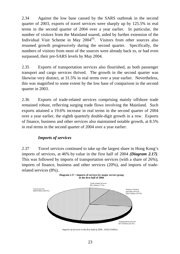2.34 Against the low base caused by the SARS outbreak in the second quarter of 2003, exports of travel services were sharply up by 125.5% in real terms in the second quarter of 2004 over a year earlier. In particular, the number of visitors from the Mainland soared, aided by further extension of the Individual Visit Scheme in May  $2004^{(9)}$ . Visitors from other sources also resumed growth progressively during the second quarter. Specifically, the numbers of visitors from most of the sources were already back to, or had even surpassed, their pre-SARS levels by May 2004.

2.35 Exports of transportation services also flourished, as both passenger transport and cargo services thrived. The growth in the second quarter was likewise very distinct, at 31.5% in real terms over a year earlier. Nevertheless, this was magnified to some extent by the low base of comparison in the second quarter in 2003.

2.36 Exports of trade-related services comprising mainly offshore trade remained robust, reflecting surging trade flows involving the Mainland. Such exports attained a 19.6% increase in real terms in the second quarter of 2004 over a year earlier, the eighth quarterly double-digit growth in a row. Exports of finance, business and other services also maintained notable growth, at 8.5% in real terms in the second quarter of 2004 over a year earlier.

#### *Imports of services*

2.37 Travel services continued to take up the largest share in Hong Kong's imports of services, at 46% by value in the first half of 2004 *(Diagram 2.17)*. This was followed by imports of transportation services (with a share of 26%), imports of finance, business and other services (20%), and imports of traderelated services (8%).



*Imports of services in the first half of 2004 : \$105.0 billion*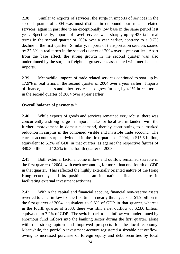2.38 Similar to exports of services, the surge in imports of services in the second quarter of 2004 was most distinct in outbound tourism and related services, again in part due to an exceptionally low base in the same period last year. Specifically, imports of travel services went sharply up by 43.0% in real terms in the second quarter of 2004 over a year earlier, contrary to a 0.7% decline in the first quarter. Similarly, imports of transportation services soared by 37.3% in real terms in the second quarter of 2004 over a year earlier. Apart from the base effect, the strong growth in the second quarter was also underpinned by the surge in freight cargo services associated with merchandise imports.

2.39 Meanwhile, imports of trade-related services continued to soar, up by 17.9% in real terms in the second quarter of 2004 over a year earlier. Imports of finance, business and other services also grew further, by 4.1% in real terms in the second quarter of 2004 over a year earlier.

## **Overall balance of payments**<sup>(10)</sup>

2.40 While exports of goods and services remained very robust, there was concurrently a strong surge in import intake for local use in tandem with the further improvement in domestic demand, thereby contributing to a marked reduction in surplus in the combined visible and invisible trade account. The current account surplus dwindled in the first quarter of 2004, to \$15.6 billion, equivalent to 5.2% of GDP in that quarter, as against the respective figures of \$40.3 billion and 12.2% in the fourth quarter of 2003.

2.41 Both external factor income inflow and outflow remained sizeable in the first quarter of 2004, with each accounting for more than one-fourth of GDP in that quarter. This reflected the highly externally oriented nature of the Hong Kong economy and its position as an international financial centre in facilitating external investment activities.

2.42 Within the capital and financial account, financial non-reserve assets reverted to a net inflow for the first time in nearly three years, at \$1.9 billion in the first quarter of 2004, equivalent to 0.6% of GDP in that quarter, whereas in the fourth quarter of 2003, there was still a net outflow of \$23.6 billion, equivalent to 7.2% of GDP. The switch-back to net inflow was underpinned by enormous fund inflows into the banking sector during the first quarter, along with the strong upturn and improved prospects for the local economy. Meanwhile, the portfolio investment account registered a sizeable net outflow, owing to increased purchase of foreign equity and debt securities by local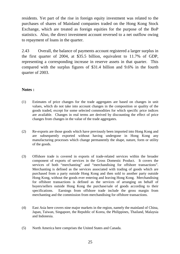residents. Yet part of the rise in foreign equity investment was related to the purchases of shares of Mainland companies traded on the Hong Kong Stock Exchange, which are treated as foreign equities for the purpose of the BoP statistics. Also, the direct investment account reversed to a net outflow owing to repayment of loans in the quarter.

2.43 Overall, the balance of payments account registered a larger surplus in the first quarter of 2004, at \$35.5 billion, equivalent to 11.7% of GDP, representing a corresponding increase in reserve assets in that quarter. This compared with the surplus figures of \$31.4 billion and 9.6% in the fourth quarter of 2003.

#### **Notes :**

- (1) Estimates of price changes for the trade aggregates are based on changes in unit values, which do not take into account changes in the composition or quality of the goods traded, except for some selected commodities for which specific price indices are available. Changes in real terms are derived by discounting the effect of price changes from changes in the value of the trade aggregates.
- (2) Re-exports are those goods which have previously been imported into Hong Kong and are subsequently exported without having undergone in Hong Kong any manufacturing processes which change permanently the shape, nature, form or utility of the goods.
- (3) Offshore trade is covered in exports of trade-related services within the broader component of exports of services in the Gross Domestic Product. It covers the services of both "merchanting" and "merchandising for offshore transactions". Merchanting is defined as the services associated with trading of goods which are purchased from a party outside Hong Kong and then sold to another party outside Hong Kong, without the goods ever entering and leaving Hong Kong. Merchandising for offshore transactions is defined as the services of arranging on behalf of buyers/sellers outside Hong Kong the purchase/sale of goods according to their specifications. Earnings from offshore trade include the gross margin from merchanting and the commission from merchandising for offshore transactions.
- (4) East Asia here covers nine major markets in the region, namely the mainland of China, Japan, Taiwan, Singapore, the Republic of Korea, the Philippines, Thailand, Malaysia and Indonesia.
- (5) North America here comprises the United States and Canada.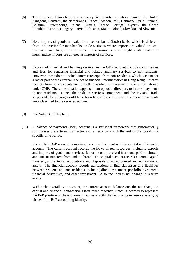- (6) The European Union here covers twenty five member countries, namely the United Kingdom, Germany, the Netherlands, France, Sweden, Italy, Denmark, Spain, Finland, Belgium, Luxembourg, Ireland, Austria, Greece, Portugal, Cyprus, the Czech Republic, Estonia, Hungary, Latvia, Lithuania, Malta, Poland, Slovakia and Slovenia.
- (7) Here imports of goods are valued on free-on-board (f.o.b.) basis, which is different from the practice for merchandise trade statistics where imports are valued on cost, insurance and freight (c.i.f.) basis. The insurance and freight costs related to merchandise imports are entered as imports of services.
- (8) Exports of financial and banking services in the GDP account include commissions and fees for rendering financial and related ancillary services to non-residents. However, these do not include interest receipts from non-residents, which account for a major part of the external receipts of financial intermediaries in Hong Kong. Interest receipts from non-residents are correctly classified as investment income from abroad under GNP. The same situation applies, in an opposite direction, to interest payments to non-residents. Hence the trade in services component and the invisible trade surplus of Hong Kong would have been larger if such interest receipts and payments were classified to the services account.
- (9) See Note(1) in Chapter 1.
- (10) A balance of payments (BoP) account is a statistical framework that systematically summarises the external transactions of an economy with the rest of the world in a specific time period.

A complete BoP account comprises the current account and the capital and financial account. The current account records the flows of real resources, including exports and imports of goods and services, factor income received from and paid to abroad, and current transfers from and to abroad. The capital account records external capital transfers, and external acquisitions and disposals of non-produced and non-financial assets. The financial account records transactions in financial assets and liabilities between residents and non-residents, including direct investment, portfolio investment, financial derivatives, and other investment. Also included is net change in reserve assets.

Within the overall BoP account, the current account balance and the net change in capital and financial non-reserve assets taken together, which is deemed to represent the BoP position of the economy, matches exactly the net change in reserve assets, by virtue of the BoP accounting identity.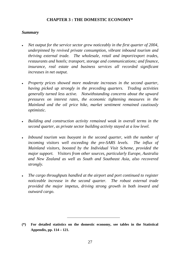#### **CHAPTER 3 : THE DOMESTIC ECONOMY\***

#### *Summary*

- *Net output for the service sector grew noticeably in the first quarter of 2004, underpinned by revived private consumption, vibrant inbound tourism and thriving external trade. The wholesale, retail and import/export trades, restaurants and hotels; transport, storage and communications; and finance, insurance, real estate and business services all recorded significant increases in net output.*
- <sup>z</sup> *Property prices showed more moderate increases in the second quarter, having picked up strongly in the preceding quarters. Trading activities generally turned less active. Notwithstanding concerns about the upward pressures on interest rates, the economic tightening measures in the Mainland and the oil price hike, market sentiment remained cautiously optimistic.*
- **•** Building and construction activity remained weak in overall terms in the *second quarter, as private sector building activity stayed at a low level.*
- *Inbound tourism was buoyant in the second quarter, with the number of incoming visitors well exceeding the pre-SARS levels. The influx of Mainland visitors, boosted by the Individual Visit Scheme, provided the major support. Visitors from other sources, particularly Europe, Australia and New Zealand as well as South and Southeast Asia, also recovered strongly.*
- The cargo throughputs handled at the airport and port continued to register *noticeable increase in the second quarter. The robust external trade provided the major impetus, driving strong growth in both inward and outward cargo.*

**<sup>(\*)</sup> For detailed statistics on the domestic economy, see tables in the Statistical Appendix, pp. 114 – 121.**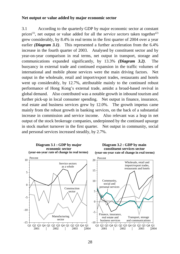#### **Net output or value added by major economic sector**

3.1 According to the quarterly GDP by major economic sector at constant prices<sup>(1)</sup>, net output or value added for all the *service sectors* taken together<sup>(2)</sup> grew considerably, by 8.4% in real terms in the first quarter of 2004 over a year earlier *(Diagram 3.1)*. This represented a further acceleration from the 6.4% increase in the fourth quarter of 2003. Analysed by constituent sector and by year-on-year comparison in real terms, net output in transport, storage and communications expanded significantly, by 13.3% *(Diagram 3.2)*. The buoyancy in external trade and continued expansion in the traffic volumes of international and mobile phone services were the main driving factors. Net output in the wholesale, retail and import/export trades, restaurants and hotels went up considerably, by 12.7%, attributable mainly to the continued robust performance of Hong Kong's external trade, amidst a broad-based revival in global demand. Also contributed was a notable growth in inbound tourism and further pick-up in local consumer spending. Net output in finance, insurance, real estate and business services grew by 12.0%. The growth impetus came mainly from the robust growth in banking services, on the back of a substantial increase in commission and service income. Also relevant was a leap in net output of the stock brokerage companies, underpinned by the continued upsurge in stock market turnover in the first quarter. Net output in community, social and personal services increased steadily, by 2.7%.

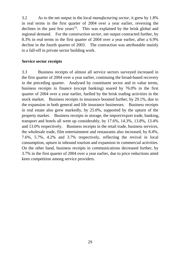3.2 As to the net output in the local *manufacturing sector*, it grew by 1.8% in real terms in the first quarter of 2004 over a year earlier, reversing the declines in the past few years<sup>(3)</sup>. This was explained by the brisk global and regional demand. For the *construction sector*, net output contracted further, by 8.3% in real terms in the first quarter of 2004 over a year earlier, after a 6.9% decline in the fourth quarter of 2003. The contraction was attributable mainly to a fall-off in private sector building work.

#### **Service sector receipts**

3.3 Business receipts of almost all service sectors surveyed increased in the first quarter of 2004 over a year earlier, continuing the broad-based recovery in the preceding quarter. Analysed by constituent sector and in value terms, business receipts in finance (except banking) soared by 76.0% in the first quarter of 2004 over a year earlier, fuelled by the brisk trading activities in the stock market. Business receipts in insurance boosted further, by 29.1%, due to the expansion in both general and life insurance businesses. Business receipts in real estate also grew markedly, by 25.0%, supported by the upturn of the property market. Business receipts in storage, the import/export trade, banking, transport and hotels all went up considerably, by 17.6%, 14.3%, 13.8%, 13.4% and 13.0% respectively. Business receipts in the retail trade, business services, the wholesale trade, film entertainment and restaurants also increased, by 8.4%, 7.6%, 5.7%, 4.2% and 3.7% respectively, reflecting the revival in local consumption, upturn in inbound tourism and expansion in commercial activities. On the other hand, business receipts in communications decreased further, by 3.7% in the first quarter of 2004 over a year earlier, due to price reductions amid keen competition among service providers.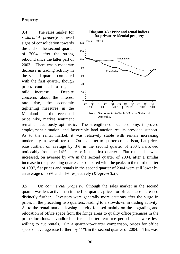#### **Property**

3.4 The sales market for *residential property* showed signs of consolidation towards the end of the second quarter of 2004, after the strong rebound since the latter part of 2003. There was a moderate decrease in trading activity in the second quarter compared with the first quarter, though prices continued to register mild increase. Despite concerns about the interest rate rise, the economic tightening measures in the Mainland and the recent oil price hike, market sentiment



remained cautiously optimistic. The strengthened local economy, improved employment situation, and favourable land auction results provided support. As to the rental market, it was relatively stable with rentals increasing moderately in overall terms. On a quarter-to-quarter comparison, flat prices rose further, on average by 3% in the second quarter of 2004, narrowed noticeably from the 14% increase in the first quarter. Flat rentals likewise increased, on average by 4% in the second quarter of 2004, after a similar increase in the preceding quarter. Compared with the peaks in the third quarter of 1997, flat prices and rentals in the second quarter of 2004 were still lower by an average of 55% and 44% respectively *(Diagram 3.3)*.

3.5 On *commercial property*, although the sales market in the second quarter was less active than in the first quarter, prices for office space increased distinctly further. Investors were generally more cautious after the surge in prices in the preceding two quarters, leading to a slowdown in trading activity. As to the rental market, leasing activity focused mainly on the upgrading and relocation of office space from the fringe areas to quality office premises in the prime locations. Landlords offered shorter rent-free periods, and were less willing to cut rentals. On a quarter-to-quarter comparison, prices for office space on average rose further, by 11% in the second quarter of 2004. This was

30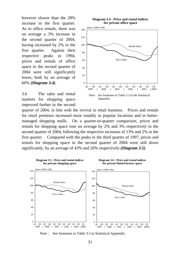however slower than the 28% increase in the first quarter. As to office rentals, there was on average a 3% increase in the second quarter of 2004, having increased by 2% in the first quarter. Against their respective peaks in 1994, prices and rentals of office space in the second quarter of 2004 were still significantly lower, both by an average of 60% *(Diagram 3.4)*.

3.6 The sales and rental markets for *shopping space* improved further in the second





quarter of 2004, in line with the revival in retail business. Prices and rentals for retail premises increased more notably in popular locations and in bettermanaged shopping malls. On a quarter-to-quarter comparison, prices and rentals for shopping space rose on average by 2% and 3% respectively in the second quarter of 2004, following the respective increases of 13% and 2% in the first quarter. Compared with the peaks in the third quarter of 1997, prices and rentals for shopping space in the second quarter of 2004 were still down significantly, by an average of 43% and 26% respectively *(Diagram 3.5)*.



Note : See footnotes to Table 3.3 in Statistical Appendix.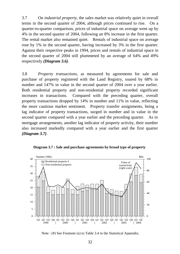3.7 On *industrial property*, the sales market was relatively quiet in overall terms in the second quarter of 2004, although prices continued to rise. On a quarter-to-quarter comparison, prices of industrial space on average went up by 4% in the second quarter of 2004, following an 8% increase in the first quarter. The rental market also remained quiet. Rentals of industrial space on average rose by 1% in the second quarter, having increased by 3% in the first quarter. Against their respective peaks in 1994, prices and rentals of industrial space in the second quarter of 2004 still plummeted by an average of 64% and 49% respectively *(Diagram 3.6)*.

3.8 *Property transactions*, as measured by agreements for sale and purchase of property registered with the Land Registry, soared by 68% in number and 147% in value in the second quarter of 2004 over a year earlier. Both residential property and non-residential property recorded significant increases in transactions. Compared with the preceding quarter, overall property transactions dropped by 14% in number and 11% in value, reflecting the more cautious market sentiment. Property transfer assignments, being a lag indicator of property transactions, surged in number and in value in the second quarter compared with a year earlier and the preceding quarter. As to mortgage arrangements, another lag indicator of property activity, their number also increased markedly compared with a year earlier and the first quarter *(Diagram 3.7)*.

**Diagram 3.7 : Sale and purchase agreements by broad type of property**



Note : (#) See Footnote (a) to Table 3.4 in the Statistical Appendix.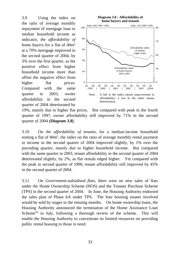3.9 Using the index on the ratio of average monthly repayment of mortgage loan to median household income as indicator, *the affordability of home buyers* for a flat of  $40m^2$ at a 70% mortgage improved in the second quarter of 2004, by 3% over the first quarter, as the positive effect from higher household income more than offset the negative effect from higher flat prices. Compared with the same quarter in 2003, owner affordability in the second quarter of 2004 deteriorated by



19%, mainly due to higher flat prices. But compared with peak in the fourth quarter of 1997, owner affordability still improved by 71% in the second quarter of 2004 *(Diagram 3.8)*.

3.10 On *the affordability of tenants*, for a median-income household renting a flat of  $40m^2$ , the index on the ratio of average monthly rental payment to income in the second quarter of 2004 improved slightly, by 1% over the preceding quarter, mainly due to higher household income. But compared with the same quarter in 2003, tenant affordability in the second quarter of 2004 deteriorated slightly, by 2%, as flat rentals edged higher. Yet compared with the peak in second quarter of 1990, tenant affordability still improved by 45% in the second quarter of 2004.

3.11 On *Government-subsidised flats*, there were no new sales of flats under the Home Ownership Scheme (HOS) and the Tenants Purchase Scheme (TPS) in the second quarter of 2004. In June, the Housing Authority endorsed the sales plan of Phase 6A under TPS. The four housing estates involved would be sold by stages in the ensuing months. On home ownership loans, the Housing Authority announced the termination of the Home Assistance Loan Scheme<sup>(4)</sup> in July, following a thorough review of the scheme. This will enable the Housing Authority to concentrate its limited resources on providing public rental housing to those in need.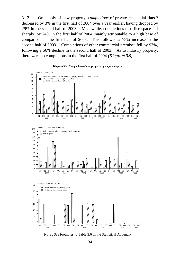3.12 On supply of new property, *completions* of private residential flats<sup>(5)</sup> decreased by 3% in the first half of 2004 over a year earlier, having dropped by 29% in the second half of 2003. Meanwhile, completions of office space fell sharply, by 74% in the first half of 2004, mainly attributable to a high base of comparison in the first half of 2003. This followed a 78% increase in the second half of 2003. Completions of other commercial premises fell by 93%, following a 56% decline in the second half of 2003. As to industry property, there were no completions in the first half of 2004 *(Diagram 3.9)*.





Note : See footnotes to Table 3.6 in the Statistical Appendix.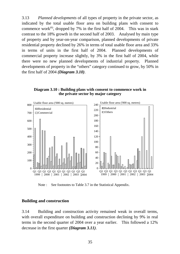3.13 *Planned developments* of all types of property in the private sector, as indicated by the total usable floor area on building plans with consent to commence work<sup> $(6)$ </sup>, dropped by 7% in the first half of 2004. This was in stark contrast to the 18% growth in the second half of 2003. Analysed by main type of property and by year-on-year comparison, planned developments of private residential property declined by 26% in terms of total usable floor area and 33% in terms of units in the first half of 2004. Planned developments of commercial property increase slightly, by 3% in the first half of 2004, while there were no new planned developments of industrial property. Planned developments of property in the "others" category continued to grow, by 50% in the first half of 2004 *(Diagram 3.10)*.

**Diagram 3.10 : Building plans with consent to commence work in the private sector by major category**



Note : See footnotes to Table 3.7 in the Statistical Appendix.

#### **Building and construction**

3.14 Building and construction activity remained weak in overall terms, with overall expenditure on building and construction declining by 9% in real terms in the second quarter of 2004 over a year earlier. This followed a 12% decrease in the first quarter *(Diagram 3.11)*.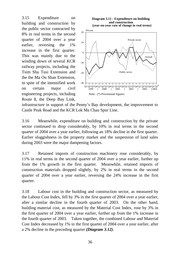3.15 Expenditure on building and construction by the public sector contracted by 8% in real terms in the second quarter of 2004 over a year earlier, reversing the 1% increase in the first quarter. This was mainly due to the winding down of several KCR railway projects, including the Tsim Sha Tusi Extension and the the Ma On Shan Extension, in spite of the intensified work on certain major civil engineering projects, including Route 8, the Deep Bay Link,





infrastructure in support of the Penny's Bay development, the improvement to Castle Peak Road and the KCR Lok Ma Chau Spur Line.

3.16 Meanwhile, expenditure on building and construction by the private sector continued to drop considerably, by 10% in real terms in the second quarter of 2004 over a year earlier, following an 18% decline in the first quarter. Earlier sluggishness in the property market and the suspension of land sales during 2003 were the major dampening factors.

3.17 Retained imports of construction machinery rose considerably, by 11% in real terms in the second quarter of 2004 over a year earlier, further up from the 1% growth in the first quarter. Meanwhile, retained imports of construction materials dropped slightly, by 2% in real terms in the second quarter of 2004 over a year earlier, reversing the 24% increase in the first quarter.

3.18 Labour cost in the building and construction sector, as measured by the Labour Cost Index, fell by 3% in the first quarter of 2004 over a year earlier, after a similar decline in the fourth quarter of 2003. On the other hand, building material cost, as measured by the Material Cost Index, rose by 3% in the first quarter of 2004 over a year earlier, further up from the 1% increase in the fourth quarter of 2003. Taken together, the combined Labour and Material Cost Index decreased by 1% in the first quarter of 2004 over a year earlier, after a 2% decline in the preceding quarter *(Diagram 3.12)*.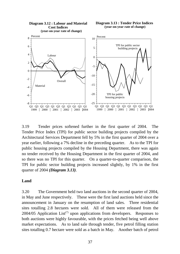

3.19 Tender prices softened further in the first quarter of 2004. The Tender Price Index (TPI) for public sector building projects compiled by the Architectural Services Department fell by 5% in the first quarter of 2004 over a year earlier, following a 7% decline in the preceding quarter. As to the TPI for public housing projects compiled by the Housing Department, there was again no tender received by the Housing Department in the first quarter of 2004, and so there was no TPI for this quarter. On a quarter-to-quarter comparison, the TPI for public sector building projects increased slightly, by 1% in the first quarter of 2004 *(Diagram 3.13)*.

#### **Land**

3.20 The Government held two land auctions in the second quarter of 2004, in May and June respectively. These were the first land auctions held since the announcement in January on the resumption of land sales. Three residential sites totalling 2.8 hectares were sold. All of them were released from the 2004/05 Application List<sup>(7)</sup> upon applications from developers. Responses to both auctions were highly favourable, with the prices fetched being well above market expectations. As to land sale through tender, five petrol filling station sites totalling 0.7 hectare were sold as a batch in May. Another batch of petrol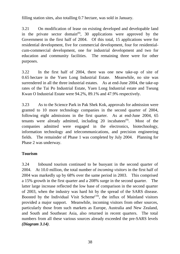filling station sites, also totalling 0.7 hectare, was sold in January.

3.21 On modification of lease on existing developed and developable land in the private sector domain<sup>(8)</sup>, 30 applications were approved by the Government in the first half of 2004. Of this total, 15 applications were for residential development, five for commercial development, four for residentialcum-commercial development, one for industrial development and two for education and community facilities. The remaining three were for other purposes.

3.22 In the first half of 2004, there was one new take-up of site of 0.65 hectare in the Yuen Long Industrial Estate. Meanwhile, no site was surrendered in all the three industrial estates. As at end-June 2004, the take-up rates of the Tai Po Industrial Estate, Yuen Long Industrial estate and Tseung Kwan O Industrial Estate were 94.2%, 89.1% and 47.9% respectively.

3.23 As to the Science Park in Pak Shek Kok, approvals for admission were granted to 10 more technology companies in the second quarter of 2004, following eight admissions in the first quarter. As at end-June 2004, 65 tenants were already admitted, including 20 incubatees<sup>(9)</sup>. Most of the companies admitted were engaged in the electronics, biotechnology, information technology and telecommunications, and precision engineering fields. The remainder of Phase 1 was completed by July 2004. Planning for Phase 2 was underway.

# **Tourism**

3.24 Inbound tourism continued to be buoyant in the second quarter of 2004. At 10.0 million, the total number of *incoming visitors* in the first half of 2004 was markedly up by 68% over the same period in 2003. This comprised a 15% growth in the first quarter and a 208% surge in the second quarter. The latter large increase reflected the low base of comparison in the second quarter of 2003, when the industry was hard hit by the spread of the SARS disease. Boosted by the Individual Visit Scheme<sup> $(10)$ </sup>, the influx of Mainland visitors provided a major support. Meanwhile, incoming visitors from other sources, particularly those from such markets as Europe, Australia and New Zealand, and South and Southeast Asia, also returned in recent quarters. The total numbers from all these various sources already exceeded the pre-SARS levels *(Diagram 3.14)*.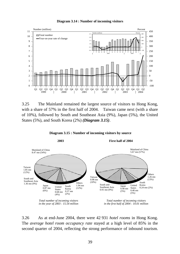



3.25 The Mainland remained the largest source of visitors to Hong Kong, with a share of 57% in the first half of 2004. Taiwan came next (with a share of 10%), followed by South and Southeast Asia (9%), Japan (5%), the United States (5%), and South Korea (2%) *(Diagram 3.15)*.





3.26 As at end-June 2004, there were 42 931 *hotel rooms* in Hong Kong. The *average hotel room occupancy rate* stayed at a high level of 85% in the second quarter of 2004, reflecting the strong performance of inbound tourism.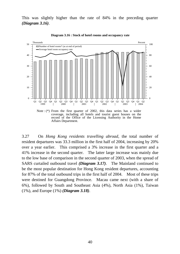This was slightly higher than the rate of 84% in the preceding quarter *(Diagram 3.16)*.



**Diagram 3.16 : Stock of hotel rooms and occupancy rate**

3.27 On *Hong Kong residents travelling abroad*, the total number of resident departures was 33.3 million in the first half of 2004, increasing by 20% over a year earlier. This comprised a 3% increase in the first quarter and a 41% increase in the second quarter. The latter large increase was mainly due to the low base of comparison in the second quarter of 2003, when the spread of SARS curtailed outbound travel *(Diagram 3.17)*. The Mainland continued to be the most popular destination for Hong Kong resident departures, accounting for 87% of the total outbound trips in the first half of 2004. Most of these trips were destined for Guangdong Province. Macau came next (with a share of 6%), followed by South and Southeast Asia (4%), North Asia (1%), Taiwan (1%), and Europe (1%) *(Diagram 3.18)*.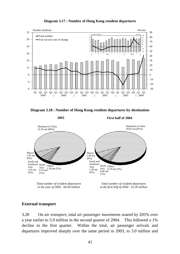

**Diagram 3.17 : Number of Hong Kong resident departures**





*Total number of resident departures in the year of 2003 : 60.94 million*

*Total number of resident departures in the first half of 2004 : 33.26 million*

# **External transport**

3.28 On *air transport*, total *air passenger movements* soared by 205% over a year earlier to 5.9 million in the second quarter of 2004. This followed a 1% decline in the first quarter. Within the total, air passenger arrivals and departures improved sharply over the same period in 2003, to 3.0 million and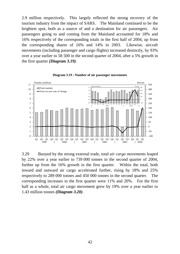2.9 million respectively. This largely reflected the strong recovery of the tourism industry from the impact of SARS. The Mainland continued to be the brightest spot, both as a source of and a destination for air passengers. Air passengers going to and coming from the Mainland accounted for 18% and 16% respectively of the corresponding totals in the first half of 2004, up from the corresponding shares of 16% and 14% in 2003. Likewise, aircraft movements (including passenger and cargo flights) increased distinctly, by 93% over a year earlier to 58 500 in the second quarter of 2004, after a 5% growth in the first quarter *(Diagram 3.19)*.



**Diagram 3.19 : Number of air passenger movements**

3.29 Buoyed by the strong external trade, total *air cargo movements* leaped by 22% over a year earlier to 739 000 tonnes in the second quarter of 2004, further up from the 16% growth in the first quarter. Within the total, both inward and outward air cargo accelerated further, rising by 18% and 25% respectively to 289 000 tonnes and 450 000 tonnes in the second quarter. The corresponding increases in the first quarter were 11% and 20%. For the first half as a whole, total air cargo movement grew by 19% over a year earlier to 1.43 million tonnes *(Diagram 3.20)*.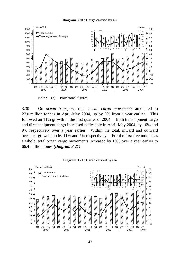#### **Diagram 3.20 : Cargo carried by air**



Note :  $(*)$  Provisional figures.

3.30 On *ocean transport*, total *ocean cargo movements* amounted to 27.0 million tonnes in April-May 2004, up by 9% from a year earlier. This followed an 11% growth in the first quarter of 2004. Both transhipment cargo and direct shipment cargo increased noticeably in April-May 2004, by 10% and 9% respectively over a year earlier. Within the total, inward and outward ocean cargo went up by 11% and 7% respectively. For the first five months as a whole, total ocean cargo movements increased by 10% over a year earlier to 66.4 million tones *(Diagram 3.21)*.



**Diagram 3.21 : Cargo carried by sea**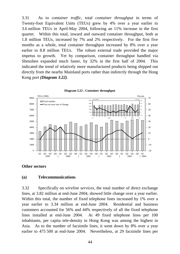3.31 As to *container traffic*, total *container throughput* in terms of Twenty-foot Equivalent Units (TEUs) grew by 4% over a year earlier to 3.6 million TEUs in April-May 2004, following an 11% increase in the first quarter. Within this total, inward and outward container throughput, both at 1.8 million TEUs, increased by 7% and 2% respectively. For the first five months as a whole, total container throughput increased by 8% over a year earlier to 8.8 million TEUs. The robust external trade provided the major impetus to growth. Yet by comparison, container throughput handled via Shenzhen expanded much faster, by 32% in the first half of 2004. This indicated the trend of relatively more manufactured products being shipped out directly from the nearby Mainland ports rather than indirectly through the Hong Kong port *(Diagram 3.22)*.





#### **Other sectors**

#### **(a) Telecommunications**

3.32 Specifically on *wireline services*, the total number of direct exchange lines, at 3.82 million at end-June 2004, showed little change over a year earlier. Within this total, the number of fixed telephone lines increased by 1% over a year earlier to 3.34 million at end-June 2004. Residential and business customers accounted for 56% and 44% respectively of all the fixed telephone lines installed at end-June 2004. At 49 fixed telephone lines per 100 inhabitants, per capita tele-density in Hong Kong was among the highest in Asia. As to the number of facsimile lines, it went down by 8% over a year earlier to 475 500 at end-June 2004. Nevertheless, at 29 facsimile lines per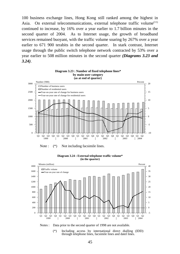100 business exchange lines, Hong Kong still ranked among the highest in Asia. On external telecommunications, external telephone traffic volume $(11)$ continued to increase, by 16% over a year earlier to 1.7 billion minutes in the second quarter of 2004. As to Internet usage, the growth of broadband services remained buoyant, with the traffic volume soaring by 267% over a year earlier to 671 900 terabits in the second quarter. In stark contrast, Internet usage through the public switch telephone network contracted by 53% over a year earlier to 508 million minutes in the second quarter *(Diagrams 3.23 and 3.24)*.



Note :  $(*)$  Not including facsimile lines.



**Diagram 3.24 : External telephone traffic volume\* (in the quarter)**



(\*) Including access by international direct dialling (IDD) through telephone lines, facsimile lines and datel lines.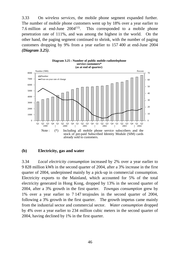3.33 On *wireless services*, the mobile phone segment expanded further. The number of mobile phone customers went up by 18% over a year earlier to 7.6 million at end-June  $2004^{(12)}$ . This corresponded to a mobile phone penetration rate of 111%, and was among the highest in the world. On the other hand, the paging segment continued to shrink, with the number of paging customers dropping by 9% from a year earlier to 157 400 at end-June 2004 *(Diagram 3.25)*.





#### **(b) Electricity, gas and water**

3.34 *Local electricity consumption* increased by 2% over a year earlier to 9 828 million kWh in the second quarter of 2004, after a 3% increase in the first quarter of 2004, underpinned mainly by a pick-up in commercial consumption. Electricity exports to the Mainland, which accounted for 5% of the total electricity generated in Hong Kong, dropped by 13% in the second quarter of 2004, after a 3% growth in the first quarter. *Towngas consumption* grew by 1% over a year earlier to 7 147 terajoules in the second quarter of 2004, following a 3% growth in the first quarter. The growth impetus came mainly from the industrial sector and commercial sector. *Water consumption* dropped by 4% over a year earlier to 234 million cubic meters in the second quarter of 2004, having declined by 1% in the first quarter.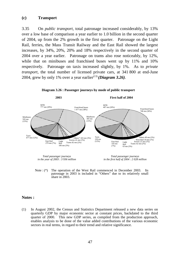#### **(c) Transport**

3.35 On *public transport*, total patronage increased considerably, by 13% over a low base of comparison a year earlier to 1.0 billion in the second quarter of 2004, up from the 2% growth in the first quarter. Patronage on the Light Rail, ferries, the Mass Transit Railway and the East Rail showed the largest increases, by 34%, 20%, 20% and 18% respectively in the second quarter of 2004 over a year earlier. Patronage on trams also rose noticeably, by 12%, while that on minibuses and franchised buses went up by 11% and 10% respectively. Patronage on taxis increased slightly, by 1%. As to *private transport*, the total number of licensed private cars, at 341 800 at end-June 2004, grew by only 1% over a year earlier<sup> $(13)$ </sup> *(Diagram 3.26)*.



Note : (\*) The operation of the West Rail commenced in December 2003. Its patronage in 2003 is included in "Others" due to its relatively small share in 2003.

#### **Notes :**

(1) In August 2002, the Census and Statistics Department released a new data series on quarterly GDP by major economic sector at constant prices, backdated to the third quarter of 2000. This new GDP series, as compiled from the production approach, enables analysis to be done of the value added contributions of the various economic sectors in real terms, in regard to their trend and relative significance.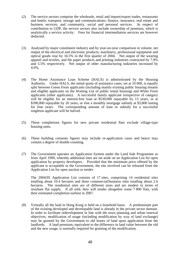- (2) The service sectors comprise the wholesale, retail and import/export trades, restaurants and hotels; transport, storage and communications; finance, insurance, real estate and business services; and community, social and personal services. In respect of contribution to GDP, the service sectors also include ownership of premises, which is analytically a service activity. Fees for financial intermediation services are however deducted.
- (3) Analysed by major constituent industry and by year-on-year comparison in volume, net output of the electrical and electronic products, machinery, professional equipment and optical goods rose by 16.5% in the first quarter of 2004. Net output of the wearing apparel and textiles, and the paper products and printing industries contracted by 7.9% and 5.5% respectively. Net output of other manufacturing industries increased by 4.0%.
- (4) The Home Assistance Loan Scheme (HALS) is administrated by the Housing Authority. Under HALS, the initial quota of assistance cases, set at 10 000, is equally split between Green Form applicants (including mainly existing public housing tenants and eligible applicants on the Waiting List of public rental housing) and White Form applicants (other applicants). A successful family applicant irrespective of category will be eligible for an interest-free loan at \$530,000 repayable by 13 years, or at \$390,000 repayable by 20 years, or else a monthly mortgage subsidy at \$3,800 lasting for four years. The corresponding amount of loan or subsidy for a successful singleton applicant will be halved.
- (5) These completions figures for new private residential flats exclude village-type housing units.
- (6) These building consents figures may include re-application cases and hence may contain a degree of double-counting.
- (7) The Government operates an Application System under the Land Sale Programme as from April 1999, whereby additional sites are set aside on an Application List for open application by property developers. Provided that the minimum price offered by the applicant is acceptable to the Government, the site involved can be released from the Application List for open auction or tender.

The 2004/05 Application List consists of 17 sites, comprising 14 residential sites totalling about 10.4 hectares and three commercial/business sites totalling about 2.6 hectares. The residential sites are of different sizes and are modest in terms of resultant flat supply. If all sold, they will render altogether some 7 800 flats, with their estimated completion earliest in 2007.

(8) Virtually all the land in Hong Kong is held on a leasehold basis. A predominant part of the existing developed and developable land is already in the private sector domain. In order to facilitate redevelopment in line with the town planning and urban renewal objectives, modification of usage (including modification by way of land exchange) may be granted by the Government to old leases of land upon application from the landlords. A land premium, equivalent to the difference in land value between the old and the new usage, is normally required for granting of the modification.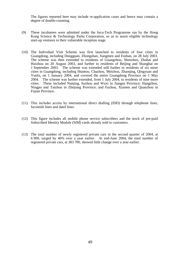The figures reported here may include re-application cases and hence may contain a degree of double-counting.

- (9) These incubatees were admitted under the Incu-Tech Programme run by the Hong Kong Science & Technology Parks Corporation, so as to assist eligible technology start-up ventures in their vulnerable inception stage.
- (10) The Individual Visit Scheme was first launched to residents of four cities in Guangdong, including Dongguan, Zhongshan, Jiangmen and Foshan, on 28 July 2003. The scheme was then extended to residents of Guangzhou, Shenzhen, Zhuhai and Huizhou on 20 August 2003, and further to residents of Beijing and Shanghai on 1 September 2003. The scheme was extended still further to residents of six more cities in Guangdong, including Shantou, Chazhou, Meizhou, Zhaoqing, Qingyuan and Yunfu, on 1 January 2004, and covered the entire Guangdong Province on 1 May 2004. The scheme was further extended, from 1 July 2004, to residents of nine more cities. These included Nanjing, Suzhou and Wuxi in Jiangsu Province; Hangzhou, Ningpo and Taizhou in Zhejiang Province; and Fuzhou, Xiamen and Quanzhou in Fujian Province.
- (11) This includes access by international direct dialling (IDD) through telephone lines, facsimile lines and datel lines.
- (12) This figure includes all mobile phone service subscribers and the stock of pre-paid Subscribed Identity Module (SIM) cards already sold to customers.
- (13) The total number of newly registered private cars in the second quarter of 2004, at 6 900, surged by 46% over a year earlier. At end-June 2004, the total number of registered private cars, at 383 700, showed little change over a year earlier.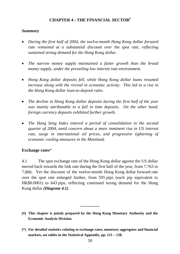# **CHAPTER 4 : THE FINANCIAL SECTOR#**

#### *Summary*

- *During the first half of 2004, the twelve-month Hong Kong dollar forward rate remained at a substantial discount over the spot rate, reflecting sustained strong demand for the Hong Kong dollar.*
- *The narrow money supply maintained a faster growth than the broad money supply, under the prevailing low interest rate environment.*
- *Hong Kong dollar deposits fell, while Hong Kong dollar loans resumed increase along with the revival in economic activity. This led to a rise in the Hong Kong dollar loan-to-deposit ratio.*
- *The decline in Hong Kong dollar deposits during the first half of the year was mainly attributable to a fall in time deposits. On the other hand, foreign currency deposits exhibited further growth.*
- *The Hang Seng Index entered a period of consolidation in the second quarter of 2004, amid concern about a more imminent rise in US interest rate, surge in international oil prices, and progressive tightening of economic cooling measures in the Mainland.*

# **Exchange rates**\*

4.1 The spot exchange rate of the Hong Kong dollar against the US dollar moved back towards the link rate during the first half of the year, from 7.763 to 7.800. Yet the discount of the twelve-month Hong Kong dollar forward rate over the spot rate enlarged further, from 595 pips (each pip equivalent to HK\$0.0001) to 643 pips, reflecting continued strong demand for the Hong Kong dollar *(Diagram 4.1)*.

**(#) This chapter is jointly prepared by the Hong Kong Monetary Authority and the Economic Analysis Division.**

**\_\_\_\_\_\_\_\_\_**

**(\*) For detailed statistics relating to exchange rates, monetary aggregates and financial markets, see tables in the Statistical Appendix, pp. 121 – 128.**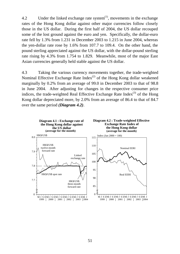4.2 Under the linked exchange rate system $^{(1)}$ , movements in the exchange rates of the Hong Kong dollar against other major currencies follow closely those in the US dollar. During the first half of 2004, the US dollar recouped some of the lost ground against the euro and yen. Specifically, the dollar-euro rate fell by 1.3% from 1.231 in December 2003 to 1.215 in June 2004, whereas the yen-dollar rate rose by 1.6% from 107.7 to 109.4. On the other hand, the pound sterling appreciated against the US dollar, with the dollar-pound sterling rate rising by 4.3% from 1.754 to 1.829. Meanwhile, most of the major East Asian currencies generally held stable against the US dollar.

4.3 Taking the various currency movements together, the trade-weighted Nominal Effective Exchange Rate Index<sup>(2)</sup> of the Hong Kong dollar weakened marginally by 0.2% from an average of 99.0 in December 2003 to that of 98.8 in June 2004. After adjusting for changes in the respective consumer price indices, the trade-weighted Real Effective Exchange Rate Index<sup>(3)</sup> of the Hong Kong dollar depreciated more, by 2.0% from an average of 86.4 to that of 84.7 over the same period *(Diagram 4.2)*.

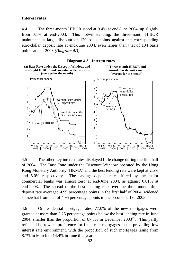#### **Interest rates**

4.4 The three-month HIBOR stood at 0.4% at end-June 2004, up slightly from 0.1% at end-2003. This notwithstanding, the three-month HIBOR maintained a large discount of 120 basis points against the corresponding euro-dollar deposit rate at end-June 2004, even larger than that of 104 basis points at end-2003 *(Diagram 4.3)*.



4.5 The other key interest rates displayed little change during the first half of 2004. The Base Rate under the Discount Window operated by the Hong Kong Monetary Authority (HKMA) and the best lending rate were kept at 2.5% and 5.0% respectively. The savings deposit rate offered by the major commercial banks was almost zero at end-June 2004, as against 0.01% at end-2003. The spread of the best lending rate over the three-month time deposit rate averaged 4.99 percentage points in the first half of 2004, widened somewhat from that of 4.95 percentage points in the second half of 2003.

4.6 On residential mortgage rates, 77.0% of the new mortgages were granted at more than 2.25 percentage points below the best lending rate in June 2004, smaller than the proportion of 87.5% in December  $2003<sup>(4)</sup>$ . This partly reflected borrowers' preference for fixed rate mortgages in the prevailing low interest rate environment, with the proportion of such mortgages rising from 8.7% in March to 14.4% in June this year.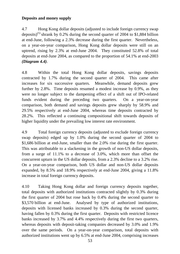# **Deposits and money supply**

4.7 Hong Kong dollar deposits (adjusted to include foreign currency swap deposits)<sup>(5)</sup> shrank by 0.2% during the second quarter of 2004 to \$1,884 billion at end-June, following a 2.3% decrease during the first quarter. Nevertheless, on a year-on-year comparison, Hong Kong dollar deposits were still on an uptrend, rising by 2.3% at end-June 2004. They constituted 52.8% of total deposits at end-June 2004, as compared to the proportion of 54.1% at end-2003 *(Diagram 4.4)*.

4.8 Within the total Hong Kong dollar deposits, savings deposits contracted by 1.7% during the second quarter of 2004. This came after increases for six successive quarters. Meanwhile, demand deposits grew further by 2.8%. Time deposits resumed a modest increase by 0.9%, as they were no longer subject to the dampening effect of a shift out of IPO-related funds evident during the preceding two quarters. On a year-on-year comparison, both demand and savings deposits grew sharply by 58.9% and 29.5% respectively at end-June 2004, whereas time deposits contracted by 28.2%. This reflected a continuing compositional shift towards deposits of higher liquidity under the prevailing low interest rate environment.

4.9 Total foreign currency deposits (adjusted to exclude foreign currency swap deposits) edged up by 1.0% during the second quarter of 2004 to \$1,686 billion at end-June, smaller than the 2.0% rise during the first quarter. This was attributable to a slackening in the growth of non-US dollar deposits, from a surge of 11.1% to a decrease of 3.0%, which more than offset the concurrent upturn in the US dollar deposits, from a 2.3% decline to a 3.2% rise. On a year-on-year comparison, both US dollar and non-US dollar deposits expanded, by 8.5% and 18.9% respectively at end-June 2004, giving a 11.8% increase in total foreign currency deposits.

4.10 Taking Hong Kong dollar and foreign currency deposits together, total deposits with authorized institutions contracted slightly by 0.3% during the first quarter of 2004 but rose back by 0.4% during the second quarter to \$3,570 billion at end-June. Analysed by type of authorized institutions, deposits with licensed banks increased by 0.3% during the second quarter, having fallen by 0.3% during the first quarter. Deposits with restricted licence banks increased by 3.7% and 4.4% respectively during the first two quarters, whereas deposits with deposit-taking companies decreased by 3.0% and 1.9% over the same periods. On a year-on-year comparison, total deposits with authorized institutions went up by 6.5% at end-June 2004, comprising increases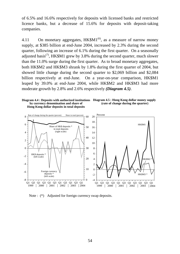of 6.5% and 16.6% respectively for deposits with licensed banks and restricted licence banks, but a decrease of 15.6% for deposits with deposit-taking companies.

4.11 On monetary aggregates,  $HK$M1^{(6)}$ , as a measure of narrow money supply, at \$385 billion at end-June 2004, increased by 2.3% during the second quarter, following an increase of 6.1% during the first quarter. On a seasonally adjusted basis<sup>(7)</sup>, HK\$M1 grew by 3.8% during the second quarter, much slower than the 11.0% surge during the first quarter. As to broad monetary aggregates, both HK\$M2 and HK\$M3 shrank by 1.8% during the first quarter of 2004, but showed little change during the second quarter to \$2,069 billion and \$2,084 billion respectively at end-June. On a year-on-year comparison, HK\$M1 leaped by 39.0% at end-June 2004, while HK\$M2 and HK\$M3 had more moderate growth by 2.8% and 2.6% respectively *(Diagram 4.5)*.







Note :  $(*)$  Adjusted for foreign currency swap deposits.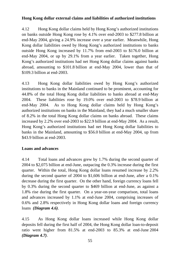# **Hong Kong dollar external claims and liabilities of authorized institutions**

4.12 Hong Kong dollar claims held by Hong Kong's authorized institutions on banks outside Hong Kong rose by 4.1% over end-2003 to \$277.8 billion at end-May 2004, giving a 24.9% increase over a year earlier. Meanwhile, Hong Kong dollar liabilities owed by Hong Kong's authorized institutions to banks outside Hong Kong increased by 11.7% from end-2003 to \$176.0 billion at end-May 2004, or up by 29.1% from a year earlier. Taken together, Hong Kong's authorized institutions had net Hong Kong dollar claims against banks abroad, amounting to \$101.8 billion at end-May 2004, lower than that of \$109.3 billion at end-2003.

4.13 Hong Kong dollar liabilities owed by Hong Kong's authorized institutions to banks in the Mainland continued to be prominent, accounting for 44.8% of the total Hong Kong dollar liabilities to banks abroad at end-May 2004. These liabilities rose by 19.0% over end-2003 to \$78.9 billion at end-May 2004. As to Hong Kong dollar claims held by Hong Kong's authorized institutions on banks in the Mainland, they had a much smaller share of 8.2% in the total Hong Kong dollar claims on banks abroad. These claims increased by 2.2% over end-2003 to \$22.9 billion at end-May 2004. As a result, Hong Kong's authorized institutions had net Hong Kong dollar liabilities to banks in the Mainland, amounting to \$56.0 billion at end-May 2004, up from \$43.9 billion at end-2003.

# **Loans and advances**

4.14 Total loans and advances grew by 1.7% during the second quarter of 2004 to \$2,075 billion at end-June, outpacing the 0.3% increase during the first quarter. Within the total, Hong Kong dollar loans resumed increase by 2.2% during the second quarter of 2004 to \$1,606 billion at end-June, after a 0.1% decrease during the first quarter. On the other hand, foreign currency loans fell by 0.3% during the second quarter to \$469 billion at end-June, as against a 1.8% rise during the first quarter. On a year-on-year comparison, total loans and advances increased by 1.1% at end-June 2004, comprising increases of 0.6% and 2.8% respectively in Hong Kong dollar loans and foreign currency loans *(Diagram 4.6)*.

4.15 As Hong Kong dollar loans increased while Hong Kong dollar deposits fell during the first half of 2004, the Hong Kong dollar loan-to-deposit ratio went higher from 81.5% at end-2003 to 85.3% at end-June 2004 *(Diagram 4.7)*.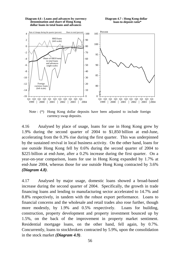**Diagram 4.6 : Loans and advances by currency denomination and share of Hong Kong dollar loans in total loans and advances**

**Diagram 4.7 : Hong Kong dollar loan-to-deposit ratio\***



Note : (\*) Hong Kong dollar deposits have been adjusted to include foreign currency swap deposits.

4.16 Analysed by place of usage, loans for use in Hong Kong grew by 1.9% during the second quarter of 2004 to \$1,850 billion at end-June, accelerating from the 0.3% rise during the first quarter. This was underpinned by the sustained revival in local business activity. On the other hand, loans for use outside Hong Kong fell by 0.6% during the second quarter of 2004 to \$225 billion at end-June, after a 0.2% increase during the first quarter. On a year-on-year comparison, loans for use in Hong Kong expanded by 1.7% at end-June 2004, whereas those for use outside Hong Kong contracted by 3.6% *(Diagram 4.8)*.

4.17 Analysed by major usage, domestic loans showed a broad-based increase during the second quarter of 2004. Specifically, the growth in trade financing loans and lending to manufacturing sector accelerated to 14.7% and 8.8% respectively, in tandem with the robust export performance. Loans to financial concerns and the wholesale and retail trades also rose further, though more modestly, by 1.9% and 0.5% respectively. Loans for building, construction, property development and property investment bounced up by 1.5%, on the back of the improvement in property market sentiment. Residential mortgage loans, on the other hand, fell again, by 0.7%. Concurrently, loans to stockbrokers contracted by 5.9%, upon the consolidation in the stock market *(Diagram 4.9)*.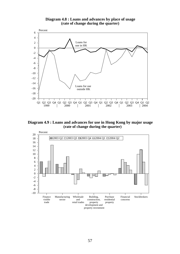

**Diagram 4.8 : Loans and advances by place of usage (rate of change during the quarter)**

**Diagram 4.9 : Loans and advances for use in Hong Kong by major usage (rate of change during the quarter)**

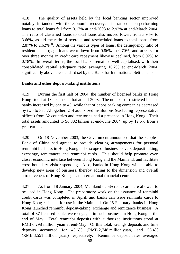4.18 The quality of assets held by the local banking sector improved notably, in tandem with the economic recovery. The ratio of non-performing loans to total loans fell from 3.17% at end-2003 to 2.92% at end-March 2004. The ratio of classified loans to total loans also moved lower, from 3.94% to 3.66%, as did the ratio of overdue and rescheduled loans to total loans, from 2.87% to 2.62% $(8)$ . Among the various types of loans, the delinquency ratio of residential mortgage loans went down from 0.86% to 0.70%, and arrears for over three months in credit card repayment likewise declined, from 0.92% to 0.78%. In overall terms, the local banks remained well capitalised, with their consolidated capital adequacy ratio averaging 16.2% at end-March 2004, significantly above the standard set by the Bank for International Settlements.

# **Banks and other deposit-taking institutions**

4.19 During the first half of 2004, the number of licensed banks in Hong Kong stood at 134, same as that at end-2003. The number of restricted licence banks increased by one to 43, while that of deposit-taking companies decreased by two to 37. Altogether, 214 authorized institutions (excluding representative offices) from 32 countries and territories had a presence in Hong Kong. Their total assets amounted to \$6,802 billion at end-June 2004, up by 12.5% from a year earlier.

4.20 On 18 November 2003, the Government announced that the People's Bank of China had agreed to provide clearing arrangements for personal renminbi business in Hong Kong. The scope of business covers deposit-taking, exchange, remittances and renminbi cards. This should help promote even closer economic interface between Hong Kong and the Mainland, and facilitate cross-boundary visitor spending. Also, banks in Hong Kong will be able to develop new areas of business, thereby adding to the dimension and overall attractiveness of Hong Kong as an international financial centre.

4.21 As from 18 January 2004, Mainland debit/credit cards are allowed to be used in Hong Kong. The preparatory work on the issuance of renminbi credit cards was completed in April, and banks can issue renminbi cards to Hong Kong residents for use in the Mainland. On 25 February, banks in Hong Kong launched renminbi deposit-taking, exchange and remittance business. A total of 37 licensed banks were engaged in such business in Hong Kong at the end of May. Total renminbi deposits with authorized institutions stood at RMB 6,298 million yuan at end-May. Of this total, savings deposits and time deposits accounted for 43.6% (RMB 2,748 million yuan) and 56.4% (RMB 3,551 million yuan) respectively. Renminbi deposit rates averaged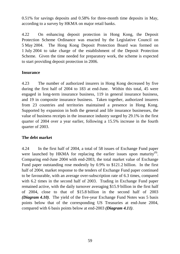0.51% for savings deposits and 0.58% for three-month time deposits in May, according to a survey by HKMA on major retail banks.

4.22 On enhancing deposit protection in Hong Kong, the Deposit Protection Scheme Ordinance was enacted by the Legislative Council on 5 May 2004. The Hong Kong Deposit Protection Board was formed on 1 July 2004 to take charge of the establishment of the Deposit Protection Scheme. Given the time needed for preparatory work, the scheme is expected to start providing deposit protection in 2006.

# **Insurance**

4.23 The number of authorized insurers in Hong Kong decreased by five during the first half of 2004 to 183 at end-June. Within this total, 45 were engaged in long-term insurance business, 119 in general insurance business, and 19 in composite insurance business. Taken together, authorized insurers from 23 countries and territories maintained a presence in Hong Kong. Supported by expansion in both the general and life insurance businesses, the value of business receipts in the insurance industry surged by 29.1% in the first quarter of 2004 over a year earlier, following a 15.5% increase in the fourth quarter of 2003.

# **The debt market**

4.24 In the first half of 2004, a total of 58 issues of Exchange Fund paper were launched by HKMA for replacing the earlier issues upon maturity<sup>(9)</sup>. Comparing end-June 2004 with end-2003, the total market value of Exchange Fund paper outstanding rose modestly by 0.9% to \$121.2 billion. In the first half of 2004, market response to the tenders of Exchange Fund paper continued to be favourable, with an average over-subscription rate of 6.3 times, compared with 6.2 times in the second half of 2003. Trading in Exchange Fund paper remained active, with the daily turnover averaging \$15.9 billion in the first half of 2004, close to that of \$15.8 billion in the second half of 2003 *(Diagram 4.10)*. The yield of the five-year Exchange Fund Notes was 5 basis points below that of the corresponding US Treasuries at end-June 2004, compared with 6 basis points below at end-2003 *(Diagram 4.11)*.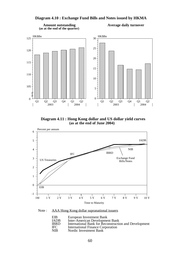#### Q1 Q2 Q3 Q4 Q1 Q2  $\overline{0}$ 105 110 115 120  $125 \frac{\text{HK$Bn}}{1}$ Q1 Q2 Q3 Q4 Q1 Q2  $Q^2$   $Q^3$   $Q^4$   $Q^1$   $Q^0$ <br>2003  $\frac{Q^1}{2004}$ 0 5 10 15 20 25  $30 \frac{\text{HK$Bn}}{1}$

#### **Diagram 4.10 : Exchange Fund Bills and Notes issued by HKMA**

**Amount outstanding (as at the end of the quarter)**

2003 2004

#### **Average daily turnover**

 $\overline{\phantom{a}}$ 

**Diagram 4.11 : Hong Kong dollar and US dollar yield curves (as at the end of June 2004)**

 $\overline{\phantom{a}}$ 



Note : AAA Hong Kong dollar supranational issuers

| European Investment Bank                              |
|-------------------------------------------------------|
| Inter-American Development Bank                       |
| International Bank for Reconstruction and Development |
| <b>International Finance Corporation</b>              |
| Nordic Investment Bank                                |
|                                                       |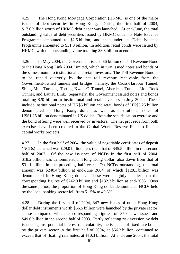4.25 The Hong Kong Mortgage Corporation (HKMC) is one of the major issuers of debt securities in Hong Kong. During the first half of 2004, \$17.6 billion worth of HKMC debt paper was launched. At end-June, the total outstanding value of debt securities issued by HKMC under its Note Issuance Programme amounted to \$2.5 billion, and that under its Debt Issuance Programme amounted to \$31.3 billion. In addition, retail bonds were issued by HKMC, with the outstanding value totalling \$8.3 billion at end-June.

4.26 In May 2004, the Government issued \$6 billion of Toll Revenue Bond to the Hong Kong Link 2004 Limited, which in turn issued notes and bonds of the same amount to institutional and retail investors. The Toll Revenue Bond is to be repaid quarterly by the net toll revenue receivable from the Government-owned tunnels and bridges, namely, the Cross-Harbour Tunnel, Shing Mun Tunnels, Tseung Kwan O Tunnel, Aberdeen Tunnel, Lion Rock Tunnel, and Lautau Link. Separately, the Government issued notes and bonds totalling \$20 billion to institutional and retail investors in July 2004. These include institutional notes of HK\$5 billion and retail bonds of HK\$5.25 billion denominated in Hong Kong dollar as well as institutional notes of US\$1.25 billion denominated in US dollar. Both the securitisation exercise and the bond offering were well received by investors. The net proceeds from both exercises have been credited to the Capital Works Reserve Fund to finance capital works projects.

4.27 In the first half of 2004, the value of negotiable certificates of deposit (NCDs) launched was \$29.0 billion, less than that of \$45.5 billion in the second half of 2003. Of the new issuance of NCDs in the first half of 2004, \$18.2 billion was denominated in Hong Kong dollar, also down from that of \$31.1 billion in the preceding half year. On NCDs outstanding, the total amount was \$240.4 billion at end-June 2004, of which \$128.1 billion was denominated in Hong Kong dollar. These were slightly smaller than the corresponding figures of \$242.3 billion and \$132.3 billion at end-2003. Over the same period, the proportion of Hong Kong dollar-denominated NCDs held by the local banking sector fell from 51.5% to 49.3%.

4.28 During the first half of 2004, 347 new issues of other Hong Kong dollar debt instruments worth \$66.5 billion were launched by the private sector. These compared with the corresponding figures of 350 new issues and \$49.0 billion in the second half of 2003. Partly reflecting risk aversion by debt issuers against potential interest rate volatility, the issuance of fixed rate bonds by the private sector in the first half of 2004, at \$56.2 billion, continued to exceed that of floating rate notes, at \$10.3 billion. At end-June 2004, the total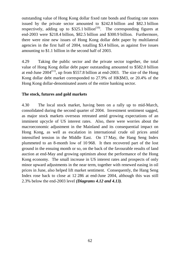outstanding value of Hong Kong dollar fixed rate bonds and floating rate notes issued by the private sector amounted to \$242.8 billion and \$82.3 billion respectively, adding up to  $$325.1$  billion<sup> $(10)$ </sup>. The corresponding figures at end-2003 were \$218.4 billion, \$82.5 billion and \$300.9 billion. Furthermore, there were nine new issues of Hong Kong dollar debt paper by multilateral agencies in the first half of 2004, totalling \$3.4 billion, as against five issues amounting to \$1.1 billion in the second half of 2003.

4.29 Taking the public sector and the private sector together, the total value of Hong Kong dollar debt paper outstanding amounted to \$582.0 billion at end-June  $2004^{(11)}$ , up from \$557.8 billion at end-2003. The size of the Hong Kong dollar debt market corresponded to 27.9% of HK\$M3, or 20.4% of the Hong Kong dollar-denominated assets of the entire banking sector.

# **The stock, futures and gold markets**

4.30 The local stock market, having been on a rally up to mid-March, consolidated during the second quarter of 2004. Investment sentiment sagged, as major stock markets overseas retreated amid growing expectations of an imminent upcycle of US interest rates. Also, there were worries about the macroeconomic adjustment in the Mainland and its consequential impact on Hong Kong, as well as escalation in international crude oil prices amid intensified tension in the Middle East. On 17 May, the Hang Seng Index plummeted to an 8-month low of 10 968. It then recovered part of the lost ground in the ensuing month or so, on the back of the favourable results of land auction at end-May and growing optimism about the performance of the Hong Kong economy. The small increase in US interest rates and prospects of only minor upward adjustments in the near term, together with renewed easing in oil prices in June, also helped lift market sentiment. Consequently, the Hang Seng Index rose back to close at 12 286 at end-June 2004, although this was still 2.3% below the end-2003 level *(Diagrams 4.12 and 4.13)*.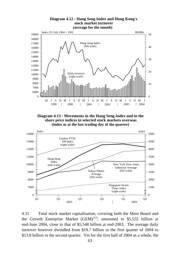**Diagram 4.12 : Hang Seng Index and Hong Kong's stock market turnover (average for the month)**



**Diagram 4.13 : Movements in the Hang Seng Index and in the share price indices in selected stock markets overseas (index as at the last trading day of the quarter)**



4.31 Total stock market capitalisation, covering both the Main Board and the Growth Enterprise Market  $(GEM)^{(12)}$ , amounted to \$5,555 billion at end-June 2004, close to that of \$5,548 billion at end-2003. The average daily turnover however dwindled from \$19.7 billion in the first quarter of 2004 to \$13.8 billion in the second quarter. Yet for the first half of 2004 as a whole, the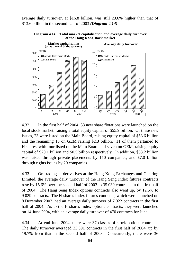average daily turnover, at \$16.8 billion, was still 23.6% higher than that of \$13.6 billion in the second half of 2003 *(Diagram 4.14)*.



**Diagram 4.14 : Total market capitalisation and average daily turnover of the Hong Kong stock market**

4.32 In the first half of 2004, 38 new share flotations were launched on the local stock market, raising a total equity capital of \$55.9 billion. Of these new issues, 23 were listed on the Main Board, raising equity capital of \$53.6 billion and the remaining 15 on GEM raising \$2.3 billion. 11 of them pertained to H shares, with four listed on the Main Board and seven on GEM, raising equity capital of \$20.1 billion and \$0.5 billion respectively. In addition, \$33.2 billion was raised through private placements by 110 companies, and \$7.0 billion through rights issues by 20 companies.

4.33 On trading in derivatives at the Hong Kong Exchanges and Clearing Limited, the average daily turnover of the Hang Seng Index futures contracts rose by 15.6% over the second half of 2003 to 35 039 contracts in the first half of 2004. The Hang Seng Index options contracts also went up, by 12.5% to 9 029 contracts. The H-shares Index futures contracts, which were launched on 8 December 2003, had an average daily turnover of 7 022 contracts in the first half of 2004. As to the H-shares Index options contracts, they were launched on 14 June 2004, with an average daily turnover of 470 contracts for June.

4.34 At end-June 2004, there were 37 classes of stock options contracts. The daily turnover averaged 23 391 contracts in the first half of 2004, up by 19.7% from that in the second half of 2003. Concurrently, there were 36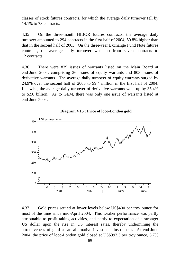classes of stock futures contracts, for which the average daily turnover fell by 14.1% to 73 contracts.

4.35 On the three-month HIBOR futures contracts, the average daily turnover amounted to 294 contracts in the first half of 2004, 59.8% higher than that in the second half of 2003. On the three-year Exchange Fund Note futures contracts, the average daily turnover went up from seven contracts to 12 contracts.

4.36 There were 839 issues of warrants listed on the Main Board at end-June 2004, comprising 36 issues of equity warrants and 803 issues of derivative warrants. The average daily turnover of equity warrants surged by 24.9% over the second half of 2003 to \$9.4 million in the first half of 2004. Likewise, the average daily turnover of derivative warrants went up by 35.4% to \$2.0 billion. As to GEM, there was only one issue of warrants listed at end-June 2004.





4.37 Gold prices settled at lower levels below US\$400 per troy ounce for most of the time since mid-April 2004. This weaker performance was partly attributable to profit-taking activities, and partly to expectation of a stronger US dollar upon the rise in US interest rates, thereby undermining the attractiveness of gold as an alternative investment instrument. At end-June 2004, the price of loco-London gold closed at US\$393.3 per troy ounce, 5.7%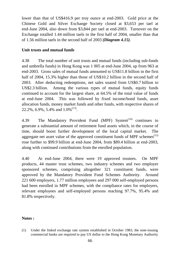lower than that of US\$416.9 per troy ounce at end-2003. Gold price at the Chinese Gold and Silver Exchange Society closed at \$3,653 per tael at end-June 2004, also down from \$3,844 per tael at end-2003. Turnover on the Exchange totalled 1.44 million taels in the first half of 2004, smaller than that of 1.56 million taels in the second half of 2003 *(Diagram 4.15)*.

# **Unit trusts and mutual funds**

4.38 The total number of unit trusts and mutual funds (including sub-funds and umbrella funds) in Hong Kong was 1 005 at end-June 2004, up from 963 at end-2003. Gross sales of mutual funds amounted to US\$11.8 billion in the first half of 2004, 15.3% higher than those of US\$10.2 billion in the second half of 2003. After deducting redemptions, net sales soared from US\$0.7 billion to US\$2.3 billion. Among the various types of mutual funds, equity funds continued to account for the largest share, at 64.5% of the total value of funds at end-June 2004. This was followed by fixed income/bond funds, asset allocation funds, money market funds and other funds, with respective shares of 22.2%, 6.9%, 5.4% and  $1.0\%^{(13)}$ .

4.39 The Mandatory Provident Fund (MPF) System<sup> $(14)$ </sup> continues to generate a substantial amount of retirement fund assets which, in the course of time, should boost further development of the local capital market. The aggregate net asset value of the approved constituent funds of MPF schemes<sup> $(15)$ </sup> rose further to \$99.9 billion at end-June 2004, from \$89.4 billion at end-2003, along with continued contributions from the enrolled population.

4.40 At end-June 2004, there were 19 approved trustees. On MPF products, 44 master trust schemes, two industry schemes and two employer sponsored schemes, comprising altogether 321 constituent funds, were approved by the Mandatory Provident Fund Schemes Authority. Around 221 600 employers, 1.77 million employees and 297 000 self-employed persons had been enrolled in MPF schemes, with the compliance rates for employers, relevant employees and self-employed persons reaching 97.7%, 95.4% and 81.8% respectively.

# **Notes :**

(1) Under the linked exchange rate system established in October 1983, the note-issuing commercial banks are required to pay US dollar to the Hong Kong Monetary Authority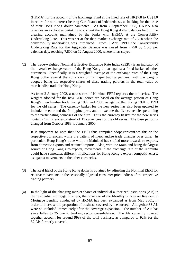(HKMA) for the account of the Exchange Fund at the fixed rate of HK\$7.8 to US\$1.0 in return for non-interest-bearing Certificates of Indebtedness, as backing for the issue of their Hong Kong dollar banknotes. As from 7 September 1998, HKMA also provides an explicit undertaking to convert the Hong Kong dollar balances held in the clearing accounts maintained by the banks with HKMA at the Convertibility Undertaking Rate. This was set at the then market exchange rate of 7.750 when the convertibility undertaking was introduced. From 1 April 1999, the Convertibility Undertaking Rate for the Aggregate Balance was raised from 7.750 by 1 pip per calendar day, reaching 7.800 on 12 August 2000, where it has stayed.

(2) The trade-weighted Nominal Effective Exchange Rate Index (EERI) is an indicator of the overall exchange value of the Hong Kong dollar against a fixed basket of other currencies. Specifically, it is a weighted average of the exchange rates of the Hong Kong dollar against the currencies of its major trading partners, with the weights adopted being the respective shares of these trading partners in the total value of merchandise trade for Hong Kong.

As from 2 January 2002, a new series of Nominal EERI replaces the old series. The weights adopted for the new EERI series are based on the average pattern of Hong Kong's merchandise trade during 1999 and 2000, as against that during 1991 to 1993 for the old series. The currency basket for the new series has also been updated to include the euro and the Philippine peso, and to exclude the five currencies pertaining to the participating countries of the euro. Thus the currency basket for the new series contains 14 currencies, instead of 17 currencies for the old series. The base period is changed from October 1983 to January 2000.

It is important to note that the EERI thus compiled adopt constant weights on the respective currencies, while the pattern of merchandise trade changes over time. In particular, Hong Kong's trade with the Mainland has shifted more towards re-exports, from domestic exports and retained imports. Also, with the Mainland being the largest source of Hong Kong's re-exports, movements in the exchange rate of the renminbi could have somewhat different implications for Hong Kong's export competitiveness, as against movements in the other currencies.

- (3) The Real EERI of the Hong Kong dollar is obtained by adjusting the Nominal EERI for relative movements in the seasonally adjusted consumer price indices of the respective trading partners.
- (4) In the light of the changing market shares of individual authorized institutions (AIs) in the residential mortgage business, the coverage of the Monthly Survey on Residential Mortgage Lending conducted by HKMA has been expanded as from May 2001, in order to increase the proportion of business covered by the survey. Altogether 38 AIs were so included immediately after the coverage expansion. The number of AIs has since fallen to 25 due to banking sector consolidation. The AIs currently covered together account for around 99% of the total business, as compared to 92% for the 32 AIs formerly covered.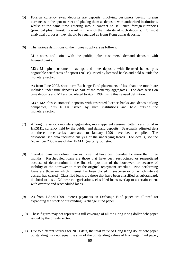- (5) Foreign currency swap deposits are deposits involving customers buying foreign currencies in the spot market and placing them as deposits with authorized institutions, whilst at the same time entering into a contract to sell such foreign currencies (principal plus interest) forward in line with the maturity of such deposits. For most analytical purposes, they should be regarded as Hong Kong dollar deposits.
- (6) The various definitions of the money supply are as follows:

M1 : notes and coins with the public, plus customers' demand deposits with licensed banks.

M2 : M1 plus customers' savings and time deposits with licensed banks, plus negotiable certificates of deposit (NCDs) issued by licensed banks and held outside the monetary sector.

As from June 2002, short-term Exchange Fund placements of less than one month are included under time deposits as part of the monetary aggregates. The data series on time deposits and M2 are backdated to April 1997 using this revised definition.

M3 : M2 plus customers' deposits with restricted licence banks and deposit-taking companies, plus NCDs issued by such institutions and held outside the monetary sector.

- (7) Among the various monetary aggregates, more apparent seasonal patterns are found in HK\$M1, currency held by the public, and demand deposits. Seasonally adjusted data on these three series backdated to January 1990 have been compiled. The deseasonalised data facilitate analysis of the underlying trends. For details, see the November 2000 issue of the HKMA Quarterly Bulletin.
- (8) Overdue loans are defined here as those that have been overdue for more than three months. Rescheduled loans are those that have been restructured or renegotiated because of deterioration in the financial position of the borrower, or because of inability of the borrower to meet the original repayment schedule. Non-performing loans are those on which interest has been placed in suspense or on which interest accrual has ceased. Classified loans are those that have been classified as substandard, doubtful or loss. Of these categorisations, classified loans overlap to a certain extent with overdue and rescheduled loans.
- (9) As from 1 April 1999, interest payments on Exchange Fund paper are allowed for expanding the stock of outstanding Exchange Fund paper.
- (10) These figures may not represent a full coverage of all the Hong Kong dollar debt paper issued by the private sector.
- (11) Due to different sources for NCD data, the total value of Hong Kong dollar debt paper outstanding may not equal the sum of the outstanding values of Exchange Fund paper,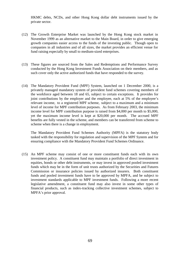HKMC debts, NCDs, and other Hong Kong dollar debt instruments issued by the private sector.

- (12) The Growth Enterprise Market was launched by the Hong Kong stock market in November 1999 as an alternative market to the Main Board, in order to give emerging growth companies easier access to the funds of the investing public. Though open to companies in all industries and of all sizes, the market provides an efficient venue for fund raising especially by small to medium-sized enterprises.
- (13) These figures are sourced from the Sales and Redemptions and Performance Survey conducted by the Hong Kong Investment Funds Association on their members, and as such cover only the active authorized funds that have responded to the survey.
- (14) The Mandatory Provident Fund (MPF) System, launched on 1 December 2000, is a privately managed mandatory system of provident fund schemes covering members of the workforce aged between 18 and 65, subject to certain exceptions. It provides for joint contributions by the employer and the employee, each at 5% of the employee's relevant income, to a registered MPF scheme, subject to a maximum and a minimum level of income for MPF contribution purposes. As from February 2003, the minimum income level for MPF contribution purpose is raised from \$4,000 per month to \$5,000, yet the maximum income level is kept at \$20,000 per month. The accrued MPF benefits are fully vested in the scheme, and members can be transferred from scheme to scheme when there is a change in employment.

The Mandatory Provident Fund Schemes Authority (MPFA) is the statutory body tasked with the responsibility for regulation and supervision of the MPF System and for ensuring compliance with the Mandatory Provident Fund Schemes Ordinance.

(15) An MPF scheme may consist of one or more constituent funds each with its own investment policy. A constituent fund may maintain a portfolio of direct investment in equities, bonds or other debt instruments, or may invest in approved pooled investment funds which may be in the form of unit trusts authorized by the Securities and Futures Commission or insurance policies issued by authorized insurers. Both constituent funds and pooled investment funds have to be approved by MPFA, and be subject to investment standards applicable to MPF investment funds. Following a more recent legislative amendment, a constituent fund may also invest in some other types of financial products, such as index-tracking collective investment schemes, subject to MPFA's prior approval.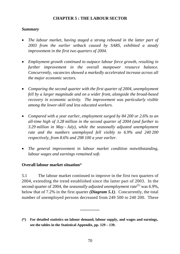## **CHAPTER 5 : THE LABOUR SECTOR**

## *Summary*

- *The labour market, having staged a strong rebound in the latter part of 2003 from the earlier setback caused by SARS, exhibited a steady improvement in the first two quarters of 2004.*
- *Employment growth continued to outpace labour force growth, resulting in further improvement in the overall manpower resource balance. Concurrently, vacancies showed a markedly accelerated increase across all the major economic sectors.*
- *Comparing the second quarter with the first quarter of 2004, unemployment fell by a larger magnitude and on a wider front, alongside the broad-based recovery in economic activity. The improvement was particularly visible among the lower-skill and less educated workers.*
- *Compared with a year earlier, employment surged by 84 200 or 2.6% to an all-time high of 3.28 million in the second quarter of 2004 (and further to 3.29 million in May - July), while the seasonally adjusted unemployment rate and the numbers unemployed fell visibly to 6.9% and 240 200 respectively, from 8.6% and 298 100 a year earlier.*
- *The general improvement in labour market condition notwithstanding, labour wages and earnings remained soft.*

## **Overall labour market situation**\*

5.1 The labour market continued to improve in the first two quarters of 2004, extending the trend established since the latter part of 2003. In the second quarter of 2004, the *seasonally adjusted unemployment rate*<sup>(1)</sup> was 6.9%, below that of 7.2% in the first quarter *(Diagram 5.1)*. Concurrently, the total number of unemployed persons decreased from 249 500 to 240 200. These

**\_\_\_\_\_\_\_\_\_**

**<sup>(\*)</sup> For detailed statistics on labour demand, labour supply, and wages and earnings, see the tables in the Statistical Appendix, pp. 129 – 139.**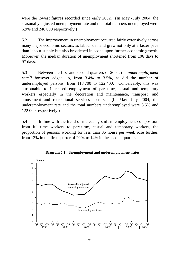were the lowest figures recorded since early 2002. (In May - July 2004, the seasonally adjusted unemployment rate and the total numbers unemployed were 6.9% and 248 000 respectively.)

5.2 The improvement in unemployment occurred fairly extensively across many major economic sectors, as labour demand grew not only at a faster pace than labour supply but also broadened in scope upon further economic growth. Moreover, the median duration of unemployment shortened from 106 days to 97 days.

5.3 Between the first and second quarters of 2004, the *underemployment rate*<sup>(2)</sup> however edged up, from  $3.4\%$  to  $3.5\%$ , as did the number of underemployed persons, from 118 700 to 122 400. Conceivably, this was attributable to increased employment of part-time, casual and temporary workers especially in the decoration and maintenance, transport, and amusement and recreational services sectors. (In May - July 2004, the underemployment rate and the total numbers underemployed were 3.5% and 122 000 respectively.)

5.4 In line with the trend of increasing shift in employment composition from full-time workers to part-time, casual and temporary workers, the proportion of persons working for less than 35 hours per week rose further, from 13% in the first quarter of 2004 to 14% in the second quarter.



**Diagram 5.1 : Unemployment and underemployment rates**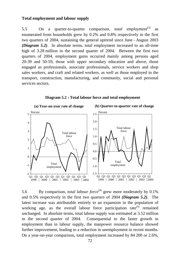### **Total employment and labour supply**

5.5 On a quarter-to-quarter comparison, *total employment*<sup>(3)</sup> as enumerated from households grew by 0.2% and 0.8% respectively in the first two quarters of 2004, sustaining the general uptrend since June - August 2003 *(Diagram 5.2)*. In absolute terms, total employment increased to an all-time high of 3.28 million in the second quarter of 2004. Between the first two quarters of 2004, employment gains occurred mainly among persons aged 20-39 and 50-59, those with upper secondary education and above, those engaged as professionals, associate professionals, service workers and shop sales workers, and craft and related workers, as well as those employed in the transport, construction, manufacturing, and community, social and personal services sectors.





5.6 By comparison, *total labour force*<sup>(4)</sup> grew more moderately by 0.1% and 0.5% respectively in the first two quarters of 2004 *(Diagram 5.2)*. The latest increase was attributable entirely to an expansion in the population of working age, as the overall labour force participation rate<sup> $(5)$ </sup> remained unchanged. In absolute terms, total labour supply was estimated at 3.52 million in the second quarter of 2004. Consequential to the faster growth in employment than in labour supply, the manpower resource balance showed further improvement, leading to a reduction in unemployment in recent months. On a year-on-year comparison, total employment increased by 84 200 or 2.6%,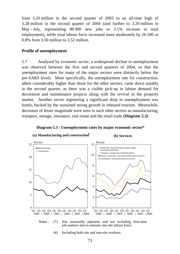from 3.20 million in the second quarter of 2003 to an all-time high of 3.28 million in the second quarter of 2004 (and further to 3.29 million in May - July, representing 98 900 new jobs or 3.1% increase in total employment), while total labour force increased more moderately by 26 500 or 0.8% from 3.50 million to 3.52 million.

## **Profile of unemployment**

5.7 Analysed by *economic sector*, a widespread decline in unemployment was observed between the first and second quarters of 2004, so that the unemployment rates for many of the major sectors were distinctly below the pre-SARS levels. More specifically, the unemployment rate for construction, albeit considerably higher than those for the other sectors, came down notably in the second quarter, as there was a visible pick-up in labour demand for decoration and maintenance projects along with the revival in the property market. Another sector registering a significant drop in unemployment was hotels, backed by the sustained strong growth in inbound tourism. Meanwhile, decreases of lesser magnitude were seen in such other sectors as manufacturing, transport, storage, insurance, real estate and the retail trade *(Diagram 5.3)*.



**Diagram 5.3 : Unemployment rates by major economic sector\***



(#) Including both site and non-site workers.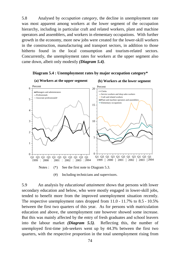5.8 Analysed by *occupation category*, the decline in unemployment rate was most apparent among workers at the lower segment of the occupation hierarchy, including in particular craft and related workers, plant and machine operators and assemblers, and workers in elementary occupations. With further growth in the economy, more new jobs were created for the lower-skill workers in the construction, manufacturing and transport sectors, in addition to those hitherto found in the local consumption and tourism-related sectors. Concurrently, the unemployment rates for workers at the upper segment also came down, albeit only modestly *(Diagram 5.4)*.





(#) Including technicians and supervisors.

5.9 An analysis by *educational attainment* shows that persons with lower secondary education and below, who were mostly engaged in lower-skill jobs, tended to benefit more from the improved unemployment situation recently. The respective unemployment rates dropped from 11.0 - 11.7% to 8.5 - 10.5% between the first two quarters of this year. As for persons with matriculation education and above, the unemployment rate however showed some increase. But this was mainly affected by the entry of fresh graduates and school leavers into the labour market *(Diagram 5.5)*. Reflecting this, the number of unemployed first-time job-seekers went up by 44.3% between the first two quarters, with the respective proportion in the total unemployment rising from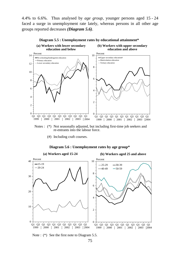4.4% to 6.6%. Thus analysed by *age group*, younger persons aged 15 - 24 faced a surge in unemployment rate lately, whereas persons in all other age groups reported decreases *(Diagram 5.6)*.



#### **Diagram 5.5 : Unemployment rates by educational attainment\***

Notes : (\*) Not seasonally adjusted, but including first-time job seekers and re-entrants into the labour force.

(#) Including craft courses.

#### **Diagram 5.6 : Unemployment rates by age group\***



Note : (\*) See the first note to Diagram 5.5.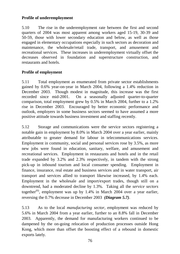## **Profile of underemployment**

5.10 The rise in the underemployment rate between the first and second quarters of 2004 was most apparent among workers aged 15-19, 30-39 and 50-59, those with lower secondary education and below, as well as those engaged in elementary occupations especially in such sectors as decoration and maintenance, the wholesale/retail trade, transport, and amusement and recreational services. These increases in underemployment virtually offset the decreases observed in foundation and superstructure construction, and restaurants and hotels.

## **Profile of employment**

5.11 Total employment as enumerated from private sector establishments gained by 0.6% year-on-year in March 2004, following a 1.4% reduction in December 2003. Though modest in magnitude, this increase was the first recorded since mid-2001. On a seasonally adjusted quarter-to-quarter comparison, total employment grew by 0.5% in March 2004, further to a 1.2% rise in December 2003. Encouraged by better economic performance and outlook, employers in some business sectors seemed to have assumed a more positive attitude towards business investment and staffing recently.

5.12 Storage and communications were the service sectors registering a notable gain in employment by 8.0% in March 2004 over a year earlier, mainly attributable to greater demand for labour in telecommunications services. Employment in community, social and personal services rose by 3.5%, as more new jobs were found in education, sanitary, welfare, and amusement and recreational services. Employment in restaurants and hotels and in the retail trade expanded by 3.2% and 2.3% respectively, in tandem with the strong pick-up in inbound tourism and local consumer spending. Employment in finance, insurance, real estate and business services and in water transport, air transport and services allied to transport likewise increased, by 1.4% each. Employment in the wholesale and import/export trades, though still on a downtrend, had a moderated decline by 1.3%. Taking all the *service sectors* together<sup>(6)</sup>, employment was up by 1.4% in March 2004 over a year earlier, reversing the 0.7% decrease in December 2003 *(Diagram 5.7)*.

5.13 As to the local *manufacturing sector*, employment was reduced by 5.6% in March 2004 from a year earlier, further to an 8.8% fall in December 2003. Apparently, the demand for manufacturing workers continued to be dampened by the on-going relocation of production processes outside Hong Kong, which more than offset the boosting effect of a rebound in domestic exports lately.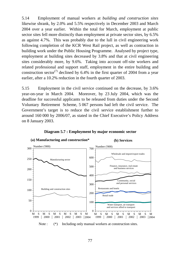5.14 Employment of manual workers at *building and construction sites* likewise shrank, by 2.0% and 5.5% respectively in December 2003 and March 2004 over a year earlier. Within the total for March, employment at public sector sites fell more distinctly than employment at private sector sites, by 6.5% as against 4.7%. This was probably due to the lull in civil engineering work following completion of the KCR West Rail project, as well as contraction in building work under the Public Housing Programme. Analysed by project type, employment at building sites decreased by 3.8% and that at civil engineering sites considerably more, by 9.6%. Taking into account off-site workers and related professional and support staff, employment in the entire building and construction sector<sup>(7)</sup> declined by 6.4% in the first quarter of 2004 from a year earlier, after a 10.2% reduction in the fourth quarter of 2003.

5.15 Employment in the civil service continued on the decrease, by 3.6% year-on-year in March 2004. Moreover, by 23 July 2004, which was the deadline for successful applicants to be released from duties under the Second Voluntary Retirement Scheme, 5 067 persons had left the civil service. The Government's target is to reduce the civil service establishment further to around 160 000 by 2006/07, as stated in the Chief Executive's Policy Address on 8 January 2003.



### **Diagram 5.7 : Employment by major economic sector**

**(a) Manufacturing and construction\***

Note : (\*) Including only manual workers at construction sites.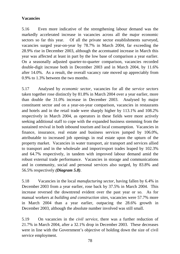## **Vacancies**

5.16 Even more indicative of the strengthening labour demand was the markedly accelerated increase in vacancies across all the major economic sectors so far this year. Of all the private sector establishments surveyed, vacancies surged year-on-year by 78.7% in March 2004, far exceeding the 28.9% rise in December 2003, although the accentuated increase in March this year was affected at least in part by the low base of comparison a year earlier. On a seasonally adjusted quarter-to-quarter comparison, vacancies recorded double-digit increase both in December 2003 and in March 2004, by 11.6% after 14.0%. As a result, the overall vacancy rate moved up appreciably from 0.9% to 1.3% between the two months.

5.17 Analysed by *economic sector*, vacancies for all the *service sectors* taken together rose distinctly by 81.8% in March 2004 over a year earlier, more than double the 31.0% increase in December 2003. Analysed by major constituent sector and on a year-on-year comparison, vacancies in restaurants and hotels and in the retail trade were sharply higher by 113.1% and 108.2% respectively in March 2004, as operators in these fields were more actively seeking additional staff to cope with the expanded business stemming from the sustained revival in both inbound tourism and local consumption. Vacancies in finance, insurance, real estate and business services jumped by 106.0%, attributable to increased job openings in real estate upon the upturn of the property market. Vacancies in water transport, air transport and services allied to transport and in the wholesale and import/export trades leaped by 102.3% and 64.7% respectively, in tandem with improved labour demand amid the robust external trade performance. Vacancies in storage and communications and in community, social and personal services also surged, by 83.8% and 56.5% respectively *(Diagram 5.8)*.

5.18 Vacancies in the local *manufacturing sector*, having fallen by 6.4% in December 2003 from a year earlier, rose back by 37.5% in March 2004. This increase reversed the downtrend evident over the past year or so. As for manual workers at *building and construction sites*, vacancies were 57.7% more in March 2004 than a year earlier, outpacing the 28.6% growth in December 2003, although the absolute number involved was still small.

5.19 On vacancies in the *civil service*, there was a further reduction of 21.7% in March 2004, after a 32.1% drop in December 2003. These decreases were in line with the Government's objective of holding down the size of civil service employment.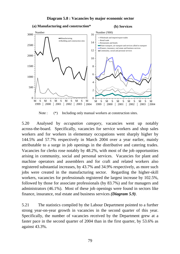

**Diagram 5.8 : Vacancies by major economic sector**

Note : (\*) Including only manual workers at construction sites.

5.20 Analysed by *occupation category*, vacancies went up notably across-the-board. Specifically, vacancies for service workers and shop sales workers and for workers in elementary occupations went sharply higher by 144.5% and 57.7% respectively in March 2004 over a year earlier, mainly attributable to a surge in job openings in the distributive and catering trades. Vacancies for clerks rose notably by 48.2%, with most of the job opportunities arising in community, social and personal services. Vacancies for plant and machine operators and assemblers and for craft and related workers also registered substantial increases, by 43.7% and 34.9% respectively, as more such jobs were created in the manufacturing sector. Regarding the higher-skill workers, vacancies for professionals registered the largest increase by 102.5%, followed by those for associate professionals (by 83.7%) and for managers and administrators (46.1%). Most of these job openings were found in sectors like finance, insurance, real estate and business services *(Diagram 5.9)*.

5.21 The statistics compiled by the Labour Department pointed to a further strong year-on-year growth in vacancies in the second quarter of this year. Specifically, the number of vacancies received by the Department grew at a faster pace in the second quarter of 2004 than in the first quarter, by 53.6% as against 43.3%.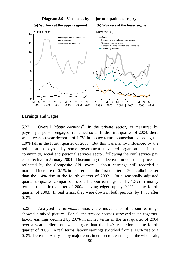

### **Diagram 5.9 : Vacancies by major occupation category**

# **Earnings and wages**

5.22 Overall *labour earnings*(8) in the private sector, as measured by payroll per person engaged, remained soft. In the first quarter of 2004, there was a year-on-year decrease of 1.7% in money terms, somewhat exceeding the 1.0% fall in the fourth quarter of 2003. But this was mainly influenced by the reduction in payroll by some government-subvented organisations in the community, social and personal services sector, following the civil service pay cut effective in January 2004. Discounting the decrease in consumer prices as reflected by the Composite CPI, overall labour earnings still recorded a marginal increase of 0.1% in real terms in the first quarter of 2004, albeit lesser than the 1.4% rise in the fourth quarter of 2003. On a seasonally adjusted quarter-to-quarter comparison, overall labour earnings fell by 1.3% in money terms in the first quarter of 2004, having edged up by 0.1% in the fourth quarter of 2003. In real terms, they were down in both periods, by 1.7% after 0.3%.

5.23 Analysed by *economic sector*, the movements of labour earnings showed a mixed picture. For all the *service sectors* surveyed taken together, labour earnings declined by 2.0% in money terms in the first quarter of 2004 over a year earlier, somewhat larger than the 1.4% reduction in the fourth quarter of 2003. In real terms, labour earnings switched from a 1.0% rise to a 0.3% decrease. Analysed by major constituent sector, earnings in the wholesale,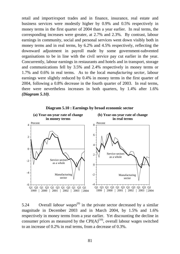retail and import/export trades and in finance, insurance, real estate and business services were modestly higher by 0.9% and 0.5% respectively in money terms in the first quarter of 2004 than a year earlier. In real terms, the corresponding increases were greater, at 2.7% and 2.3%. By contrast, labour earnings in community, social and personal services went down visibly both in money terms and in real terms, by 6.2% and 4.5% respectively, reflecting the downward adjustment in payroll made by some government-subvented organisations to be in line with the civil service pay cut earlier in the year. Concurrently, labour earnings in restaurants and hotels and in transport, storage and communications fell by 3.5% and 2.4% respectively in money terms or 1.7% and 0.6% in real terms. As to the local *manufacturing sector*, labour earnings were slightly reduced by 0.4% in money terms in the first quarter of 2004, following a 0.8% decrease in the fourth quarter of 2003. In real terms, there were nevertheless increases in both quarters, by 1.4% after 1.6% *(Diagram 5.10)*.



**Diagram 5.10 : Earnings by broad economic sector**

5.24 Overall *labour wages*<sup>(9)</sup> in the private sector decreased by a similar magnitude in December 2003 and in March 2004, by 1.5% and 1.6% respectively in money terms from a year earlier. Yet discounting the decline in consumer prices as measured by the CPI( $A$ )<sup>(10)</sup>, overall labour wages switched to an increase of 0.2% in real terms, from a decrease of 0.3%.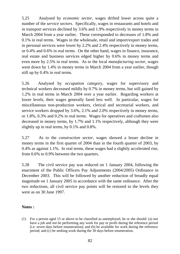5.25 Analysed by *economic sector*, wages drifted lower across quite a number of the *service sectors*. Specifically, wages in restaurants and hotels and in transport services declined by 3.6% and 1.9% respectively in money terms in March 2004 from a year earlier. These corresponded to decreases of 1.8% and 0.1% in real terms. Wages in the wholesale, retail and import/export trades and in personal services were lower by 2.2% and 2.4% respectively in money terms, or 0.4% and 0.6% in real terms. On the other hand, wages in finance, insurance, real estate and business services edged higher by 0.6% in money terms and even more by 2.5% in real terms. As to the local *manufacturing sector*, wages went down by 1.4% in money terms in March 2004 from a year earlier, though still up by 0.4% in real terms.

5.26 Analysed by *occupation category*, wages for supervisory and technical workers decreased mildly by 0.7% in money terms, but still gained by 1.2% in real terms in March 2004 over a year earlier. Regarding workers at lower levels, their wages generally fared less well. In particular, wages for miscellaneous non-production workers, clerical and secretarial workers, and service workers dropped by 3.6%, 2.1% and 2.0% respectively in money terms, or 1.8%, 0.3% and 0.2% in real terms. Wages for operatives and craftsmen also decreased in money terms, by 1.7% and 1.1% respectively, although they were slightly up in real terms, by 0.1% and 0.8%.

5.27 As to the *construction sector*, wages showed a lesser decline in money terms in the first quarter of 2004 than in the fourth quarter of 2003, by 0.4% as against 1.1%. In real terms, these wages had a slightly accelerated rise, from 0.6% to 0.9% between the two quarters.

5.28 The civil service pay was reduced on 1 January 2004, following the enactment of the Public Officers Pay Adjustments (2004/2005) Ordinance in December 2003. This will be followed by another reduction of broadly equal magnitude on 1 January 2005 in accordance with the same ordinance. After the two reductions, all civil service pay points will be restored to the levels they were as on 30 June 1997.

## **Notes :**

(1) For a person aged 15 or above to be classified as unemployed, he or she should: (a) not have a job and not be performing any work for pay or profit during the reference period (i.e. seven days before enumeration); and (b) be available for work during the reference period; and (c) be seeking work during the 30 days before enumeration.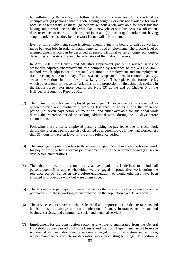Notwithstanding the above, the following types of persons are also considered as unemployed: (a) persons without a job, having sought work but not available for work because of temporary sickness; (b) persons without a job, available for work but not having sought work because they will take up new jobs or start business at a subsequent date, or expect to return to their original jobs; and (c) discouraged workers not having sought work because they believe work is not available to them.

Even at full employment, some frictional unemployment is bound to exist as workers move between jobs in order to obtain better terms of employment. The precise level of unemployment which can be described as purely frictional varies amongst economies, depending on the structure and characteristics of their labour markets.

In April 2001, the Census and Statistics Department put out a revised series of seasonally adjusted unemployment rate compiled by reference to the X-11 ARIMA method, which adjusts for all seasonal variations in employment and unemployment (i.e. the changes due to holiday effects, seasonally ups and downs in economic activity, seasonal variations in first-time job-seekers, etc). This replaces the former series which adjusts only for seasonal variations in the proportion of first-time job-seekers in the labour force. For more details, see Note (3) at the end of Chapter 5 of the Half-yearly Economic Report 2001.

(2) The main criteria for an employed person aged 15 or above to be classified as underemployed are: involuntarily working less than 35 hours during the reference period (i.e. seven days before enumeration), and either available for additional work during the reference period or seeking additional work during the 30 days before enumeration.

Following these criteria, employed persons taking no-pay leave due to slack work during the reference period are also classified as underemployed if they had worked less than 35 hours or were on leave for the entire reference period.

- (3) The employed population refers to those persons aged 15 or above who performed work for pay or profit or had a formal job attachment during the reference period (i.e. seven days before enumeration).
- (4) The labour force, or the economically active population, is defined to include all persons aged 15 or above who either were engaged in productive work during the reference period (i.e. seven days before enumeration) or would otherwise have been engaged in productive work but were unemployed.
- (5) The labour force participation rate is defined as the proportion of economically active population (i.e. those working or unemployed) in the population aged 15 or above.
- (6) The service sectors cover the wholesale, retail and import/export trades, restaurants and hotels; transport, storage and communications; finance, insurance, real estate and business services; and community, social and personal services.
- (7) Employment for the construction sector as a whole is enumerated from the General Household Survey carried out by the Census and Statistics Department. Apart from site workers, it also includes non-site workers engaged in minor alteration and addition, repair, maintenance and interior decoration work on existing buildings. In addition, it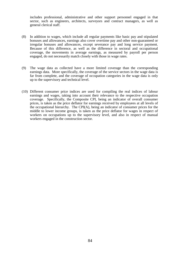includes professional, administrative and other support personnel engaged in that sector, such as engineers, architects, surveyors and contract managers, as well as general clerical staff.

- (8) In addition to wages, which include all regular payments like basic pay and stipulated bonuses and allowances, earnings also cover overtime pay and other non-guaranteed or irregular bonuses and allowances, except severance pay and long service payment. Because of this difference, as well as the difference in sectoral and occupational coverage, the movements in average earnings, as measured by payroll per person engaged, do not necessarily match closely with those in wage rates.
- (9) The wage data as collected have a more limited coverage than the corresponding earnings data. More specifically, the coverage of the service sectors in the wage data is far from complete, and the coverage of occupation categories in the wage data is only up to the supervisory and technical level.
- (10) Different consumer price indices are used for compiling the real indices of labour earnings and wages, taking into account their relevance to the respective occupation coverage. Specifically, the Composite CPI, being an indicator of overall consumer prices, is taken as the price deflator for earnings received by employees at all levels of the occupational hierarchy. The CPI(A), being an indicator of consumer prices for the middle to lower income groups, is taken as the price deflator for wages in respect of workers on occupations up to the supervisory level, and also in respect of manual workers engaged in the construction sector.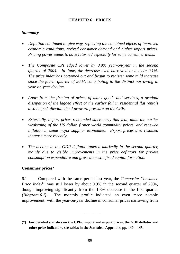## **CHAPTER 6 : PRICES**

### *Summary*

- *Deflation continued to give way, reflecting the combined effects of improved economic conditions, revived consumer demand and higher import prices. Pricing power seems to have returned especially for some consumer items.*
- *The Composite CPI edged lower by 0.9% year-on-year in the second quarter of 2004. In June, the decrease even narrowed to a mere 0.1%. The price index has bottomed out and begun to register some mild increase since the fourth quarter of 2003, contributing to the distinct narrowing in year-on-year decline.*
- *Apart from the firming of prices of many goods and services, a gradual dissipation of the lagged effect of the earlier fall in residential flat rentals also helped alleviate the downward pressure on the CPIs.*
- *Externally, import prices rebounded since early this year, amid the earlier weakening of the US dollar, firmer world commodity prices, and renewed inflation in some major supplier economies. Export prices also resumed increase more recently.*
- *The decline in the GDP deflator tapered markedly in the second quarter, mainly due to visible improvements in the price deflators for private consumption expenditure and gross domestic fixed capital formation.*

## **Consumer prices**\*

6.1 Compared with the same period last year, the *Composite Consumer Price Index*<sup>(1)</sup> was still lower by about 0.9% in the second quarter of 2004, though improving significantly from the 1.8% decrease in the first quarter *(Diagram 6.1)*. The monthly profile indicated an even more notable improvement, with the year-on-year decline in consumer prices narrowing from

**\_\_\_\_\_\_\_\_\_**

**<sup>(\*)</sup> For detailed statistics on the CPIs, import and export prices, the GDP deflator and other price indicators, see tables in the Statistical Appendix, pp. 140 – 145.**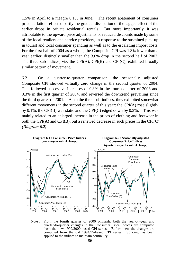1.5% in April to a meagre 0.1% in June. The recent abatement of consumer price deflation reflected partly the gradual dissipation of the lagged effect of the earlier drops in private residential rentals. But more importantly, it was attributable to the upward price adjustments or reduced discounts made by some of the local retailers and service providers, in response to the sustained pick-up in tourist and local consumer spending as well as to the escalating import costs. For the first half of 2004 as a whole, the Composite CPI was 1.3% lower than a year earlier, distinctly smaller than the 3.0% drop in the second half of 2003. The three sub-indices, viz. the CPI(A), CPI(B) and CPI(C), exhibited broadly similar pattern of movement.

6.2 On a quarter-to-quarter comparison, the seasonally adjusted Composite CPI showed virtually zero change in the second quarter of 2004. This followed successive increases of 0.8% in the fourth quarter of 2003 and 0.3% in the first quarter of 2004, and reversed the downtrend prevailing since the third quarter of 2001. As to the three sub-indices, they exhibited somewhat different movements in the second quarter of this year: the CPI(A) rose slightly by 0.1%, the CPI(B) was static and the CPI(C) edged down by 0.3%. This was mainly related to an enlarged increase in the prices of clothing and footwear in both the CPI(A) and CPI(B), but a renewed decrease in such prices in the CPI(C) *(Diagram 6.2)*.



Note : From the fourth quarter of 2000 onwards, both the year-on-year and quarter-to-quarter changes in the Consumer Price Indices are computed from the new 1999/2000-based CPI series. Before then, the changes are computed from the old 1994/95-based CPI series. Splicing has been applied to the indices to maintain continuity.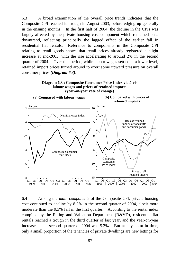6.3 A broad examination of the overall price trends indicates that the Composite CPI reached its trough in August 2003, before edging up generally in the ensuing months. In the first half of 2004, the decline in the CPIs was largely affected by the private housing cost component which remained on a downtrend, reflecting principally the lagged effect of the earlier fall in residential flat rentals. Reference to components in the Composite CPI relating to retail goods shows that retail prices already registered a slight increase at end-2003, with the rise accelerating to around 2% in the second quarter of 2004. Over this period, while labour wages settled at a lower level, retained import prices turned around to exert some upward pressure on overall consumer prices *(Diagram 6.3)*.





6.4 Among the *main components* of the Composite CPI, private housing cost continued to decline by 8.2% in the second quarter of 2004, albeit more moderate than the 9.3% fall in the first quarter. According to the rental index compiled by the Rating and Valuation Department (R&VD), residential flat rentals reached a trough in the third quarter of last year, and the year-on-year increase in the second quarter of 2004 was 5.3%. But at any point in time, only a small proportion of the tenancies of private dwellings are new lettings for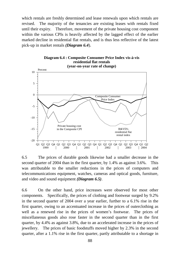which rentals are freshly determined and lease renewals upon which rentals are revised. The majority of the tenancies are existing leases with rentals fixed until their expiry. Therefore, movement of the private housing cost component within the various CPIs is heavily affected by the lagged effect of the earlier marked decline in residential flat rentals, and is thus less reflective of the latest pick-up in market rentals *(Diagram 6.4*).



**Diagram 6.4 : Composite Consumer Price Index vis-à-vis**

6.5 The prices of durable goods likewise had a smaller decrease in the second quarter of 2004 than in the first quarter, by 1.4% as against 3.6%. This was attributable to the smaller reductions in the prices of computers and telecommunications equipment, watches, cameras and optical goods, furniture, and video and sound equipment *(Diagram 6.5)*.

6.6 On the other hand, price increases were observed for most other components. Specifically, the prices of clothing and footwear surged by 9.2% in the second quarter of 2004 over a year earlier, further to a 6.1% rise in the first quarter, owing to an accentuated increase in the prices of outerclothing as well as a renewed rise in the prices of women's footwear. The prices of miscellaneous goods also rose faster in the second quarter than in the first quarter, by 4.4% as against 3.8%, due to an accelerated increase in the prices of jewellery. The prices of basic foodstuffs moved higher by 2.3% in the second quarter, after a 1.1% rise in the first quarter, partly attributable to a shortage in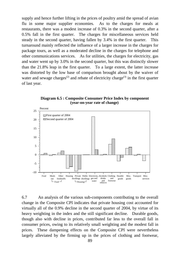supply and hence further lifting in the prices of poultry amid the spread of avian flu in some major supplier economies. As to the charges for meals at restaurants, there was a modest increase of 0.3% in the second quarter, after a 0.5% fall in the first quarter. The charges for miscellaneous services held steady in the second quarter, having fallen by 3.4% in the first quarter. This turnaround mainly reflected the influence of a larger increase in the charges for package tours, as well as a moderated decline in the charges for telephone and other communications services. As for utilities, the charges for electricity, gas and water went up by 3.0% in the second quarter, but this was distinctly slower than the 21.8% leap in the first quarter. To a large extent, the latter increase was distorted by the low base of comparison brought about by the waiver of water and sewage charges<sup>(2)</sup> and rebate of electricity charge<sup>(3)</sup> in the first quarter of last year.



**Diagram 6.5 : Composite Consumer Price Index by component (year-on-year rate of change)** 

6.7 An analysis of the various sub-components contributing to the overall change in the Composite CPI indicates that private housing cost accounted for virtually all of the 0.9% decline in the second quarter of 2004, by virtue of its heavy weighting in the index and the still significant decline. Durable goods, though also with decline in prices, contributed far less to the overall fall in consumer prices, owing to its relatively small weighting and the modest fall in prices. These dampening effects on the Composite CPI were nevertheless largely alleviated by the firming up in the prices of clothing and footwear,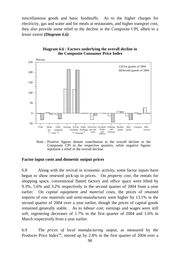miscellaneous goods and basic foodstuffs. As to the higher charges for electricity, gas and water and for meals at restaurants, and higher transport cost, they also provide some relief to the decline in the Composite CPI, albeit to a lesser extent *(Diagram 6.6)*.



**Diagram 6.6 : Factors underlying the overall decline in the Composite Consumer Price Index**

Note : Positive figures denote contribution to the overall decline in the Composite CPI in the respective quarters, while negative figures represent a relief to the overall decline.

### **Factor input costs and domestic output prices**

6.8 Along with the revival in economic activity, some factor inputs have begun to show renewed pick-up in prices. On *property cost*, the rentals for shopping space, conventional flatted factory and office space were lifted by 9.3%, 5.6% and 3.2% respectively in the second quarter of 2004 from a year earlier. On *capital equipment and material costs*, the prices of retained imports of raw materials and semi-manufactures went higher by 13.1% in the second quarter of 2004 over a year earlier, though the prices of capital goods remained generally stable. As to *labour cost*, earnings and wages were still soft, registering decreases of 1.7% in the first quarter of 2004 and 1.6% in March respectively from a year earlier.

6.9 The *prices of local manufacturing output*, as measured by the Producer Price Index<sup>(4)</sup>, moved up by 2.8% in the first quarter of 2004 over a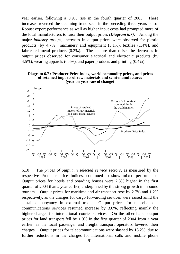year earlier, following a 0.9% rise in the fourth quarter of 2003. These increases reversed the declining trend seen in the preceding three years or so. Robust export performance as well as higher input costs had prompted more of the local manufacturers to raise their output prices *(Diagram 6.7)*. Among the major *industry groups*, increases in output prices were observed for plastic products (by 4.7%), machinery and equipment (3.1%), textiles (1.4%), and fabricated metal products (0.2%). These more than offset the decreases in output prices observed for consumer electrical and electronic products (by 4.5%), wearing apparels (0.4%), and paper products and printing (0.4%).





6.10 The *prices of output in selected service sectors*, as measured by the respective Producer Price Indices, continued to show mixed performance. Output prices for hotels and boarding houses were 2.8% higher in the first quarter of 2004 than a year earlier, underpinned by the strong growth in inbound tourism. Output prices for maritime and air transport rose by 2.7% and 1.2% respectively, as the charges for cargo forwarding services were raised amid the sustained buoyancy in external trade. Output prices for miscellaneous communications services resumed increase by 3.0%, reflecting mainly the higher charges for international courier services. On the other hand, output prices for land transport fell by 1.9% in the first quarter of 2004 from a year earlier, as the local passenger and freight transport operators lowered their charges. Output prices for telecommunications were slashed by 13.2%, due to further reductions in the charges for international calls and mobile phone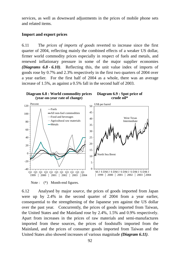services, as well as downward adjustments in the prices of mobile phone sets and related items.

## **Import and export prices**

6.11 The *prices of imports of goods* reverted to increase since the first quarter of 2004, reflecting mainly the combined effects of a weaker US dollar, firmer world commodity prices especially in respect of fuels and metals, and renewed inflationary pressure in some of the major supplier economies *(Diagrams 6.8 - 6.10)*. Reflecting this, the unit value index of imports of goods rose by 0.7% and 2.3% respectively in the first two quarters of 2004 over a year earlier. For the first half of 2004 as a whole, there was an average increase of 1.5%, as against a 0.5% fall in the second half of 2003.



**Diagram 6.9 : Spot price of crude oil\***



Note :  $(*)$  Month-end figures.

6.12 Analysed by major *source*, the prices of goods imported from Japan were up by 2.4% in the second quarter of 2004 from a year earlier, consequential to the strengthening of the Japanese yen against the US dollar over the past year. Concurrently, the prices of goods imported from Taiwan, the United States and the Mainland rose by 2.4%, 1.5% and 0.9% respectively. Apart from increases in the prices of raw materials and semi-manufactures imported from these sources, the prices of foodstuffs imported from the Mainland, and the prices of consumer goods imported from Taiwan and the United States also showed increases of various magnitude *(Diagram 6.11)*.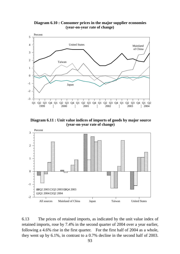**Diagram 6.10 : Consumer prices in the major supplier economies (year-on-year rate of change)**



**Diagram 6.11 : Unit value indices of imports of goods by major source (year-on-year rate of change)** 



6.13 The prices of retained imports, as indicated by the unit value index of retained imports, rose by 7.4% in the second quarter of 2004 over a year earlier, following a 4.6% rise in the first quarter. For the first half of 2004 as a whole, they went up by 6.1%, in contrast to a 0.7% decline in the second half of 2003.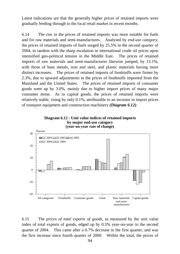Latest indications are that the generally higher prices of retained imports were gradually feeding through to the local retail market in recent months.

6.14 The rise in the prices of retained imports was more notable for fuels and for raw materials and semi-manufactures. Analysed by *end-use category*, the prices of retained imports of fuels surged by 25.5% in the second quarter of 2004, in tandem with the sharp escalation in international crude oil prices upon intensified geo-political tension in the Middle East. The prices of retained imports of raw materials and semi-manufactures likewise jumped, by 13.1%, with those of base metals, iron and steel, and plastic materials having more distinct increases. The prices of retained imports of foodstuffs were firmer by 2.3%, due to upward adjustments in the prices of foodstuffs imported from the Mainland and the United States. The prices of retained imports of consumer goods went up by 3.0%, mainly due to higher import prices of many major consumer items. As to capital goods, the prices of retained imports were relatively stable, rising by only 0.1%, attributable to an increase in import prices of transport equipment and construction machinery *(Diagram 6.12)*.





6.15 The *prices of total exports of goods*, as measured by the unit value index of total exports of goods, edged up by 0.5% year-on-year in the second quarter of 2004. This came after a 0.7% decrease in the first quarter, and was the first increase since fourth quarter of 2000. Within the total, the prices of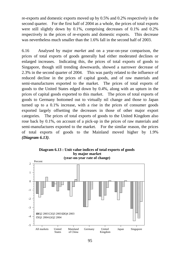re-exports and domestic exports moved up by 0.5% and 0.2% respectively in the second quarter. For the first half of 2004 as a whole, the prices of total exports were still slightly down by 0.1%, comprising decreases of 0.1% and 0.2% respectively in the prices of re-exports and domestic exports. This decrease was nevertheless much smaller than the 1.6% fall in the second half of 2003.

6.16 Analysed by major *market* and on a year-on-year comparison, the prices of total exports of goods generally had either moderated declines or enlarged increases. Indicating this, the prices of total exports of goods to Singapore, though still trending downwards, showed a narrower decrease of 2.3% in the second quarter of 2004. This was partly related to the influence of reduced decline in the prices of capital goods, and of raw materials and semi-manufactures exported to the market. The prices of total exports of goods to the United States edged down by 0.4%, along with an upturn in the prices of capital goods exported to this market. The prices of total exports of goods to Germany bottomed out to virtually nil change and those to Japan turned up to a 0.1% increase, with a rise in the prices of consumer goods exported largely offsetting the decreases in those of other major export categories. The prices of total exports of goods to the United Kingdom also rose back by 0.1%, on account of a pick-up in the prices of raw materials and semi-manufactures exported to the market. For the similar reason, the prices of total exports of goods to the Mainland moved higher by 1.9% *(Diagram 6.13)*.

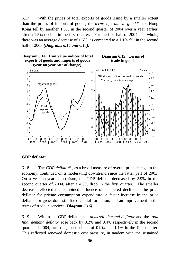6.17 With the prices of total exports of goods rising by a smaller extent than the prices of imports of goods, the *terms of trade in goods*<sup>(5)</sup> for Hong Kong fell by another 1.8% in the second quarter of 2004 over a year earlier, after a 1.5% decline in the first quarter. For the first half of 2004 as a whole, there was an average decrease of 1.6%, as compared to a 1.1% fall in the second half of 2003 *(Diagrams 6.14 and 6.15).*



### **Diagram 6.15 : Terms of trade in goods**



### **GDP deflator**

6.18 The *GDP deflator*(6), as a broad measure of overall price change in the economy, continued on a moderating downtrend since the latter part of 2003. On a year-on-year comparison, the GDP deflator decreased by 2.9% in the second quarter of 2004, after a 4.0% drop in the first quarter. The smaller decrease reflected the combined influence of a tapered decline in the price deflator for private consumption expenditure, a faster increase in the price deflator for gross domestic fixed capital formation, and an improvement in the terms of trade in services *(Diagram 6.16)*.

6.19 Within the GDP deflator, the *domestic demand deflator* and the *total final demand deflator* rose back by 0.2% and 0.4% respectively in the second quarter of 2004, arresting the declines of 0.9% and 1.1% in the first quarter. This reflected renewed domestic cost pressure, in tandem with the sustained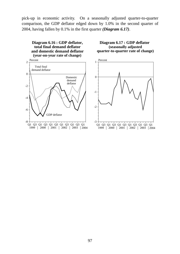pick-up in economic activity. On a seasonally adjusted quarter-to-quarter comparison, the GDP deflator edged down by 1.0% in the second quarter of 2004, having fallen by 0.1% in the first quarter *(Diagram 6.17)*.

**Diagram 6.16 : GDP deflator, total final demand deflator and domestic demand deflator (year-on-year rate of change)**



**Diagram 6.17 : GDP deflator (seasonally adjusted quarter-to-quarter rate of change)**

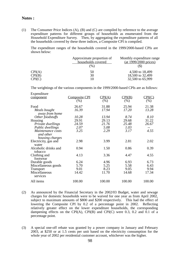### **Notes :**

(1) The Consumer Price Indices (A), (B) and (C) are compiled by reference to the average expenditure patterns for different groups of households as enumerated from the Household Expenditure Survey. Then, by aggregating the expenditure patterns of all the households covered by these three indices, a Composite CPI is compiled.

The expenditure ranges of the households covered in the 1999/2000-based CPIs are shown below:

|        | Approximate proportion of | Monthly expenditure range       |
|--------|---------------------------|---------------------------------|
|        | households covered        | $(at 1999/2000 \text{ prices})$ |
|        | (96)                      |                                 |
| CPI(A) | 50                        | 4,500 to 18,499                 |
| CPI(B) | 30                        | 18,500 to 32,499                |
| CPI(C) |                           | 32,500 to 65,999                |

The weightings of the various components in the 1999/2000-based CPIs are as follows:

| Expenditure                    |                      |                 |        |        |
|--------------------------------|----------------------|-----------------|--------|--------|
| component                      | <b>Composite CPI</b> | $\text{CPI(A)}$ | CPI(B) | CPI(C) |
|                                | (%)                  | (% )            | (%)    | $(\%)$ |
| Food                           | 26.67                | 31.88           | 25.94  | 21.38  |
| Meals bought<br>away from home | 16.39                | 17.94           | 17.20  | 13.28  |
| Other foodstuffs               | 10.28                | 13.94           | 8.74   | 8.10   |
| Housing                        | 29.91                | 29.13           | 29.68  | 31.22  |
| Private dwellings              | 24.59                | 21.76           | 25.48  | 26.67  |
| Public dwellings               | 2.07                 | 5.08            | 1.03   |        |
| Maintenance costs              | 3.25                 | 2.29            | 3.17   | 4.55   |
| and other                      |                      |                 |        |        |
| housing charges                |                      |                 |        |        |
| Electricity, gas and           | 2.98                 | 3.99            | 2.81   | 2.02   |
| water                          |                      |                 |        |        |
| Alcoholic drinks and           | 0.94                 | 1.50            | 0.86   | 0.39   |
| tobacco                        |                      |                 |        |        |
| Clothing and<br>footwear       | 4.13                 | 3.36            | 4.47   | 4.55   |
| Durable goods                  | 6.24                 | 4.96            | 6.93   | 6.73   |
| Miscellaneous goods            | 5.70                 | 5.25            | 5.58   | 6.43   |
| <b>Transport</b>               | 9.01                 | 8.23            | 9.05   | 9.94   |
| Miscellaneous                  | 14.42                | 11.70           | 14.68  | 17.34  |
| services                       |                      |                 |        |        |
| All items                      | 100.00               | 100.00          | 100.00 | 100.00 |

- (2) As announced by the Financial Secretary in the 2002/03 Budget, water and sewage charges for domestic households were to be waived for one year as from April 2002, subject to maximum amounts of \$800 and \$200 respectively. This had the effect of lowering the Composite CPI by 0.2 of a percentage point in 2002. Reflecting relatively greater effect on the lower expenditure households, the corresponding dampening effects on the CPI(A), CPI(B) and CPI(C) were 0.3, 0.2 and 0.1 of a percentage point.
- (3) A special one-off rebate was granted by a power company in January and February 2003, at \$250 or at 1.5 cents per unit based on the electricity consumption for the whole year of 2002 per residential customer account, whichever was the higher.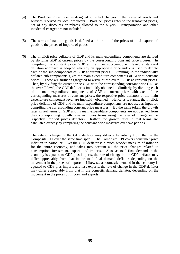- (4) The Producer Price Index is designed to reflect changes in the prices of goods and services received by local producers. Producer prices refer to the transacted prices, net of any discounts or rebates allowed to the buyers. Transportation and other incidental charges are not included.
- (5) The terms of trade in goods is defined as the ratio of the prices of total exports of goods to the prices of imports of goods.
- (6) The implicit price deflators of GDP and its main expenditure components are derived by dividing GDP at current prices by the corresponding constant price figures. In compiling the constant price GDP at the finer sub-component level, a standard deflation approach is adopted whereby an appropriate price index is used to deflate each of the sub-components of GDP at current prices. Summing up the individually deflated sub-components gives the main expenditure components of GDP at constant prices. These are further aggregated to arrive at the overall GDP at constant prices. Then, by dividing the current price GDP with the corresponding constant price GDP at the overall level, the GDP deflator is implicitly obtained. Similarly, by dividing each of the main expenditure components of GDP at current prices with each of the corresponding measures at constant prices, the respective price deflators at the main expenditure component level are implicitly obtained. Hence as it stands, the implicit price deflators of GDP and its main expenditure components are not used as input for compiling the corresponding constant price measures. By the same token, the growth rates in real terms of GDP and its main expenditure components are not derived from their corresponding growth rates in money terms using the rates of change in the respective implicit prices deflators. Rather, the growth rates in real terms are calculated directly by comparing the constant price measures over two periods.

The rate of change in the GDP deflator may differ substantially from that in the Composite CPI over the same time span. The Composite CPI covers consumer price inflation in particular. Yet the GDP deflator is a much broader measure of inflation for the entire economy, and takes into account all the price changes related to consumption, investment, exports and imports. Also, as total final demand in the economy is equated to GDP plus imports, the rate of change in the GDP deflator may differ appreciably from that in the total final demand deflator, depending on the movement in the prices of imports. Likewise, as domestic demand in the economy is equated to GDP plus imports and less exports, the rate of change in the GDP deflator may differ appreciably from that in the domestic demand deflator, depending on the movement in the prices of imports and exports.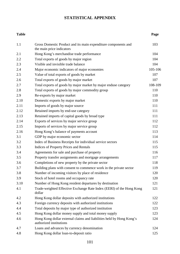## **STATISTICAL APPENDIX**

#### **Table Page**

| 1.1  | Gross Domestic Product and its main expenditure components and                                  | 103     |
|------|-------------------------------------------------------------------------------------------------|---------|
|      | the main price indicators                                                                       |         |
| 2.1  | Hong Kong's merchandise trade performance                                                       | 104     |
| 2.2  | Total exports of goods by major region                                                          | 104     |
| 2.3  | Visible and invisible trade balance                                                             | 104     |
| 2.4  | Major economic indicators of major economies                                                    | 105-106 |
| 2.5  | Value of total exports of goods by market                                                       | 107     |
| 2.6  | Total exports of goods by major market                                                          | 107     |
| 2.7  | Total exports of goods by major market by major enduse category                                 | 108-109 |
| 2.8  | Total exports of goods by major commodity group                                                 | 110     |
| 2.9  | Re-exports by major market                                                                      | 110     |
| 2.10 | Domestic exports by major market                                                                | 110     |
| 2.11 | Imports of goods by major source                                                                | 111     |
| 2.12 | Retained imports by end-use category                                                            | 111     |
| 2.13 | Retained imports of capital goods by broad type                                                 | 111     |
| 2.14 | Exports of services by major service group                                                      | 112     |
| 2.15 | Imports of services by major service group                                                      | 112     |
| 2.16 | Hong Kong's balance of payments account                                                         | 113     |
| 3.1  | GDP by major economic sector                                                                    | 114     |
| 3.2  | Index of Business Receipts for individual service sectors                                       | 115     |
| 3.3  | <b>Indices of Property Prices and Rentals</b>                                                   | 115     |
| 3.4  | Agreements for sale and purchase of property                                                    | 116     |
| 3.5  | Property transfer assignments and mortgage arrangements                                         | 117     |
| 3.6  | Completions of new property by the private sector                                               | 118     |
| 3.7  | Building plans with consent to commence work in the private sector                              | 119     |
| 3.8  | Number of incoming visitors by place of residence                                               | 120     |
| 3.9  | Stock of hotel rooms and occupancy rate                                                         | 120     |
| 3.10 | Number of Hong Kong resident departures by destination                                          | 121     |
| 4.1  | Trade-weighted Effective Exchange Rate Index (EERI) of the Hong Kong<br>dollar                  | 121     |
| 4.2  | Hong Kong dollar deposits with authorized institutions                                          | 122     |
| 4.3  | Foreign currency deposits with authorized institutions                                          | 122     |
| 4.4  | Total deposits by major type of authorized institution                                          | 123     |
| 4.5  | Hong Kong dollar money supply and total money supply                                            | 123     |
| 4.6  | Hong Kong dollar external claims and liabilities held by Hong Kong's<br>authorized institutions | 124     |
| 4.7  | Loans and advances by currency denomination                                                     | 124     |
| 4.8  | Hong Kong dollar loan-to-deposit ratio                                                          | 125     |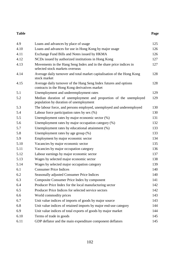#### **Table Page**

| 4.9  | Loans and advances by place of usage                                                                               | 125 |
|------|--------------------------------------------------------------------------------------------------------------------|-----|
| 4.10 | Loans and advances for use in Hong Kong by major usage                                                             | 126 |
| 4.11 | Exchange Fund Bills and Notes issued by HKMA                                                                       | 126 |
| 4.12 | NCDs issued by authorized institutions in Hong Kong                                                                | 127 |
| 4.13 | Movements in the Hang Seng Index and in the share price indices in<br>selected stock markets overseas              | 127 |
| 4.14 | Average daily turnover and total market capitalisation of the Hong Kong<br>stock market                            | 128 |
| 4.15 | Average daily turnover of the Hang Seng Index futures and options<br>contracts in the Hong Kong derivatives market | 128 |
| 5.1  | Unemployment and underemployment rates                                                                             | 129 |
| 5.2  | Median duration of unemployment and proportion of the unemployed<br>population by duration of unemployment         | 129 |
| 5.3  | The labour force, and persons employed, unemployed and underemployed                                               | 130 |
| 5.4  | Labour force participation rates by sex (%)                                                                        | 130 |
| 5.5  | Unemployment rates by major economic sector $(\%)$                                                                 | 131 |
| 5.6  | Unemployment rates by major occupation category (%)                                                                | 132 |
| 5.7  | Unemployment rates by educational attainment (%)                                                                   | 133 |
| 5.8  | Unemployment rates by age group (%)                                                                                | 133 |
| 5.9  | Employment by major economic sector                                                                                | 134 |
| 5.10 | Vacancies by major economic sector                                                                                 | 135 |
| 5.11 | Vacancies by major occupation category                                                                             | 136 |
| 5.12 | Labour earnings by major economic sector                                                                           | 137 |
| 5.13 | Wages by selected major economic sector                                                                            | 138 |
| 5.14 | Wages by selected major occupation category                                                                        | 139 |
| 6.1  | <b>Consumer Price Indices</b>                                                                                      | 140 |
| 6.2  | <b>Seasonally adjusted Consumer Price Indices</b>                                                                  | 140 |
| 6.3  | Composite Consumer Price Index by component                                                                        | 141 |
| 6.4  | Producer Price Index for the local manufacturing sector                                                            | 142 |
| 6.5  | Producer Price Indices for selected service sectors                                                                | 142 |
| 6.6  | World commodity prices                                                                                             | 143 |
| 6.7  | Unit value indices of imports of goods by major source                                                             | 143 |
| 6.8  | Unit value indices of retained imports by major end-use category                                                   | 144 |
| 6.9  | Unit value indices of total exports of goods by major market                                                       | 144 |
| 6.10 | Terms of trade in goods                                                                                            | 145 |
| 6.11 | GDP deflator and the main expenditure component deflators                                                          | 145 |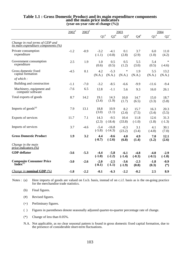|                                                                        | $2002^*$ | $2003^{\text{*}}$ |                    |                      | 2003                      |                    |                    | 2004               |  |
|------------------------------------------------------------------------|----------|-------------------|--------------------|----------------------|---------------------------|--------------------|--------------------|--------------------|--|
|                                                                        |          |                   | $\mathrm{Q1}^{\#}$ | $\mathrm{Q2}^{\#}$   | $\mathbf{Q3}^{\text{\#}}$ | ${\bf Q4}^{\#}$    | $\mathrm{Q1}^{\#}$ | ${\bf Q2}^+$       |  |
| Change in real terms of GDP and<br>its main expenditure components (%) |          |                   |                    |                      |                           |                    |                    |                    |  |
| Private consumption<br>expenditure                                     | $-1.2$   | $-0.9$            | $-3.2$<br>$(-1.1)$ | $-4.1$<br>$(-0.8)$   | 0.1<br>(2.8)              | 3.7<br>(2.9)       | 6.0<br>(1.0)       | 11.0<br>(4.2)      |  |
| Government consumption<br>expenditure                                  | 2.5      | 1.9               | 1.0<br>(0.6)       | 0.5<br>(0.5)         | 0.5<br>(1.2)              | 5.5<br>(3.0)       | 5.4<br>(0.5)       | $\ast$<br>$(-4.6)$ |  |
| Gross domestic fixed<br>capital formation                              | $-4.5$   | 0.1               | 4.2<br>(N.A.)      | $-5.3$<br>(N.A.)     | $\ast$<br>(N.A.)          | 1.9<br>(N.A.)      | 5.5<br>(N.A.)      | 13.2<br>(N.A.)     |  |
| of which:                                                              |          |                   |                    |                      |                           |                    |                    |                    |  |
| Building and construction                                              | $-1.1$   | $-7.0$            | $-3.2$             | $-8.5$               | $-6.6$                    | $-9.9$             | $-11.6$            | $-9.4$             |  |
| Machinery, equipment and<br>computer software                          | $-7.6$   | 6.5               | 12.8               | $-1.1$               | 5.6                       | 9.3                | 16.0               | 26.1               |  |
| Total exports of goods                                                 | 8.7      | 14.2              | 19.1<br>(3.4)      | 14.3<br>(1.9)        | 10.0<br>(1.7)             | 14.7<br>(6.5)      | 15.0<br>(3.3)      | 18.7<br>(5.8)      |  |
| Imports of $goods^{(a)}$                                               | 7.9      | 13.1              | 18.8<br>(3.0)      | 10.9<br>(1.1)        | 8.2<br>(2.4)              | 15.7<br>(7.5)      | 16.3<br>(3.4)      | 20.3<br>(5.5)      |  |
| Exports of services                                                    | 11.7     | 7.1               | 14.3<br>(2.3)      | $-9.5$<br>$(-18.4)$  | 10.4<br>(33.8)            | 11.8<br>$(-1.0)$   | 12.6<br>(1.8)      | 31.3<br>$(-1.3)$   |  |
| Imports of services                                                    | 3.7      | $-4.6$            | $-5.4$<br>$(-5.8)$ | $-16.8$<br>$(-14.3)$ | $-0.3$<br>(23.2)          | 3.1<br>(3.4)       | 4.1<br>$(-4.8)$    | 30.1<br>(7.0)      |  |
| <b>Gross Domestic Product</b>                                          | 1.9      | 3.2               | 4.4<br>$(-0.7)$    | $-0.6$<br>$(-2.6)$   | 4.0<br>(6.8)              | 4.9<br>(1.4)       | 7.0<br>(1.2)       | 12.1<br>(2.6)      |  |
| Change in the main<br>price indicators $(\frac{\%}{\%})$               |          |                   |                    |                      |                           |                    |                    |                    |  |
| <b>GDP</b> deflator                                                    | $-3.6$   | $-5.3$            | $-4.4$<br>$(-1.0)$ | $-5.8$<br>$(-2.2)$   | $-6.1$<br>$(-1.4)$        | $-4.8$<br>$(-0.3)$ | $-4.0$<br>$(-0.1)$ | $-2.9$<br>$(-1.0)$ |  |
| <b>Composite Consumer Price Index</b> <sup>(b)</sup>                   | $-3.0$   | $-2.6$            | $-2.0$<br>$(-0.1)$ | $-2.5$<br>$(-1.1)$   | $-3.6$<br>$(-1.9)$        | $-2.3$<br>(0.8)    | $-1.8$<br>(0.3)    | $-0.9$<br>$(*)$    |  |
| <i>Change in nominal GDP</i> $(%)$                                     | $-1.8$   | $-2.2$            | $-0.1$             | $-6.3$               | $-2.2$                    | $-0.2$             | 2.5                | 8.9                |  |

# **Table 1.1 : Gross Domestic Product and its main expenditure components and the main price indicators (year-on-year rate of change (%))**

Notes : (a) Here imports of goods are valued on f.o.b. basis, instead of on c.i.f. basis as is the on-going practice for the merchandise trade statistics.

(b) Final figures.

(#) Revised figures.

(+) Preliminary figures.

( ) Figures in parentheses denote seasonally adjusted quarter-to-quarter percentage rate of change.

(\*) Change of less than 0.05%.

N.A. Not applicable, as no clear seasonal pattern is found in gross domestic fixed capital formation, due to the presence of considerable short-term fluctuations.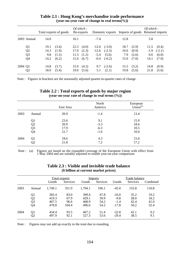|                |      | Total exports of goods |      | Of which:<br>Re-exports |         | Domestic exports |      |       | Of which: | Imports of goods Retained imports |
|----------------|------|------------------------|------|-------------------------|---------|------------------|------|-------|-----------|-----------------------------------|
| 2003 Annual    | 14.0 |                        | 16.1 |                         | $-7.4$  |                  | 12.8 |       | 5.8       |                                   |
| Q <sub>1</sub> | 19.1 | (3.4)                  | 22.3 | (4.0)                   | $-12.0$ | $(-3.0)$         | 18.7 | (2.9) | 11.5      | (0.4)                             |
| Q <sub>2</sub> | 14.3 | (1.9)                  | 17.0 | (2.3)                   | $-12.6$ | $(-2.5)$         | 10.6 | (0.9) | $-1.9$    | $(-2.1)$                          |
| Q <sub>3</sub> | 9.8  | (1.5)                  | 11.3 | (1.2)                   | $-5.4$  | (5.6)            | 7.9  | (2.6) | 0.6       | (6.0)                             |
| Q4             | 14.2 | (6.2)                  | 15.4 | (6.7)                   | $-0.4$  | $(-0.2)$         | 15.0 | (7.0) | 14.1      | (7.9)                             |
| 2004 Q1        | 14.8 | (3.7)                  | 15.9 | (4.2)                   | 0.7     | $(-2.6)$         | 15.5 | (3.2) | 14.8      | (0.9)                             |
| Q <sub>2</sub> | 18.0 | (5.4)                  | 19.0 | (5.6)                   | 5.1     | (2.1)            | 19.8 | (5.6) | 21.8      | (5.6)                             |

### **Table 2.1 : Hong Kong's merchandise trade performance (year-on-year rate of change in real terms(%))**

Note : Figures in brackets are the seasonally adjusted quarter-to-quarter rates of change.

|      |                                               | East Asia | North<br>America | European<br>Union <sup>(a)</sup> |
|------|-----------------------------------------------|-----------|------------------|----------------------------------|
| 2003 | Annual                                        | 20.9      | $-1.4$           | 13.4                             |
|      | Q1                                            | 23.6      | 9.1              | 15.9                             |
|      |                                               | 20.9      | $-3.3$           | 18.6                             |
|      |                                               | 17.9      | $-6.3$           | 10.5                             |
|      | $Q$ <sub>2</sub><br>$Q$ <sub>3</sub><br>$Q$ 4 | 21.7      | $-1.6$           | 10.0                             |
| 2004 | Q <sub>1</sub>                                | 18.6      | 4.3              | 15.0                             |
|      | Q2                                            | 21.8      | 7.2              | 17.2                             |

### **Table 2.2 : Total exports of goods by major region (year-on-year rate of change in real terms (%))**

Note : (a) Figures are based on the expanded coverage of the European Union with effect from 1 May 2004 and are suitably adjusted to enable year-on-year comparison.

|      |                 |               |          |         | $(\phi$ buildh at cui i ein mai Ket prices) |               |          |          |
|------|-----------------|---------------|----------|---------|---------------------------------------------|---------------|----------|----------|
|      |                 | Total exports |          |         | <u>Imports</u>                              | Trade balance |          |          |
|      |                 | Goods         | Services | Goods   | <b>Services</b>                             | Goods         | Services | Combined |
| 2003 | Annual          | 1,749.1       | 351.9    | 1,794.1 | 196.1                                       | $-45.0$       | 155.8    | 110.8    |
|      | $\frac{Q1}{Q2}$ | 383.4         | 83.0     | 399.4   | 47.8                                        | $-16.0$       | 35.2     | 19.2     |
|      |                 | 419.3         | 67.9     | 429.1   | 39.9                                        | $-9.8$        | 28.0     | 18.2     |
|      | Q <sub>3</sub>  | 467.5         | 96.6     | 468.9   | 54.2                                        | $-1.4$        | 42.4     | 41.0     |
|      | Q4              | 478.8         | 104.4    | 496.6   | 54.2                                        | $-17.8$       | 50.2     | 32.4     |
| 2004 | Q1              | 434.4         | 93.5     | 467.2   | 51.4                                        | $-32.8$       | 42.1     | 9.2      |
|      | Q2              | 497.9         | 92.1     | 527.3   | 53.6                                        | $-29.4$       | 38.5     | 9.1      |

### **Table 2.3 : Visible and invisible trade balance (\$ billion at current market prices)**

Note : Figures may not add up exactly to the total due to rounding.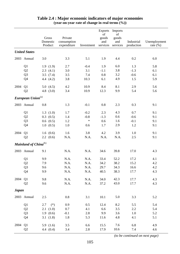|              |                                  |                              |                                       |            | <b>Exports</b>                 | Imports                        |                          |                             |
|--------------|----------------------------------|------------------------------|---------------------------------------|------------|--------------------------------|--------------------------------|--------------------------|-----------------------------|
|              |                                  | Gross<br>Domestic<br>Product | Private<br>consumption<br>expenditure | Investment | of<br>goods<br>and<br>services | of<br>goods<br>and<br>services | Industrial<br>production | Unemployment<br>rate $(\%)$ |
|              | <b>United States</b>             |                              |                                       |            |                                |                                |                          |                             |
|              |                                  |                              |                                       |            |                                |                                |                          |                             |
|              | 2003 Annual                      | 3.0                          | 3.3                                   | 5.1        | 1.9                            | 4.4                            | 0.2                      | 6.0                         |
|              | Q1                               | 1.9(1.9)                     | 2.7                                   | $-0.4$     | 1.9                            | 6.0                            | 1.3                      | 5.8                         |
|              | Q2                               | 2.3(4.1)                     | 3.0                                   | 3.1        | $-1.1$                         | 3.8                            | $-1.3$                   | 6.1                         |
|              | Q <sub>3</sub>                   | 3.5(7.4)                     | 3.5                                   | 7.4        | 0.8                            | 3.2                            | $-0.6$                   | 6.1                         |
|              | Q4                               | 4.4 $(4.2)$                  | 3.8                                   | 10.3       | 6.1                            | 4.9                            | 1.5                      | 5.9                         |
| 2004         | Q1                               | 5.0(4.5)                     | 4.2                                   | 10.9       | 8.4                            | 8.1                            | 2.9                      | 5.6                         |
|              | Q2                               | 4.8 $(3.0)$                  | 3.4                                   | 10.9       | 12.3                           | 9.9                            | 5.4                      | 5.6                         |
|              | European Union <sup>(a)</sup>    |                              |                                       |            |                                |                                |                          |                             |
|              | 2003 Annual                      | 0.8                          | 1.3                                   | $-0.1$     | 0.8                            | 2.3                            | 0.3                      | 9.1                         |
|              | Q1                               | 1.3(1.0)                     | 1.7                                   | $-0.2$     | 2.3                            | 4.3                            | 0.7                      | 9.1                         |
|              | Q2                               | $0.3$ $(0.5)$                | 1.4                                   | $-0.8$     | $-1.3$                         | 0.6                            | $-0.6$                   | 9.1                         |
|              | Q <sub>3</sub>                   | $0.6$ $(0.5)$                | 1.2                                   | $\ast$     | 0.6                            | 1.6                            | $-0.1$                   | 9.1                         |
|              | Q4                               | 1.0(0.5)                     | 1.0                                   | 0.6        | 1.7                            | 2.9                            | 1.2                      | 9.1                         |
| 2004         | Q <sub>1</sub>                   | 1.6(0.6)                     | 1.6                                   | 3.8        | 4.2                            | 3.9                            | 1.0                      | 9.1                         |
|              | Q2                               | $2.2 \quad (0.6)$            | N.A.                                  | N.A.       | N.A.                           | N.A.                           | 2.5                      | 9.1                         |
|              | Mainland of China <sup>(b)</sup> |                              |                                       |            |                                |                                |                          |                             |
| 2003         | Annual                           | 9.1                          | N.A.                                  | N.A.       | 34.6                           | 39.8                           | 17.0                     | 4.3                         |
|              | Q1                               | 9.9                          | N.A.                                  | N.A.       | 33.4                           | 52.2                           | 17.2                     | 4.1                         |
|              | Q2                               | 7.9                          | N.A.                                  | $\rm N.A.$ | 34.2                           | 38.2                           | 15.2                     | 4.2                         |
|              | Q <sub>3</sub>                   | 9.6                          | N.A.                                  | N.A.       | 29.7                           | 34.3                           | 16.6                     | 4.2                         |
|              | Q4                               | 9.9                          | N.A.                                  | N.A.       | 40.5                           | 38.3                           | 17.7                     | 4.3                         |
| 2004         | Q1                               | 9.8                          | N.A.                                  | N.A.       | 34.0                           | 42.3                           | 17.7                     | 4.3                         |
|              | Q2                               | 9.6                          | N.A.                                  | N.A.       | 37.2                           | 43.0                           | 17.7                     | 4.3                         |
| <b>Japan</b> |                                  |                              |                                       |            |                                |                                |                          |                             |
|              | 2003 Annual                      | 2.5                          | $0.8\,$                               | 3.1        | 10.1                           | 5.0                            | 3.3                      | 5.2                         |
|              | Q1                               | 2.7<br>$(*)$                 | 0.9                                   | 0.5        | 12.4                           | 8.2                            | 5.5                      | 5.4                         |
|              | Q2                               | 2.1(1.0)                     | 0.7                                   | 4.1        | 6.6                            | 3.5                            | 2.2                      | 5.4                         |
|              | Q <sub>3</sub>                   | 1.9(0.6)                     | $-0.1$                                | 2.8        | 9.9                            | 3.6                            | 1.0                      | 5.2                         |
|              | Q4                               | 3.1(1.8)                     | 1.8                                   | 5.3        | 11.6                           | 4.8                            | 4.1                      | 5.1                         |
| 2004         | Q <sub>1</sub>                   | 5.9(1.6)                     | 3.5                                   | 6.6        | 15.5                           | 7.6                            | 6.8                      | 4.9                         |
|              | Q2                               | 4.4 $(0.4)$                  | 3.4                                   | 2.8        | 17.9                           | 10.6                           | 7.4                      | 4.6                         |

# **Table 2.4 : Major economic indicators of major economies (year-on-year rate of change in real terms (%))**

 *(to be continued on next page)*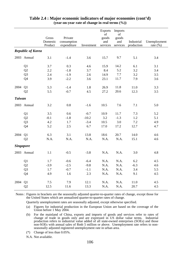|                  |                                  | Gross<br>Domestic<br>Product | Private<br>consumption<br>expenditure | Investment        | <b>Exports</b><br>of<br>goods<br>and<br>services | Imports<br>of<br>goods<br>and<br>services | Industrial<br>production | Unemployment<br>rate $(\%)$ |
|------------------|----------------------------------|------------------------------|---------------------------------------|-------------------|--------------------------------------------------|-------------------------------------------|--------------------------|-----------------------------|
|                  | <b>Republic of Korea</b>         |                              |                                       |                   |                                                  |                                           |                          |                             |
|                  | 2003 Annual                      | 3.1                          | $-1.4$                                | 3.6               | 15.7                                             | 9.7                                       | 5.1                      | 3.4                         |
|                  | Q1<br>Q2                         | 3.7<br>2.2                   | 0.3<br>$-1.8$                         | 4.6<br>3.7        | 15.9<br>8.4                                      | 14.2<br>5.2                               | 6.1<br>3.2               | 3.1<br>3.4                  |
|                  | Q <sub>3</sub><br>Q4             | 2.4<br>3.9                   | $-1.9$<br>$-2.2$                      | 2.6<br>3.6        | 14.9<br>23.1                                     | $7.7\,$<br>11.7                           | 3.2<br>7.9               | 3.5<br>3.6                  |
| 2004             | Q1<br>Q2                         | 5.3<br>5.5                   | $-1.4$<br>$-0.7$                      | 1.8<br>4.5        | 26.9<br>27.2                                     | 11.8<br>20.6                              | 11.0<br>12.3             | 3.3<br>3.5                  |
| <b>Taiwan</b>    |                                  |                              |                                       |                   |                                                  |                                           |                          |                             |
|                  | 2003 Annual                      | 3.2                          | 0.8                                   | $-1.6$            | 10.5                                             | 7.6                                       | 7.1                      | 5.0                         |
|                  | Q1                               | 3.5                          | 0.6                                   | $-0.7$            | 10.9                                             | 11.7                                      | 7.3                      | 5.2                         |
|                  | Q2<br>Q <sub>3</sub>             | $-0.1$<br>4.2                | $-1.8$<br>1.7                         | $-10.2$<br>$-3.4$ | 3.2<br>10.5                                      | $-1.3$<br>3.0                             | 1.2<br>7.2               | 5.1<br>4.9                  |
|                  | Q4                               | 5.2                          | 2.5                                   | 6.7               | 17.0                                             | 17.2                                      | 12.7                     | 4.7                         |
| 2004             | Q <sub>1</sub><br>Q2             | 6.3<br>N.A.                  | 3.1<br>N.A.                           | 13.8<br>N.A.      | 18.6<br>N.A.                                     | 20.7<br>N.A.                              | 14.0<br>15.1             | 4.6<br>4.6                  |
| <b>Singapore</b> |                                  |                              |                                       |                   |                                                  |                                           |                          |                             |
|                  | 2003 Annual                      | 1.1                          | $-0.5$                                | $-3.8$            | N.A.                                             | N.A.                                      | 3.0                      | 4.8                         |
|                  | Q <sub>1</sub>                   | 1.7                          | $-0.6$                                | $-6.4$            | N.A.                                             | N.A.                                      | 6.2                      | 4.5                         |
|                  | Q <sub>2</sub>                   | $-3.9$                       | $-2.5$                                | $-9.8$            | N.A.                                             | N.A.                                      | $-6.3$                   | 4.6                         |
|                  | Q <sub>3</sub><br>Q <sub>4</sub> | 1.7<br>4.9                   | $-0.7$<br>1.6                         | $-1.1$<br>2.3     | N.A.<br>N.A.                                     | N.A.<br>N.A.                              | 3.4<br>9.1               | 5.5<br>4.5                  |
| 2004             | Q1<br>Q <sub>2</sub>             | 7.5<br>12.5                  | 7.9<br>11.6                           | 12.1<br>13.3      | N.A.<br>N.A.                                     | N.A.<br>N.A.                              | 11.0<br>20.7             | 4.5<br>4.5                  |

### **Table 2.4 : Major economic indicators of major economies (cont'd) (year-on-year rate of change in real terms (%))**

Notes : Figures in brackets are the seasonally adjusted quarter-to-quarter rates of change, except those for the United States which are annualised quarter-to-quarter rates of change.

Quarterly unemployment rates are seasonally adjusted, except otherwise specified.

- (a) Figures for industrial production in the European Union are based on the coverage of the Union before 1 May 2004.
- (b) For the mainland of China, exports and imports of goods and services refer to rates of change of trade in goods only and are expressed in US dollar value terms. Industrial production refers to industrial value added of all state-owned enterprises (SOEs) and those non-SOEs with annual sales of Rmb 5 million or above. Unemployment rate refers to nonseasonally adjusted registered unemployment rate in urban area.
- (\*) Change of less than 0.05%.

N.A. Not available.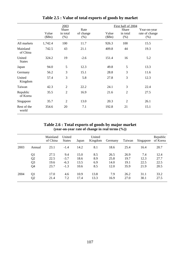|                         |                | 2003                      |                              |                 | First half of 2004        |                                       |
|-------------------------|----------------|---------------------------|------------------------------|-----------------|---------------------------|---------------------------------------|
|                         | Value<br>(SBn) | Share<br>in total<br>(% ) | Rate<br>of change<br>$(\% )$ | Value<br>(\$Bn) | Share<br>in total<br>(% ) | Year-on-year<br>rate of change<br>(%) |
| All markets             | 1,742.4        | 100                       | 11.7                         | 926.3           | 100                       | 15.5                                  |
| Mainland<br>of China    | 742.5          | 43                        | 21.1                         | 409.8           | 44                        | 19.3                                  |
| United<br><b>States</b> | 324.2          | 19                        | $-2.6$                       | 151.4           | 16                        | 5.2                                   |
| Japan                   | 94.0           | 5                         | 12.3                         | 49.8            | 5                         | 13.3                                  |
| Germany                 | 56.2           | 3                         | 15.1                         | 28.8            | 3                         | 11.6                                  |
| United<br>Kingdom       | 57.4           | 3                         | 5.8                          | 27.8            | 3                         | 12.3                                  |
| Taiwan                  | 42.3           | $\overline{2}$            | 22.2                         | 24.1            | 3                         | 22.4                                  |
| Republic<br>of Korea    | 35.5           | $\overline{2}$            | 16.9                         | 21.6            | $\overline{2}$            | 27.5                                  |
| Singapore               | 35.7           | $\overline{2}$            | 13.0                         | 20.3            | $\overline{2}$            | 26.1                                  |
| Rest of the<br>world    | 354.6          | 20                        | 7.1                          | 192.8           | 21                        | 15.1                                  |

**Table 2.5 : Value of total exports of goods by market**

### **Table 2.6 : Total exports of goods by major market (year-on-year rate of change in real terms (%))**

|      |                | Mainland<br>of China | United<br><b>States</b> | Japan | United<br>Kingdom | Germany | Taiwan | Singapore | Republic<br>of Korea |
|------|----------------|----------------------|-------------------------|-------|-------------------|---------|--------|-----------|----------------------|
| 2003 | Annual         | 23.1                 | $-1.4$                  | 14.2  | 8.1               | 18.6    | 25.4   | 16.4      | 20.7                 |
|      | Q <sub>1</sub> | 27.5                 | 9.4                     | 15.0  | 8.5               | 26.5    | 26.9   | 7.4       | 12.4                 |
|      | Q <sub>2</sub> | 22.5                 | $-3.7$                  | 18.6  | 8.9               | 25.8    | 19.7   | 12.3      | 27.7                 |
|      | Q <sub>3</sub> | 19.6                 | $-6.3$                  | 13.5  | 6.9               | 14.0    | 19.1   | 22.5      | 22.5                 |
|      | Q4             | 23.7                 | $-1.3$                  | 10.6  | 8.5               | 12.0    | 35.9   | 21.9      | 20.5                 |
| 2004 | Q <sub>1</sub> | 17.0                 | 4.6                     | 10.9  | 13.8              | 7.9     | 26.2   | 31.1      | 33.2                 |
|      | Q2             | 21.4                 | 7.2                     | 17.4  | 13.3              | 16.9    | 27.0   | 30.1      | 27.5                 |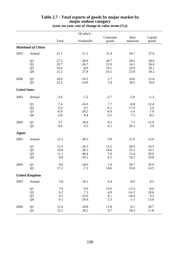|                      |                                              |                                   | Of which:                                |                                   |                                         |                                 |
|----------------------|----------------------------------------------|-----------------------------------|------------------------------------------|-----------------------------------|-----------------------------------------|---------------------------------|
|                      |                                              | Total                             | Foodstuffs                               | Consumer<br>goods                 | Raw<br>materials                        | Capital<br>goods                |
|                      | <b>Mainland of China</b>                     |                                   |                                          |                                   |                                         |                                 |
| 2003                 | Annual                                       | 21.1                              | $-11.1$                                  | 21.4                              | 18.7                                    | 27.6                            |
|                      | Q1<br>$\mathbf{Q}2$<br>Q <sub>3</sub><br>Q4  | 27.3<br>20.7<br>16.6<br>21.2      | $-26.9$<br>$-26.7$<br>$-8.9$<br>27.8     | 28.7<br>23.9<br>19.1<br>16.1      | 28.5<br>14.1<br>10.9<br>23.8            | 30.0<br>36.6<br>28.1<br>18.2    |
| 2004                 | Q1<br>Q2                                     | 16.0<br>22.2                      | $-10.2$<br>$-14.0$                       | 2.7<br>2.4                        | 16.6<br>34.2                            | 21.6<br>10.6                    |
| <b>United States</b> |                                              |                                   |                                          |                                   |                                         |                                 |
| 2003                 | Annual                                       | $-2.6$                            | $-7.2$                                   | $-2.7$                            | $-5.9$                                  | $-1.2$                          |
|                      | Q1<br>$\mathbf{Q}2$<br>Q <sub>3</sub><br>Q4  | 7.4<br>$-5.0$<br>$-6.9$<br>$-2.8$ | $-16.0$<br>0.1<br>$-20.5$<br>8.4         | 7.7<br>$-6.1$<br>$-6.9$<br>$-2.2$ | $-8.8$<br>$-17.0$<br>$-5.4$<br>7.5      | 12.4<br>3.0<br>$-7.0$<br>$-8.2$ |
| 2004                 | Q1<br>Q2                                     | 3.7<br>6.6                        | 26.6<br>0.5                              | 0.2<br>6.1                        | 7.5<br>26.1                             | 15.9<br>3.8                     |
| <b>Japan</b>         |                                              |                                   |                                          |                                   |                                         |                                 |
| 2003                 | Annual                                       | 12.3                              | $-28.3$                                  | 9.9                               | 21.0                                    | 15.0                            |
|                      | Q1<br>$\mathbf{Q}2$<br>Q <sub>3</sub><br>Q4  | 13.5<br>16.8<br>11.1<br>8.8       | $-26.3$<br>$-30.1$<br>$-46.4$<br>$-10.1$ | 12.5<br>14.6<br>7.6<br>6.2        | 28.9<br>25.2<br>13.4<br>19.2            | 10.5<br>19.1<br>20.0<br>10.8    |
| 2004                 | Q <sub>1</sub><br>Q2                         | 9.6<br>17.2                       | $-18.9$<br>$-7.2$                        | 1.0<br>14.6                       | 18.7<br>35.8                            | 26.9<br>14.5                    |
|                      | <b>United Kingdom</b>                        |                                   |                                          |                                   |                                         |                                 |
| 2003                 | Annual                                       | 5.8                               | $-16.1$                                  | 6.4                               | $-9.9$                                  | 8.5                             |
|                      | Q1<br>Q2<br>Q <sub>3</sub><br>Q <sub>4</sub> | 7.6<br>6.2<br>4.1<br>6.1          | $-9.6$<br>7.1<br>$-23.6$<br>$-29.4$      | 13.6<br>4.9<br>4.1<br>5.3         | $-13.3$<br>$-14.1$<br>$-10.4$<br>$-1.5$ | $-6.6$<br>18.6<br>9.3<br>13.6   |
| 2004                 | Q1<br>Q <sub>2</sub>                         | 12.4<br>12.2                      | $-18.8$<br>20.2                          | 11.8<br>9.7                       | $-6.1$<br>58.3                          | 20.7<br>11.8                    |

### **Table 2.7 : Total exports of goods by major market by major enduse category (year-on-year rate of change in value terms(%))**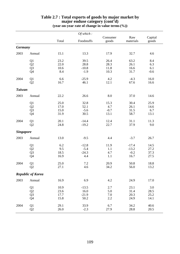|                  |                                              |                              | Of which:                           |                               |                                      |                              |
|------------------|----------------------------------------------|------------------------------|-------------------------------------|-------------------------------|--------------------------------------|------------------------------|
|                  |                                              | Total                        | Foodstuffs                          | Consumer<br>goods             | Raw<br>materials                     | Capital<br>goods             |
| <b>Germany</b>   |                                              |                              |                                     |                               |                                      |                              |
| 2003             | Annual                                       | 15.1                         | 13.3                                | 17.9                          | 32.7                                 | 4.6                          |
|                  | Q1<br>Q <sub>2</sub><br>Q <sub>3</sub><br>Q4 | 23.2<br>22.0<br>10.6<br>8.4  | 39.5<br>28.8<br>$-10.8$<br>$-1.9$   | 26.4<br>28.3<br>11.8<br>10.3  | 63.2<br>26.1<br>16.6<br>31.7         | 8.4<br>6.3<br>6.1<br>$-0.6$  |
| 2004             | Q1<br>Q2                                     | 6.6<br>16.7                  | $-25.9$<br>46.1                     | 4.2<br>12.1                   | $-4.3$<br>67.6                       | 16.0<br>16.6                 |
| <b>Taiwan</b>    |                                              |                              |                                     |                               |                                      |                              |
| 2003             | Annual                                       | 22.2                         | 26.6                                | 8.0                           | 37.0                                 | 14.6                         |
|                  | Q1<br>$\mathbf{Q}2$<br>Q <sub>3</sub><br>Q4  | 25.0<br>17.0<br>15.0<br>31.9 | 32.8<br>52.1<br>$-5.6$<br>30.5      | 15.3<br>4.7<br>$-0.7$<br>13.1 | 30.4<br>26.1<br>31.5<br>58.7         | 25.9<br>14.6<br>6.7<br>13.1  |
| 2004             | Q1<br>Q2                                     | 20.1<br>24.8                 | $-14.4$<br>$-19.2$                  | 12.4<br>22.7                  | 31.1<br>37.9                         | 11.3<br>9.0                  |
| <b>Singapore</b> |                                              |                              |                                     |                               |                                      |                              |
| 2003             | Annual                                       | 13.0                         | $-9.5$                              | 4.4                           | $-3.7$                               | 26.7                         |
|                  | Q1<br>Q2<br>$\overline{Q}$ 3<br>Q4           | 6.2<br>9.5<br>18.5<br>16.9   | $-12.8$<br>$-5.4$<br>$-24.3$<br>4.4 | 11.9<br>1.1<br>4.7<br>1.1     | $-17.4$<br>$-13.2$<br>$-0.2$<br>16.7 | 14.5<br>27.2<br>37.3<br>27.5 |
| 2004             | Q1<br>Q2                                     | 25.0<br>27.1                 | 7.2<br>4.6                          | 20.9<br>34.2                  | 50.8<br>56.0                         | 18.8<br>13.2                 |
|                  | <b>Republic of Korea</b>                     |                              |                                     |                               |                                      |                              |
| 2003             | Annual                                       | 16.9                         | 6.9                                 | 4.2                           | 24.9                                 | 17.0                         |
|                  | Q1<br>$\mathbf{Q}2$<br>Q <sub>3</sub><br>Q4  | 10.9<br>23.6<br>17.7<br>15.8 | $-13.5$<br>16.0<br>$-21.9$<br>50.2  | 2.7<br>5.0<br>7.0<br>2.2      | 23.1<br>31.4<br>20.3<br>24.9         | 3.0<br>28.5<br>25.2<br>14.1  |
| 2004             | Q1<br>Q2                                     | 29.1<br>26.0                 | 33.9<br>$-2.3$                      | 6.7<br>27.9                   | 34.2<br>28.8                         | 40.6<br>20.5                 |

### **Table 2.7 : Total exports of goods by major market by major enduse category (cont'd) (year-on-year rate of change in value terms(%))**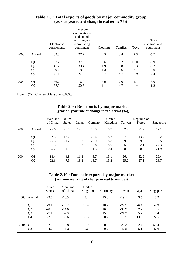|      |                | Electronic<br>components | Telecom<br>-munications<br>and sound<br>recording and<br>reproducing<br>equipment | Clothing | Textiles | <b>Toys</b> | Office<br>machines and<br>equipment |
|------|----------------|--------------------------|-----------------------------------------------------------------------------------|----------|----------|-------------|-------------------------------------|
| 2003 | Annual         | 39.8                     | 27.2                                                                              | 2.5      | 3.4      | 2.3         | $-5.7$                              |
|      | Q <sub>1</sub> | 37.2                     | 37.2                                                                              | 9.6      | 16.2     | 10.0        | $-5.9$                              |
|      | Q <sub>2</sub> | 41.2                     | 30.4                                                                              | 1.9      | 0.8      | 6.3         | $-3.2$                              |
|      | Q <sub>3</sub> | 39.2                     | 18.3                                                                              | 1.3      | $-5.6$   | $-3.1$      | 2.0                                 |
|      | Q4             | 41.1                     | 27.2                                                                              | $-0.7$   | 5.7      | 0.9         | $-14.4$                             |
| 2004 | Q <sub>1</sub> | 36.2                     | 16.0                                                                              | 4.9      | 2.6      | $-2.1$      | 8.0                                 |
|      | Q <sub>2</sub> | 37.0                     | 50.5                                                                              | 11.1     | 4.7      | $\ast$      | 1.2                                 |

### **Table 2.8 : Total exports of goods by major commodity group (year-on-year rate of change in real terms (%))**

Note :  $(*)$  Change of less than 0.05%.

|      |                | Mainland<br>of China | United<br><b>States</b> | Japan | Germany | United<br>Kingdom | Taiwan | Republic of<br>Korea | Singapore |
|------|----------------|----------------------|-------------------------|-------|---------|-------------------|--------|----------------------|-----------|
| 2003 | Annual         | 25.6                 | $-0.1$                  | 14.6  | 18.9    | 8.9               | 32.7   | 21.2                 | 17.1      |
|      | Q1             | 32.3                 | 12.2                    | 16.0  | 28.4    | 8.2               | 37.3   | 13.4                 | 8.2       |
|      | Q2             | 25.5                 | $-1.2$                  | 19.2  | 26.9    | 8.8               | 29.8   | 29.0                 | 12.5      |
|      | Q <sub>3</sub> | 21.3                 | $-6.1$                  | 13.7  | 13.8    | 8.0               | 25.0   | 22.1                 | 24.3      |
|      | Q4             | 25.2                 | $-1.0$                  | 10.5  | 11.3    | 10.4              | 38.9   | 20.6                 | 21.9      |
| 2004 | Q1             | 18.4                 | 4.8                     | 11.2  | 8.7     | 15.1              | 26.4   | 32.9                 | 29.4      |
|      | Q <sub>2</sub> | 22.6                 | 7.5                     | 18.2  | 18.7    | 15.2              | 25.2   | 27.1                 | 28.7      |

### **Table 2.9 : Re-exports by major market (year-on-year rate of change in real terms (%))**

### **Table 2.10 : Domestic exports by major market (year-on-year rate of change in real terms (%))**

|      |                | United<br><b>States</b> | Mainland<br>of China | United<br>Kingdom | Germany | Taiwan  | Japan  | Singapore |
|------|----------------|-------------------------|----------------------|-------------------|---------|---------|--------|-----------|
| 2003 | Annual         | $-9.6$                  | $-10.5$              | 3.4               | 15.8    | $-19.1$ | 3.5    | 8.2       |
|      | Q <sub>1</sub> | $-9.1$                  | $-23.2$              | 10.4              | 10.2    | $-27.7$ | $-6.4$ | $-2.9$    |
|      | Q <sub>2</sub> | $-20.3$                 | $-14.6$              | 9.2               | 16.5    | $-36.9$ | 2.7    | 9.5       |
|      | Q <sub>3</sub> | $-7.1$                  | $-2.9$               | 0.7               | 15.6    | $-21.3$ | 5.7    | 1.4       |
|      | Q4             | $-2.9$                  | $-0.6$               | $-2.5$            | 20.7    | 13.5    | 13.6   | 22.5      |
| 2004 | Q <sub>1</sub> | 2.2                     | $-9.9$               | 5.9               | 0.2     | 23.3    | 2.4    | 55.4      |
|      | Q2             | 4.2                     | $-1.3$               | 0.6               | 0.2     | 47.5    | $-5.1$ | 47.6      |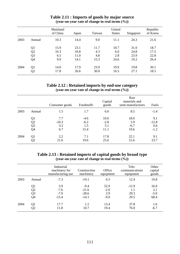|      |                | Mainland<br>of China | Japan | Taiwan | United<br><b>States</b> | Singapore | Republic<br>of Korea |
|------|----------------|----------------------|-------|--------|-------------------------|-----------|----------------------|
| 2003 | Annual         | 10.3                 | 14.4  | 9.0    | 11.1                    | 24.3      | 21.6                 |
|      | Q1             | 15.9                 | 23.1  | 11.7   | 10.7                    | 31.0      | 18.7                 |
|      | Q <sub>2</sub> | 10.3                 | 10.8  | 4.3    | 6.0                     | 24.8      | 17.5                 |
|      | Q3             | 6.5                  | 11.0  | 4.8    | 2.8                     | 23.9      | 22.8                 |
|      | Q4             | 9.9                  | 14.1  | 15.3   | 24.6                    | 19.2      | 26.4                 |
| 2004 | Q1             | 14.0                 | 17.9  | 23.9   | 19.9                    | 19.8      | 30.1                 |
|      | Q2             | 17.8                 | 26.6  | 30.0   | 16.5                    | 27.1      | 18.5                 |

### **Table 2.11 : Imports of goods by major source (year-on-year rate of change in real terms (%))**

# **Table 2.12 : Retained imports by end-use category (year-on-year rate of change in real terms (%))**

|      |                | Consumer goods | Foodstuffs | Capital<br>goods | Raw<br>materials and<br>semi-manufactures | Fuels   |
|------|----------------|----------------|------------|------------------|-------------------------------------------|---------|
| 2003 | Annual         | 1.5            | 1.7        | 6.0              | 8.5                                       | $-1.4$  |
|      | Q1             | 7.7            | $-4.6$     | 10.6             | 18.0                                      | 9.1     |
|      | Q2             | $-10.3$        | $-6.2$     | $-2.8$           | 5.9                                       | $-12.8$ |
|      | Q <sub>3</sub> | 3.2            | 1.5        | 5.1              | $-6.7$                                    | 0.6     |
|      | Q4             | 6.7            | 15.4       | 11.1             | 19.6                                      | $-1.2$  |
| 2004 | Q1             | 2.2            | 7.1        | 17.8             | 22.1                                      | 9.1     |
|      | Q2             | 21.6           | 19.6       | 25.6             | 15.6                                      | 23.7    |

### **Table 2.13 : Retained imports of capital goods by broad type (year-on-year rate of change in real terms (%))**

|      |                | Industrial<br>machinery for<br>manufacturing use | Construction<br>machinery | Office<br>equipment | Tele-<br>communications<br>equipment | Other<br>capital<br>goods |
|------|----------------|--------------------------------------------------|---------------------------|---------------------|--------------------------------------|---------------------------|
| 2003 | Annual         | $-7.3$                                           | $-19.1$                   | 6.5                 | 12.4                                 | 19.8                      |
|      | Q1             | 3.9                                              | $-9.4$                    | 52.9                | $-12.9$                              | 16.0                      |
|      | Q2             | $-7.6$                                           | $-21.6$                   | $-2.0$              | 1.1                                  | 2.1                       |
|      | Q <sub>3</sub> | $-7.9$                                           | $-28.6$                   | 2.9                 | 29.3                                 | $-5.0$                    |
|      | Q4             | $-15.4$                                          | $-14.1$                   | $-9.0$              | 29.5                                 | 68.4                      |
| 2004 | Q1             | 17.7                                             | 1.5                       | 13.4                | 37.8                                 | 1.6                       |
|      | Q2             | 11.8                                             | 10.7                      | 19.4                | 76.0                                 | $-6.7$                    |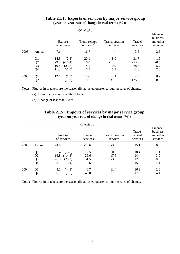|      |                                              |                                                                            | Of which:                                |                                 |                                 |                                               |
|------|----------------------------------------------|----------------------------------------------------------------------------|------------------------------------------|---------------------------------|---------------------------------|-----------------------------------------------|
|      |                                              | <b>Exports</b><br>of services                                              | Trade-related<br>services <sup>(a)</sup> | Transportation<br>services      | Travel<br>services              | Finance,<br>business<br>and other<br>services |
| 2003 | Annual                                       | 7.1                                                                        | 16.7                                     | $\ast$                          | 3.5                             | 3.6                                           |
|      | Q1<br>Q <sub>2</sub><br>Q <sub>3</sub><br>Q4 | 14.3<br>(2.3)<br>$(-18.4)$<br>$-9.5$<br>(33.8)<br>10.4<br>11.8<br>$(-1.0)$ | 20.1<br>16.0<br>14.1<br>17.5             | 8.0<br>$-12.6$<br>$-0.9$<br>5.7 | 31.7<br>$-53.6$<br>28.6<br>12.6 | 1.5<br>$-0.5$<br>5.7<br>7.6                   |
| 2004 | Q <sub>1</sub><br>Q <sub>2</sub>             | (1.8)<br>12.6<br>$(-1.3)$<br>31.3                                          | 18.6<br>19.6                             | 13.4<br>31.5                    | 4.0<br>125.5                    | 8.9<br>8.5                                    |

### **Table 2.14 : Exports of services by major service group (year-on-year rate of change in real terms (%))**

Notes : Figures in brackets are the seasonally adjusted quarter-to-quarter rates of change.

(a) Comprising mainly offshore trade.

(\*) Change of less than 0.05%.

|      |                |                               | Of which:          |                            |                               |                                               |
|------|----------------|-------------------------------|--------------------|----------------------------|-------------------------------|-----------------------------------------------|
|      |                | <b>Imports</b><br>of services | Travel<br>services | Transportation<br>services | Trade-<br>related<br>services | Finance,<br>business<br>and other<br>services |
| 2003 | Annual         | $-4.6$                        | $-10.6$            | $-3.0$                     | 15.1                          | 0.3                                           |
|      | Q <sub>1</sub> | $(-5.8)$<br>$-5.4$            | $-12.5$            | 0.9                        | 18.4                          | $-1.1$                                        |
|      | Q <sub>2</sub> | $-16.8$<br>$(-14.3)$          | $-26.6$            | $-17.6$                    | 14.4                          | $-3.0$                                        |
|      | Q <sub>3</sub> | (23.2)<br>$-0.3$              | $-1.5$             | $-3.0$                     | 12.5                          | 0.8                                           |
|      | Q4             | 3.1<br>(3.4)                  | $-2.6$             | 7.8                        | 15.9                          | 4.1                                           |
| 2004 | Q <sub>1</sub> | $(-4.8)$<br>4.1               | $-0.7$             | 11.4                       | 16.9                          | 2.6                                           |
|      | Q2             | 30.1<br>(7.0)                 | 43.0               | 37.3                       | 17.9                          | 4.1                                           |

### **Table 2.15 : Imports of services by major service group (year-on-year rate of change in real terms (%))**

Note : Figures in brackets are the seasonally adjusted quarter-to-quarter rates of change.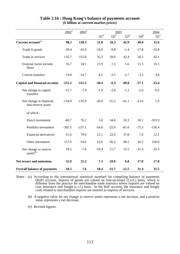|                                                | $2002^*$ | $2003^{\text{*}}$ |           | 2003      |           |           |          |  |
|------------------------------------------------|----------|-------------------|-----------|-----------|-----------|-----------|----------|--|
|                                                |          |                   | $Q1^{\#}$ | $Q2^{\#}$ | $Q3^{\#}$ | $Q4^{\#}$ | $Q1^*$   |  |
| Current account <sup>(a)</sup>                 | 98.2     | 130.3             | 31.0      | 16.3      | 42.9      | 40.0      | 15.6     |  |
| Trade in goods                                 | $-39.4$  | $-45.0$           | $-16.0$   | $-9.8$    | $-1.4$    | $-17.8$   | $-32.8$  |  |
| Trade in services                              | 135.7    | 155.8             | 35.2      | 28.0      | 42.4      | 50.2      | 42.1     |  |
| External factor income<br>flows                | 16.7     | 34.1              | 15.9      | 1.5       | 5.6       | 11.1      | 10.1     |  |
| <b>Current transfers</b>                       | $-14.8$  | $-14.7$           | $-4.1$    | $-3.5$    | $-3.7$    | $-3.5$    | $-3.8$   |  |
| <b>Capital and financial account</b>           | $-151.2$ | $-151.5$          | $-38.4$   | $-6.3$    | $-49.8$   | $-57.1$   | $-33.4$  |  |
| Net change in capital<br>transfers             | $-15.7$  | $-7.9$            | $-1.9$    | $-2.8$    | $-1.2$    | $-2.0$    | 0.2      |  |
| Net change in financial<br>non-reserve assets  | $-154.0$ | $-135.9$          | $-26.0$   | $-25.2$   | $-61.1$   | $-23.6$   | 1.9      |  |
| of which:                                      |          |                   |           |           |           |           |          |  |
| Direct investment                              | $-60.7$  | 76.2              | 3.0       | 34.8      | 20.3      | 18.1      | $-103.9$ |  |
| Portfolio investment                           | $-302.5$ | $-237.1$          | $-54.8$   | $-25.9$   | $-81.0$   | $-75.5$   | $-156.4$ |  |
| Financial derivatives                          | 51.6     | 79.6              | 12.1      | 22.0      | 37.8      | 7.6       | 12.1     |  |
| Other investment                               | 157.6    | $-54.6$           | 13.6      | $-56.2$   | $-38.2$   | 26.2      | 250.0    |  |
| Net change in reserve<br>assets <sup>(b)</sup> | 18.5     | $-7.6$            | $-10.4$   | 21.7      | 12.5      | $-31.4$   | $-35.5$  |  |
| Net errors and omissions                       | 52.9     | 21.2              | 7.3       | $-10.0$   | 6.8       | 17.0      | 17.8     |  |
| <b>Overall balance of payments</b>             | $-18.5$  | 7.6               | 10.4      | $-21.7$   | $-12.5$   | 31.4      | 35.5     |  |

## **Table 2.16 : Hong Kong's balance of payments account (\$ billion at current market prices)**

Notes : (a) According to the international statistical standard for compiling balance of payments (BoP) account, imports of goods are valued on free-on-board (f.o.b.) basis, which is different from the practice for merchandise trade statistics where imports are valued on cost, insurance and freight (c.i.f.) basis. In the BoP account, the insurance and freight costs related to merchandise imports are entered as imports of services.

(b) A negative value for net change in reserve assets represents a net increase, and a positive value represents a net decrease.

(#) Revised figures.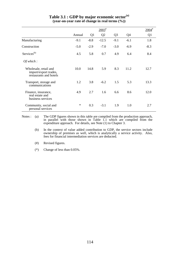|                                                                          |        |                | $2003^{\text{*}}$ |                |        | $2004$ <sup>#</sup> |
|--------------------------------------------------------------------------|--------|----------------|-------------------|----------------|--------|---------------------|
|                                                                          | Annual | Q <sub>1</sub> | Q <sub>2</sub>    | Q <sub>3</sub> | Q4     | Q <sub>1</sub>      |
| Manufacturing                                                            | $-9.1$ | $-8.8$         | $-12.5$           | $-9.1$         | $-6.1$ | 1.8                 |
| Construction                                                             | $-5.0$ | $-2.9$         | $-7.0$            | $-3.0$         | $-6.9$ | $-8.3$              |
| Services <sup>(b)</sup>                                                  | 4.5    | 5.8            | 0.7               | 4.9            | 6.4    | 8.4                 |
| Of which:                                                                |        |                |                   |                |        |                     |
| Wholesale, retail and<br>import/export trades,<br>restaurants and hotels | 10.0   | 14.8           | 5.9               | 8.3            | 11.2   | 12.7                |
| Transport, storage and<br>communications                                 | 1.2    | 3.8            | $-6.2$            | 1.5            | 5.3    | 13.3                |
| Finance, insurance,<br>real estate and<br>business services              | 4.9    | 2.7            | 1.6               | 6.6            | 8.6    | 12.0                |
| Community, social and<br>personal services                               | $\ast$ | 0.3            | $-3.1$            | 1.9            | 1.0    | 2.7                 |

### Table 3.1 : GDP by major economic sector<sup>(a)</sup> **(year-on-year rate of change in real terms (%))**

Notes : (a) The GDP figures shown in this table are compiled from the production approach, in parallel with those shown in Table 1.1 which are compiled from the expenditure approach. For details, see Note (1) to Chapter 3.

(b) In the context of value added contribution to GDP, the service sectors include ownership of premises as well, which is analytically a service activity. Also, fees for financial intermediation services are deducted.

(#) Revised figures.

(\*) Change of less than 0.05%.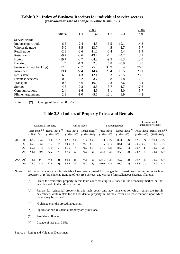|                          |         |                | 2003    |                |        | 2004           |
|--------------------------|---------|----------------|---------|----------------|--------|----------------|
|                          | Annual  | Q <sub>1</sub> | Q2      | Q <sub>3</sub> | Q4     | Q <sub>1</sub> |
| Service sector           |         |                |         |                |        |                |
| Import/export trade      | 6.5     | 2.4            | 4.3     | 6.5            | 12.1   | 14.3           |
| Wholesale trade          | $-5.0$  | $-3.5$         | $-13.7$ | $-4.5$         | 1.7    | 5.7            |
| Retail trade             | $-2.3$  | $-2.6$         | $-11.0$ | $-0.4$         | 5.4    | 8.4            |
| <b>Restaurants</b>       | $-9.7$  | $-8.6$         | $-19.2$ | $-7.1$         | $-4.2$ | 3.7            |
| <b>Hotels</b>            | $-19.7$ | $-2.7$         | $-64.3$ | $-9.5$         | $-3.3$ | 13.0           |
| <b>Banking</b>           | ∗       | $-1.3$         | 2.3     | 5.8            | $-5.9$ | 13.8           |
| Finance (except banking) | 17.3    | $-5.7$         | $-5.5$  | 30.9           | 53.4   | 76.0           |
| Insurance                | 19.1    | 22.4           | 14.4    | 25.4           | 15.5   | 29.1           |
| Real estate              | 6.2     | $-4.3$         | $-12.1$ | 18.3           | 25.5   | 25.0           |
| Business services        | 0.5     | 0.2            | $-3.7$  | 0.8            | 4.8    | 7.6            |
| <b>Transport</b>         | 0.5     | 5.6            | $-10.9$ | 0.3            | 6.6    | 13.4           |
| Storage                  | $-4.5$  | $-7.8$         | $-8.3$  | $-3.7$         | 1.7    | 17.6           |
| Communications           | $-2.4$  | 1.6            | $-4.9$  | $-3.1$         | $-3.0$ | $-3.7$         |
| Film entertainment       | 2.3     | $-1.0$         | $-5.6$  | 12.1           | 3.9    | 4.2            |

#### **Table 3.2 : Index of Business Receipts for individual service sectors (year-on-year rate of change in value terms (%))**

Note :  $(*)$  Change of less than 0.05%.

# **Table 3.3 : Indices of Property Prices and Rentals**

|                        |                |                                   | Residential property |              |                    |      | Office space                |              |                    |                             | Shopping space |              |                    | Conventional<br>flatted factory space |                             |                                       |        |
|------------------------|----------------|-----------------------------------|----------------------|--------------|--------------------|------|-----------------------------|--------------|--------------------|-----------------------------|----------------|--------------|--------------------|---------------------------------------|-----------------------------|---------------------------------------|--------|
|                        |                | Price index $(a)$<br>$(1999=100)$ |                      | $(1999=100)$ | Rental index $(b)$ |      | Price index<br>$(1999=100)$ | $(1999=100)$ | Rental index $(b)$ | Price index<br>$(1999=100)$ |                | $(1999=100)$ | Rental index $(b)$ |                                       | Price index<br>$(1999=100)$ | Rental index $^{(b)}$<br>$(1999=100)$ |        |
| 2003 Q1                |                | 62.7                              | $(-4)$               | 76.6         | $(-3)$             | 62.1 | $(-4)$                      | 79.4         | $(-4)$             | 81.0                        | $(-2)$         | 89.1         | $(-3)$             | 72.5                                  | $(*)$                       | 79.4                                  | $(-2)$ |
|                        | Q <sub>2</sub> | 59.8                              | $(-5)$               | 73.7         | $(-4)$             | 59.0 | $(-5)$                      | 74.3         | $(-6)$             | 81.5                        | (1)            | 84.1         | $(-6)$             | 70.0                                  | $(-3)$                      | 73.8                                  | $(-7)$ |
|                        | Q <sub>3</sub> | 59.3                              | $(-1)$               | 71.9         | $(-2)$             | 61.6 | (4)                         | 71.7         | $(-3)$             | 84.1                        | (3)            | 84.9         | (1)                | 70.7                                  | (1)                         | 72.2                                  | $(-2)$ |
|                        | Q4             | 64.4                              | (9)                  | 72.2         | $(*)$              | 67.5 | (10)                        | 73.1         | (2)                | 95.3                        | (13)           | 87.4         | (3)                | 73.7                                  | (4)                         | 74.3                                  | (3)    |
| $2004 \text{ }Q1^{\#}$ |                | 73.6                              | (14)                 | 74.8         | (4)                | 86.6 | (28)                        | 74.6         | (2)                | 108.1                       | (13)           | 89.2         | (2)                | 79.7                                  | (8)                         | 76.9                                  | (3)    |
|                        | $Q2^{\wedge}$  | 76.0                              | (3)                  | 77.6         | (4)                | 95.8 | (11)                        | 76.7         | (3)                | 110.0                       | (2)            | 91.9         | (3)                | 82.5                                  | (4)                         | 77.9                                  | (1)    |

Notes : All rental indices shown in this table have been adjusted for changes in concessionary leasing terms such as provision of refurbishment, granting of rent-free periods, and waiver of miscellaneous charges, if known.

- (a) Prices for residential property in this table cover existing flats traded in the secondary market, but not new flats sold in the primary market.
- (b) Rentals for residential property in this table cover only new tenancies for which rentals are freshly determined, while rentals for non-residential property in this table cover also lease renewals upon which rentals may be revised.
- ( ) % change over the preceding quarter.
- (#) Figures for non-residential property are provisional.
- (^) Provisional figures.
- (\*) Change of less than 0.5%.
- Source : Rating and Valuation Department.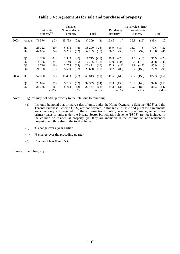|      |                                                          | Residential<br>property <sup>(a)</sup>  |                                    | Number<br>Non-residential<br>Property  |                                  | Total                                |                                    |                              | Residential<br>property <sup>(a)</sup> |                           | Total value (\$Bn)<br>Non-residential<br>Property |                              | Total                             |  |
|------|----------------------------------------------------------|-----------------------------------------|------------------------------------|----------------------------------------|----------------------------------|--------------------------------------|------------------------------------|------------------------------|----------------------------------------|---------------------------|---------------------------------------------------|------------------------------|-----------------------------------|--|
| 2003 | Annual                                                   | 71 576                                  | $(-2)$                             | 15 733                                 | (22)                             | 87 309                               | (2)                                | 153.6                        | $(*)$                                  | 35.8                      | (15)                                              | 189.4                        | (2)                               |  |
|      | H1<br>H <sub>2</sub>                                     | 28 7 22<br>42 854                       | $(-30)$<br>(34)                    | 6478<br>9 2 5 5                        | $(-6)$<br>(52)                   | 35 200<br>52 109                     | $(-26)$<br>(37)                    | 56.9<br>96.7                 | $(-37)$<br>(50)                        | 13.7<br>22.1              | $(-5)$<br>(32)                                    | 70.6<br>118.8                | $(-32)$<br>(46)                   |  |
|      | Q <sub>1</sub><br>Q <sub>2</sub><br>Q <sub>3</sub><br>Q4 | 14 3 8 6<br>14 3 3 6<br>18716<br>24 138 | $(-24)$<br>$(-35)$<br>(16)<br>(51) | 3 3 2 9<br>3 1 4 9<br>3 7 5 5<br>5 500 | $(-7)$<br>$(-5)$<br>(15)<br>(97) | 17 7 15<br>17485<br>22 471<br>29 638 | $(-21)$<br>$(-31)$<br>(16)<br>(58) | 29.9<br>27.0<br>35.9<br>60.7 | $(-28)$<br>$(-44)$<br>(11)<br>(89)     | 7.0<br>6.8<br>9.9<br>12.2 | (14)<br>$(-19)$<br>$(-17)$<br>(155)               | 36.9<br>33.8<br>45.9<br>72.9 | $(-23)$<br>$(-40)$<br>(4)<br>(98) |  |
| 2004 | H1                                                       | 52 360                                  | (82)                               | 11 453                                 | (77)                             | 63 813                               | (81)                               | 141.6                        | (149)                                  | 35.7                      | (159)                                             | 177.3                        | (151)                             |  |
|      | Q1<br>Q2                                                 | 28 624<br>23 7 36                       | (99)<br>(66)<br><17>               | 5 7 3 5<br>5 7 1 8                     | (72)<br>(82)<br>$<^*>$           | 34 359<br>29 454                     | (94)<br>(68)<br>$<$ -14>           | 77.3<br>64.3                 | (158)<br>(138)<br><17>                 | 16.7<br>19.0              | (140)<br>(180)<br><14>                            | 94.0<br>83.3                 | (155)<br>(147)<br><11>            |  |

**Table 3.4 : Agreements for sale and purchase of property**

Notes : Figures may not add up exactly to the total due to rounding.

- (a) It should be noted that primary sales of units under the Home Ownership Scheme (HOS) and the Tenants Purchase Scheme (TPS) are not covered in this table, as sale and purchase agreements are commonly not required for these transactions. Also, sale and purchase agreements for primary sales of units under the Private Sector Participation Scheme (PSPS) are not included in the column on residential property, yet they are included in the column on non-residential property, and thus also in the total column.
- ( ) % change over a year earlier.
- $\langle \rangle$  % change over the preceding quarter.
- (\*) Change of less than 0.5%.

Source : Land Registry.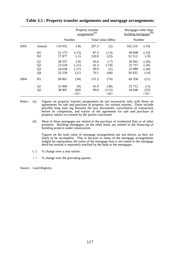|      |                |          | Property transfer<br>assignments <sup>(a)</sup> | Mortgages other than<br>building mortgages <sup>(b)</sup> |                    |         |         |
|------|----------------|----------|-------------------------------------------------|-----------------------------------------------------------|--------------------|---------|---------|
|      |                | Number   |                                                 |                                                           | Total value (\$Bn) | Number  |         |
| 2003 | Annual         | 110 052  | $(-8)$                                          | 207.3                                                     | (5)                | 102 210 | $(-16)$ |
|      | H1             | 52 175   | $(-15)$                                         | 87.3                                                      | $(-13)$            | 49 698  | $(-23)$ |
|      | H2             | 57 877   | $(-1)$                                          | 120.0                                                     | (23)               | 52 512  | $(-9)$  |
|      | Q <sub>1</sub> | 28 5 5 7 | $(-9)$                                          | 45.0                                                      | $(-7)$             | 26 941  | $(-20)$ |
|      | Q <sub>2</sub> | 23 618   | $(-21)$                                         | 42.3                                                      | $(-19)$            | 22 757  | $(-26)$ |
|      | Q <sub>3</sub> | 24 638   | $(-21)$                                         | 49.9                                                      | (2)                | 22 080  | $(-28)$ |
|      | Q <sub>4</sub> | 33 239   | (21)                                            | 70.1                                                      | (44)               | 30 4 32 | (14)    |
| 2004 | H1             | 69 861   | (34)                                            | 151.5                                                     | (74)               | 60 358  | (21)    |
|      | Q <sub>1</sub> | 31 060   | (9)                                             | 61.9                                                      | (38)               | 25 7 12 | $(-5)$  |
|      | Q <sub>2</sub> | 38 801   | (64)                                            | 89.6                                                      | (112)              | 34 646  | (52)    |
|      |                |          | $<$ 25>                                         |                                                           | $<\!\!45\!\!>$     |         | <35>    |

### **Table 3.5 : Property transfer assignments and mortgage arrangements**

- Notes : (a) Figures on property transfer assignments do not necessarily tally with those on agreements for sale and purchase of property, for various reasons. These include possibly long time lag between the two documents, cancellation of transaction before its completion, and waiver of the agreement for sale and purchase of property subject to consent by the parties concerned.
	- (b) Most of these mortgages are related to the purchase of residential flats or of other premises. Building mortgages, on the other hand, are related to the financing of building projects under construction.

Figures on the total value of mortgage arrangements are not shown, as they are likely to be incomplete. This is because in many of the mortgage arrangements lodged for registration, the value of the mortgage loan is not stated in the mortgage deed but instead is separately notified by the bank to the mortgagor.

- ( ) % change over a year earlier.
- $\langle \rangle$  % change over the preceding quarter.

Source : Land Registry.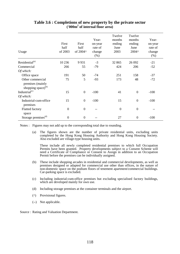| Usage                                                                  | First<br>half<br>of 2003 | First<br>half<br>of 2004^ | Year-<br>on-year<br>rate of<br>change<br>$(\%)$ | Twelve<br>months<br>ending<br>June<br>2003 | Twelve<br>months<br>ending<br>June<br>2004^ | Year-<br>on-year<br>rate of<br>change<br>(%) |
|------------------------------------------------------------------------|--------------------------|---------------------------|-------------------------------------------------|--------------------------------------------|---------------------------------------------|----------------------------------------------|
| Residential <sup>(a)</sup>                                             | 10 236                   | 9931                      | $-3$                                            | 32 865                                     | 26 092                                      | $-21$                                        |
| Commercial                                                             | 266                      | 55                        | $-79$                                           | 424                                        | 206                                         | $-52$                                        |
| Of which:                                                              |                          |                           |                                                 |                                            |                                             |                                              |
| Office space                                                           | 191                      | 50                        | $-74$                                           | 251                                        | 158                                         | $-37$                                        |
| Other commercial<br>premises (mainly<br>shopping space) <sup>(b)</sup> | 75                       | 5                         | $-93$                                           | 173                                        | 48                                          | $-72$                                        |
| Industrial <sup>(c)</sup>                                              | 15                       | $\boldsymbol{0}$          | $-100$                                          | 41                                         | $\overline{0}$                              | $-100$                                       |
| Of which:                                                              |                          |                           |                                                 |                                            |                                             |                                              |
| Industrial-cum-office<br>premises                                      | 15                       | $\boldsymbol{0}$          | $-100$                                          | 15                                         | $\mathbf{0}$                                | $-100$                                       |
| Flatted factory<br>space                                               | $\boldsymbol{0}$         | $\boldsymbol{0}$          |                                                 | $\mathbf{0}$                               | $\mathbf{0}$                                |                                              |
| Storage premises <sup>(d)</sup>                                        | $\overline{0}$           | $\boldsymbol{0}$          |                                                 | 27                                         | $\overline{0}$                              | $-100$                                       |

## **Table 3.6 : Completions of new property by the private sector ('000m2 of internal floor area)**

Notes : Figures may not add up to the corresponding total due to rounding.

(a) The figures shown are the number of private residential units, excluding units completed by the Hong Kong Housing Authority and Hong Kong Housing Society. Also excluded are village-type housing units.

These include all newly completed residential premises to which full Occupation Permits have been granted. Property developments subject to a Consent Scheme will need a Certificate of Compliance or Consent to Assign in addition to an Occupation Permit before the premises can be individually assigned.

- (b) These include shopping arcades in residential and commercial developments, as well as premises designed or adapted for commercial use other than offices, in the nature of non-domestic space on the podium floors of tenement apartment/commercial buildings. Car-parking space is excluded.
- (c) Including industrial-cum-office premises but excluding specialised factory buildings, which are developed mainly for own use.
- (d) Including storage premises at the container terminals and the airport.
- (^) Provisional figures.
- (--) Not applicable.

Source : Rating and Valuation Department.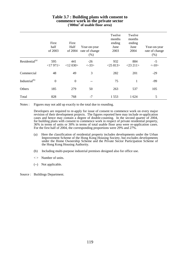#### **Table 3.7 : Building plans with consent to commence work in the private sector ('000m2 of usable floor area)**

|                            | First<br>half<br>of 2003 | First<br>Half<br>of 2004 | Year-on-year<br>rate of change<br>$(\% )$ | Twelve<br>months<br>ending<br>June<br>2003 | Twelve<br>months<br>ending<br>June<br>2004 | Year-on-year<br>rate of change<br>(% ) |
|----------------------------|--------------------------|--------------------------|-------------------------------------------|--------------------------------------------|--------------------------------------------|----------------------------------------|
| Residential <sup>(a)</sup> | 595<br><17971>           | 441<br><12030>           | $-26$<br>$< -33>$                         | 932<br>$<$ 25 813>                         | 884<br>$<$ 23 211>                         | $-5$<br><10>                           |
| Commercial                 | 48                       | 49                       | 3                                         | 282                                        | 201                                        | $-29$                                  |
| Industrial <sup>(b)</sup>  | $\boldsymbol{0}$         | $\boldsymbol{0}$         |                                           | 75                                         | 1                                          | $-99$                                  |
| Others                     | 185                      | 279                      | 50                                        | 263                                        | 537                                        | 105                                    |
| Total                      | 828                      | 768                      | $-7$                                      | 1553                                       | 1 624                                      | 5                                      |

Notes : Figures may not add up exactly to the total due to rounding.

Developers are required to re-apply for issue of consent to commence work on every major revision of their development projects. The figures reported here may include re-application cases and hence may contain a degree of double-counting. In the second quarter of 2004, for building plans with consent to commence work in respect of private residential property, 36% in terms of units or 30% in terms of total usable floor area were re-application cases. For the first half of 2004, the corresponding proportions were 29% and 27%.

- (a) Here the classification of residential property includes developments under the Urban Improvement Scheme of the Hong Kong Housing Society, but excludes developments under the Home Ownership Scheme and the Private Sector Participation Scheme of the Hong Kong Housing Authority.
- (b) Including multi-purpose industrial premises designed also for office use.
- $\langle \rangle$  Number of units.
- (--) Not applicable.

Source : Buildings Department.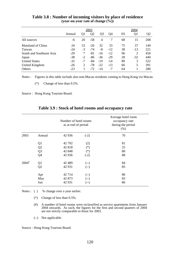|                          |        |        | 2003           |                | 2004  |    |       |                |
|--------------------------|--------|--------|----------------|----------------|-------|----|-------|----------------|
|                          | Annual | Ql     | Q <sub>2</sub> | Q <sub>3</sub> | O4    | H1 | Q1    | Q <sub>2</sub> |
| All sources              | -6     | 20     | $-58$          | $\overline{4}$ | 7     | 68 | 15    | 208            |
| Mainland of China        | 24     | 53     | $-26$          | 32             | 33    | 75 | 37    | 149            |
| Taiwan                   | $-24$  | $-3$   | $-74$          | -8             | $-12$ | 38 | $-13$ | 221            |
| South and Southeast Asia | $-29$  | $\ast$ | $-81$          | $-16$          | $-12$ | 96 | 2     | 450            |
| Japan                    | $-38$  | $-2$   | $-86$          | $-36$          | $-29$ | 28 | $-32$ | 440            |
| <b>United States</b>     | $-32$  | $-7$   | $-84$          | $-19$          | $-14$ | 89 | 3     | 522            |
| United Kingdom           | $-26$  | 2      | $-78$          | $-22$          | $-13$ | 66 | 5     | 391            |
| Others                   | $-23$  |        | $-72$          | $-14$          | $-7$  | 64 |       | 280            |

**Table 3.8 : Number of incoming visitors by place of residence (year-on-year rate of change (%))**

Notes : Figures in this table include also non-Macau residents coming to Hong Kong via Macau.

(\*) Change of less than 0.5%.

Source : Hong Kong Tourism Board.

|  | Table 3.9 : Stock of hotel rooms and occupancy rate |  |  |  |  |  |  |  |  |
|--|-----------------------------------------------------|--|--|--|--|--|--|--|--|
|--|-----------------------------------------------------|--|--|--|--|--|--|--|--|

|                     |                | Number of hotel rooms<br>as at end of period |        | Average hotel room<br>occupancy rate<br>during the period<br>(% ) |
|---------------------|----------------|----------------------------------------------|--------|-------------------------------------------------------------------|
| 2003                | Annual         | 42 9 36                                      | $(-2)$ | 70                                                                |
|                     | Q <sub>1</sub> | 42 792                                       | (2)    | 81                                                                |
|                     | Q2             | 42818                                        | $(*)$  | 25                                                                |
|                     | Q <sub>3</sub> | 42 848                                       | $(*)$  | 80                                                                |
|                     | Q4             | 42 936                                       | $(-2)$ | 88                                                                |
| $2004$ <sup>#</sup> | Q1             | 42 489                                       | $(-)$  | 84                                                                |
|                     | Q <sub>2</sub> | 42 931                                       | $(-)$  | 85                                                                |
|                     | Apr            | 42714                                        | $(-)$  | 86                                                                |
|                     | May            | 42 873                                       | (--)   | 83                                                                |
|                     | Jun            | 42 931                                       | (--)   | 86                                                                |

Notes : ( ) % change over a year earlier.

- (\*) Change of less than 0.5%.
- (#) A number of hotel rooms were reclassified as service apartments from January 2004 onwards. As such, the figures for the first and second quarters of 2004 are not strictly comparable to those for 2003.
- (--) Not applicable.

Source : Hong Kong Tourism Board.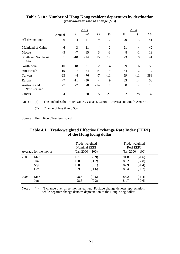|                              |        |       | 2003           |                |                | 2004 |                |                |  |
|------------------------------|--------|-------|----------------|----------------|----------------|------|----------------|----------------|--|
|                              | Annual | Q1    | Q <sub>2</sub> | Q <sub>3</sub> | Q4             | H1   | Q <sub>1</sub> | Q <sub>2</sub> |  |
| All destinations             | -6     | $-4$  | $-21$          | ∗              | $\overline{2}$ | 20   | 3              | 41             |  |
| Mainland of China            | -6     | $-3$  | $-21$          | $\ast$         | $\overline{2}$ | 21   | 4              | 42             |  |
| Macau                        | $-5$   | $-7$  | $-15$          | 3              | $-3$           | 8    | $-1$           | 19             |  |
| South and Southeast<br>Asia  | 1      | $-10$ | $-14$          | 15             | 12             | 23   | 8              | 41             |  |
| North Asia                   | $-10$  | $-18$ | $-21$          | $\overline{2}$ | $-4$           | 29   | 6              | 59             |  |
| Americas <sup>(a)</sup>      | $-19$  | $-7$  | $-54$          | $-14$          | $\ast$         | 34   | $-2$           | 112            |  |
| Taiwan                       | $-23$  | $-4$  | $-76$          | $-7$           | $-11$          | 59   | -11            | 388            |  |
| Europe                       | $-7$   | $-11$ | $-30$          | $\overline{4}$ | 9              | 33   | 14             | 58             |  |
| Australia and<br>New Zealand | $-7$   | $-7$  | $-8$           | -14            | 1              | 8    | $\overline{2}$ | 18             |  |
| Others                       | -4     | $-21$ | $-20$          | 5              | 21             | 32   | 28             | 37             |  |

### **Table 3.10 : Number of Hong Kong resident departures by destination (year-on-year rate of change (%))**

Notes : (a) This includes the United States, Canada, Central America and South America.

(\*) Change of less than 0.5%.

Source : Hong Kong Tourism Board.

### **Table 4.1 : Trade-weighted Effective Exchange Rate Index (EERI) of the Hong Kong dollar**

| Average for the month |                          |                                 | Trade-weighted<br><b>Nominal EERI</b><br>$\text{(Jan } 2000 = 100)$ | Trade-weighted<br><b>Real EERI</b><br>$\text{(Jan } 2000 = 100)$ |                                              |  |
|-----------------------|--------------------------|---------------------------------|---------------------------------------------------------------------|------------------------------------------------------------------|----------------------------------------------|--|
| 2003                  | Mar<br>Jun<br>Sep<br>Dec | 101.8<br>100.6<br>100.6<br>99.0 | $(-0.9)$<br>$(-1.2)$<br>(0.1)<br>$(-1.6)$                           | 91.8<br>89.2<br>87.9<br>86.4                                     | $(-1.6)$<br>$(-2.8)$<br>$(-1.4)$<br>$(-1.7)$ |  |
| 2004                  | Mar<br>Jun               | 98.5<br>98.8                    | $(-0.5)$<br>(0.2)                                                   | 85.2<br>84.7                                                     | $(-1.4)$<br>$(-0.6)$                         |  |

Note : ( ) % change over three months earlier. Positive change denotes appreciation; while negative change denotes depreciation of the Hong Kong dollar.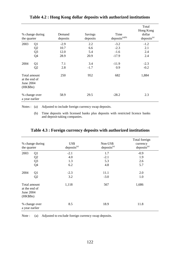| % change during<br>the quarter                |                | Demand<br>deposits | Savings<br>deposits | Time<br>$deposits^{(a)(b)}$ | Total<br>Hong Kong<br>dollar<br>deposits <sup>(a)</sup> |
|-----------------------------------------------|----------------|--------------------|---------------------|-----------------------------|---------------------------------------------------------|
| 2003                                          | Q <sub>1</sub> | $-2.9$             | 2.2                 | $-3.2$                      | $-1.2$                                                  |
|                                               | Q2             | 10.7               | 6.6                 | $-2.3$                      | 2.1                                                     |
|                                               | Q <sub>3</sub> | 12.0               | 5.4                 | $-1.6$                      | 2.4                                                     |
|                                               | Q4             | 28.9               | 20.9                | $-17.9$                     | 2.4                                                     |
| 2004                                          | Q1             | 7.1                | 3.4                 | $-11.9$                     | $-2.3$                                                  |
|                                               | Q2             | 2.8                | $-1.7$              | 0.9                         | $-0.2$                                                  |
| at the end of<br><b>June 2004</b><br>(HK\$Bn) | Total amount   | 250                | 952                 | 682                         | 1,884                                                   |
| % change over<br>a year earlier               |                | 58.9               | 29.5                | $-28.2$                     | 2.3                                                     |

**Table 4.2 : Hong Kong dollar deposits with authorized institutions**

Notes : (a) Adjusted to include foreign currency swap deposits.

(b) Time deposits with licensed banks plus deposits with restricted licence banks and deposit-taking companies.

| the quarter                              | % change during | US\$<br>deposits <sup>(a)</sup> | Non-US\$<br>deposits <sup>(a)</sup> | Total foreign<br>currency<br>deposits <sup>(a)</sup> |
|------------------------------------------|-----------------|---------------------------------|-------------------------------------|------------------------------------------------------|
| 2003                                     | Q <sub>1</sub>  | $-2.1$                          | 1.7                                 | $-0.9$                                               |
|                                          | Q2              | 4.0                             | $-2.1$                              | 1.9                                                  |
|                                          | Q <sub>3</sub>  | 1.3                             | 5.3                                 | 2.6                                                  |
|                                          | Q4              | 6.2                             | 4.8                                 | 5.7                                                  |
| 2004<br>Total amount                     | Q <sub>1</sub>  | $-2.3$                          | 11.1                                | 2.0                                                  |
|                                          | Q2              | 3.2                             | $-3.0$                              | 1.0                                                  |
| at the end of<br>June 2004<br>$(HK\$Bn)$ |                 | 1,118                           | 567                                 | 1,686                                                |
| a year earlier                           | % change over   | 8.5                             | 18.9                                | 11.8                                                 |

**Table 4.3 : Foreign currency deposits with authorized institutions**

Note : (a) Adjusted to exclude foreign currency swap deposits.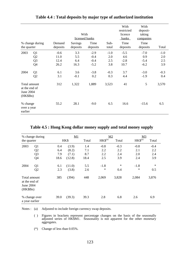|                                                               |                                              |                                | With<br>licensed banks     |                                      |                             | With<br>restricted<br>licence<br>banks | With<br>deposit-<br>taking<br>companies |                             |
|---------------------------------------------------------------|----------------------------------------------|--------------------------------|----------------------------|--------------------------------------|-----------------------------|----------------------------------------|-----------------------------------------|-----------------------------|
| the quarter                                                   | % change during                              | Demand<br>deposits             | <b>Savings</b><br>deposits | Time<br>deposits                     | Sub-<br>total               | Time<br>deposits                       | Time<br>deposits                        | Total                       |
| 2003                                                          | Q <sub>1</sub><br>Q2<br>Q <sub>3</sub><br>Q4 | $-0.6$<br>11.0<br>12.4<br>26.2 | 3.3<br>5.5<br>6.4<br>16.3  | $-2.9$<br>$-0.4$<br>$-0.4$<br>$-5.2$ | $-1.0$<br>2.0<br>2.5<br>3.8 | $-5.5$<br>4.6<br>$-2.8$<br>10.7        | $-7.0$<br>0.9<br>$-5.4$<br>$-6.2$       | $-1.0$<br>2.0<br>2.5<br>3.9 |
| 2004                                                          | Q <sub>1</sub><br>Q2                         | 6.1<br>3.1                     | 3.6<br>$-0.1$              | $-3.8$<br>0.2                        | $-0.3$<br>0.3               | 3.7<br>4.4                             | $-3.0$<br>$-1.9$                        | $-0.3$<br>0.4               |
| Total amount<br>at the end of<br><b>June 2004</b><br>(HK\$Bn) |                                              | 312                            | 1,322                      | 1,889                                | 3,523                       | 41                                     | 5                                       | 3,570                       |
| % change<br>over a year<br>earlier                            |                                              | 55.2                           | 28.1                       | $-9.0$                               | 6.5                         | 16.6                                   | $-15.6$                                 | 6.5                         |

**Table 4.4 : Total deposits by major type of authorized institution**

### **Table 4.5 : Hong Kong dollar money supply and total money supply**

|                                                                 | % change during |      | M1     |       | M2          |        | M <sub>3</sub> |        |
|-----------------------------------------------------------------|-----------------|------|--------|-------|-------------|--------|----------------|--------|
| the quarter                                                     |                 |      | HK\$   | Total | $HK$^{(a)}$ | Total  | $HK$^{(a)}$    | Total  |
| 2003                                                            | Q1              | 0.4  | (3.9)  | 1.4   | $-0.8$      | $-0.3$ | $-0.8$         | $-0.4$ |
|                                                                 | Q2              | 6.4  | (8.2)  | 7.1   | 2.2         | 2.2    | 2.1            | 2.2    |
|                                                                 | Q <sub>3</sub>  | 7.9  | (7.1)  | 8.7   | 2.2         | 2.4    | 2.0            | 2.4    |
|                                                                 | Q4              | 18.6 | (12.8) | 18.4  | 2.5         | 3.9    | 2.4            | 3.9    |
| 2004                                                            | Q <sub>1</sub>  | 6.1  | (11.0) | 5.5   | $-1.8$      | $\ast$ | $-1.8$         | $\ast$ |
|                                                                 | Q2              | 2.3  | (3.8)  | 2.6   | $\ast$      | 0.4    | $\ast$         | 0.5    |
| Total amount<br>at the end of<br><b>June 2004</b><br>$(HK\$Bn)$ |                 | 385  | (394)  | 448   | 2,069       | 3,828  | 2,084          | 3,876  |
| a year earlier                                                  | % change over   | 39.0 | (39.3) | 39.3  | 2.8         | 6.8    | 2.6            | 6.9    |

Notes : (a) Adjusted to include foreign currency swap deposits.

( ) Figures in brackets represent percentage changes on the basis of the seasonally adjusted series of HK\$M1. Seasonality is not apparent for the other monetary aggregates.

(\*) Change of less than 0.05%.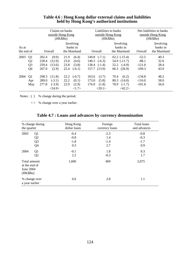| As at<br>the end of |                | Claims on banks<br>outside Hong Kong<br>(HK\$Bn) |          |                                       |          | Liabilities to banks<br>outside Hong Kong<br>(HK\$Bn) |                  |      | Net liabilities to banks<br>outside Hong Kong<br>(HK\$Bn) |          |                                       |
|---------------------|----------------|--------------------------------------------------|----------|---------------------------------------|----------|-------------------------------------------------------|------------------|------|-----------------------------------------------------------|----------|---------------------------------------|
|                     |                | Overall                                          |          | Involving<br>banks in<br>the Mainland |          |                                                       | Overall          |      | Involving<br>banks in<br>the Mainland                     | Overall  | Involving<br>banks in<br>the Mainland |
| 2003                | Q <sub>1</sub> | 202.4                                            | (9.0)    | 21.9                                  | (6.4)    |                                                       | $149.8$ $(-7.1)$ |      | $62.2$ $(-15.4)$                                          | $-52.5$  | 40.3                                  |
|                     | Q <sub>2</sub> | 228.4                                            | (12.9)   | 23.0                                  | (4.6)    | 140.3                                                 | $(-6.3)$         |      | $54.9$ $(-11.7)$                                          | $-88.1$  | 32.0                                  |
|                     | Q <sub>3</sub> | 259.4                                            | (13.6)   | 23.8                                  | (3.8)    |                                                       | $138.4$ $(-1.4)$ |      | $52.2 \quad (-4.9)$                                       | $-121.0$ | 28.4                                  |
|                     | Q <sub>4</sub> | 267.0                                            | (2.9)    | 22.4                                  | $(-6.1)$ |                                                       | 157.7 (13.9)     | 66.3 | (26.9)                                                    | $-109.3$ | 43.9                                  |
| 2004                | Q <sub>1</sub> | 298.3                                            | (11.8)   | 22.2                                  | $(-0.7)$ | 163.6                                                 | (3.7)            | 70.4 | (6.2)                                                     | $-134.8$ | 48.2                                  |
|                     | Apr            | 289.0                                            | $(-3.1)$ | 22.2                                  | (0.1)    | 173.0                                                 | (5.8)            | 80.3 | (14.0)                                                    | $-116.0$ | 58.0                                  |
|                     | May            | 277.8                                            | $(-3.9)$ | 22.9                                  | (2.9)    | 176.0                                                 | (1.8)            | 78.9 | $(-1.7)$                                                  | $-101.8$ | 56.0                                  |
|                     |                |                                                  | <24.9>   |                                       | <1.7>    |                                                       | <29.1>           |      | <42.2>                                                    |          |                                       |

# **Table 4.6 : Hong Kong dollar external claims and liabilities held by Hong Kong's authorized institutions**

Notes : ( ) % change during the period.

< > % change over a year earlier.

| the quarter                                            | % change during                                                      | Hong Kong<br>dollar loans         | Foreign<br>currency loans      | Total loans<br>and advances       |
|--------------------------------------------------------|----------------------------------------------------------------------|-----------------------------------|--------------------------------|-----------------------------------|
| 2003                                                   | Q <sub>1</sub><br>Q <sub>2</sub><br>Q <sub>3</sub><br>Q <sub>4</sub> | $-0.4$<br>$-0.8$<br>$-1.8$<br>0.3 | $-2.3$<br>1.4<br>$-1.4$<br>2.7 | $-0.8$<br>$-0.3$<br>$-1.7$<br>0.9 |
| 2004                                                   | Q <sub>1</sub><br>Q2                                                 | $-0.1$<br>2.2                     | 1.8<br>$-0.3$                  | 0.3<br>1.7                        |
| Total amount<br>at the end of<br>June 2004<br>(HK\$Bn) |                                                                      | 1,606                             | 469                            | 2,075                             |
| a year earlier                                         | % change over                                                        | 0.6                               | 2.8                            | 1.1                               |

# **Table 4.7 : Loans and advances by currency denomination**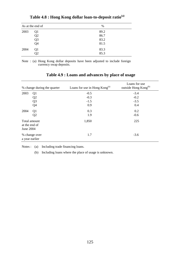|      | As at the end of | %    |
|------|------------------|------|
| 2003 | Q1               | 89.2 |
|      | Q <sub>2</sub>   | 86.7 |
|      | Q <sub>3</sub>   | 83.2 |
|      | Q4               | 81.5 |
| 2004 | Q <sub>1</sub>   | 83.3 |
|      | Q <sub>2</sub>   | 85.3 |

**Table 4.8 : Hong Kong dollar loan-to-deposit ratio(a)**

Note : (a) Hong Kong dollar deposits have been adjusted to include foreign currency swap deposits.

|                            | % change during the quarter     | Loans for use in Hong Kong <sup>(a)</sup> | Loans for use<br>outside Hong Kong <sup>(b)</sup> |
|----------------------------|---------------------------------|-------------------------------------------|---------------------------------------------------|
| 2003                       | Q <sub>1</sub>                  | $-0.5$                                    | $-3.4$                                            |
|                            | Q <sub>2</sub>                  | $-0.3$                                    | $-0.2$                                            |
|                            | Q <sub>3</sub>                  | $-1.5$                                    | $-3.5$                                            |
|                            | Q4                              | 0.9                                       | 0.4                                               |
| 2004                       | Q1                              | 0.3                                       | 0.2                                               |
| Total amount               | Q2                              | 1.9                                       | $-0.6$                                            |
| at the end of<br>June 2004 |                                 | 1,850                                     | 225                                               |
|                            | % change over<br>a year earlier | 1.7                                       | $-3.6$                                            |

# **Table 4.9 : Loans and advances by place of usage**

Notes : (a) Including trade financing loans.

(b) Including loans where the place of usage is unknown.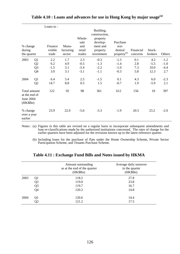|                                                        |                                              | Loans to:                   |                          | Whole-                            | Building,<br>construction,<br>property |                                      |                          |                               |                                   |
|--------------------------------------------------------|----------------------------------------------|-----------------------------|--------------------------|-----------------------------------|----------------------------------------|--------------------------------------|--------------------------|-------------------------------|-----------------------------------|
|                                                        |                                              |                             |                          | sale                              | develop-                               | Purchase                             |                          |                               |                                   |
| % change<br>during                                     |                                              | Finance<br>visible          | Manu-<br>facturing       | and<br>retail                     | ment and<br>property                   | resi-<br>dential                     | Financial                | Stock-                        |                                   |
| the quarter                                            |                                              | trade                       | sector                   | trades                            | investment                             | property <sup>(b)</sup>              | concerns                 | brokers                       | Others                            |
| 2003                                                   | Q1<br>Q <sub>2</sub><br>Q <sub>3</sub><br>Q4 | 2.2<br>6.2<br>$-1.5$<br>3.0 | 1.7<br>4.9<br>3.1<br>3.1 | 2.3<br>$-0.5$<br>$-5.4$<br>$-3.1$ | $-0.3$<br>$-1.3$<br>$-2.2$<br>$-1.1$   | $-1.3$<br>$-1.4$<br>$-1.0$<br>$-0.3$ | 0.1<br>2.8<br>7.3<br>5.8 | 4.2<br>$-5.5$<br>10.0<br>12.3 | $-1.2$<br>$-1.0$<br>$-4.4$<br>2.7 |
| 2004                                                   | Q1<br>Q2                                     | 6.4<br>14.7                 | 5.4<br>8.8               | 2.5<br>0.5                        | $-1.5$<br>1.5                          | 0.1<br>$-0.7$                        | 4.3<br>1.9               | 6.0<br>$-5.9$                 | $-2.3$<br>2.1                     |
| Total amount<br>at the end of<br>June 2004<br>(HK\$Bn) |                                              | 122                         | 92                       | 98                                | 361                                    | 612                                  | 156                      | 10                            | 397                               |
| % change<br>over a year<br>earlier                     |                                              | 23.9                        | 22.0                     | $-5.6$                            | $-3.3$                                 | $-1.9$                               | 20.5                     | 23.2                          | $-2.0$                            |

# **Table 4.10 : Loans and advances for use in Hong Kong by major usage(a)**

Notes : (a) Figures in this table are revised on a regular basis to incorporate subsequent amendments and loan re-classifications made by the authorized institutions concerned. The rates of change for the earlier quarters have been adjusted for the revisions known up to the latest reference quarter.

(b) Including loans for the purchase of flats under the Home Ownership Scheme, Private Sector Participation Scheme, and Tenants Purchase Scheme.

|      |                | Amount outstanding<br>as at the end of the quarter<br>(HK\$Bn) | Average daily turnover<br>in the quarter<br>(HK\$Bn) |
|------|----------------|----------------------------------------------------------------|------------------------------------------------------|
| 2003 | Q1             | 118.2                                                          | 27.8                                                 |
|      | Q2             | 119.0                                                          | 23.8                                                 |
|      | Q <sub>3</sub> | 119.7                                                          | 16.7                                                 |
|      | Q4             | 120.2                                                          | 14.8                                                 |
| 2004 | Q1             | 120.6                                                          | 14.4                                                 |
|      | Q2             | 121.2                                                          | 17.5                                                 |

# **Table 4.11 : Exchange Fund Bills and Notes issued by HKMA**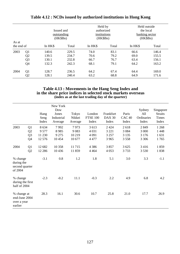| As at<br>the end of |                |         | Issued and<br>outstanding<br>$(HK\$Bn)$ | Held by<br>authorized<br>institutions<br>$(HK\$Bn)$ |       | Held outside<br>the local<br>banking sector<br>$(HK\$Bn)$ |       |
|---------------------|----------------|---------|-----------------------------------------|-----------------------------------------------------|-------|-----------------------------------------------------------|-------|
|                     |                | In HK\$ | Total                                   | In HK\$                                             | Total | In HK\$                                                   | Total |
| 2003                | Q1             | 140.6   | 229.5                                   | 74.0                                                | 83.1  | 66.6                                                      | 146.4 |
|                     | Q <sub>2</sub> | 139.5   | 234.7                                   | 70.6                                                | 79.2  | 69.0                                                      | 155.5 |
|                     | Q <sub>3</sub> | 130.1   | 232.8                                   | 66.7                                                | 76.7  | 63.4                                                      | 156.1 |
|                     | Q4             | 132.3   | 242.3                                   | 68.1                                                | 79.1  | 64.2                                                      | 163.2 |
| 2004                | Q1             | 128.7   | 236.5                                   | 64.2                                                | 67.4  | 64.4                                                      | 169.0 |
|                     | Q <sub>2</sub> | 128.1   | 240.4                                   | 63.2                                                | 68.8  | 64.9                                                      | 171.6 |

# **Table 4.12 : NCDs issued by authorized institutions in Hong Kong**

#### **Table 4.13 : Movements in the Hang Seng Index and in the share price indices in selected stock markets overseas (index as at the last trading day of the quarter)**

|                                                        |                                              | Hang<br>Seng<br>Index               | New York<br>Dow<br>Jones<br>Industrial<br>Average | Tokyo<br>Nikkei<br>Average       | London<br><b>FTSE 100</b><br>Index     | Frankfurt<br><b>DAX 30</b><br>Index      | Paris<br>CAC <sub>40</sub><br>Index | Sydney<br>All<br>Ordinaries<br>Index  | Singapore<br><b>Straits</b><br><b>Times</b><br>Index |
|--------------------------------------------------------|----------------------------------------------|-------------------------------------|---------------------------------------------------|----------------------------------|----------------------------------------|------------------------------------------|-------------------------------------|---------------------------------------|------------------------------------------------------|
| 2003                                                   | Q <sub>1</sub><br>Q2<br>Q <sub>3</sub><br>Q4 | 8 6 3 4<br>9577<br>11 230<br>12 576 | 7992<br>8985<br>9 2 7 5<br>10 4 54                | 7973<br>9083<br>10 219<br>10 677 | 3 613<br>4 0 3 1<br>4 0 9 1<br>4 4 7 7 | 2 4 2 4<br>3 2 2 1<br>3 2 5 7<br>3 9 6 5 | 2618<br>3 0 8 4<br>3 1 3 5<br>3558  | 2849<br>3 0 0 0<br>3 1 7 6<br>3 3 0 6 | 1 2 6 8<br>1448<br>1631<br>1765                      |
| 2004                                                   | Q <sub>1</sub><br>Q <sub>2</sub>             | 12 682<br>12 2 8 6                  | 10 358<br>10 4 36                                 | 11715<br>11859                   | 4 3 8 6<br>4 4 6 4                     | 3857<br>4 0 5 3                          | 3 6 25<br>3733                      | 3416<br>3 5 3 0                       | 1859<br>1838                                         |
| % change<br>during the<br>second quarter<br>of 2004    |                                              | $-3.1$                              | 0.8                                               | 1.2                              | 1.8                                    | 5.1                                      | 3.0                                 | 3.3                                   | $-1.1$                                               |
| % change<br>during the first<br>half of 2004           |                                              | $-2.3$                              | $-0.2$                                            | 11.1                             | $-0.3$                                 | 2.2                                      | 4.9                                 | 6.8                                   | 4.2                                                  |
| % change at<br>end-June 2004<br>over a year<br>earlier |                                              | 28.3                                | 16.1                                              | 30.6                             | 10.7                                   | 25.8                                     | 21.0                                | 17.7                                  | 26.9                                                 |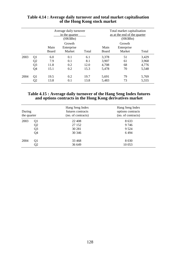|      |                | Average daily turnover<br>in the quarter<br>(HK\$Bn) |                                |       | Total market capitalisation<br>as at the end of the quarter<br>(HK\$Bn) |                                |       |  |
|------|----------------|------------------------------------------------------|--------------------------------|-------|-------------------------------------------------------------------------|--------------------------------|-------|--|
|      |                | Main<br>Board                                        | Growth<br>Enterprise<br>Market | Total | Main<br>Board                                                           | Growth<br>Enterprise<br>Market | Total |  |
| 2003 | Q1             | 6.0                                                  | 0.1                            | 6.1   | 3,378                                                                   | 51                             | 3,429 |  |
|      | Q <sub>2</sub> | 7.9                                                  | 0.1                            | 8.1   | 3,907                                                                   | 61                             | 3,968 |  |
|      | Q <sub>3</sub> | 11.8                                                 | 0.2                            | 12.0  | 4,708                                                                   | 68                             | 4,776 |  |
|      | Q4             | 15.1                                                 | 0.2                            | 15.3  | 5,478                                                                   | 70                             | 5,548 |  |
| 2004 | Q <sub>1</sub> | 19.5                                                 | 0.2                            | 19.7  | 5,691                                                                   | 79                             | 5,769 |  |
|      | Q2             | 13.8                                                 | 0.1                            | 13.8  | 5,483                                                                   | 73                             | 5,555 |  |

# **Table 4.14 : Average daily turnover and total market capitalisation of the Hong Kong stock market**

### **Table 4.15 : Average daily turnover of the Hang Seng Index futures and options contracts in the Hong Kong derivatives market**

| During<br>the quarter |                | Hang Seng Index<br>futures contracts<br>(no. of contracts) | Hang Seng Index<br>options contracts<br>(no. of contracts) |
|-----------------------|----------------|------------------------------------------------------------|------------------------------------------------------------|
| 2003                  | Q1             | 22 4 0 8                                                   | 8 6 3 3                                                    |
|                       | Q <sub>2</sub> | 27 152                                                     | 9 7 4 6                                                    |
|                       | Q <sub>3</sub> | 30 281                                                     | 9 5 2 4                                                    |
|                       | Q <sub>4</sub> | 30 34 6                                                    | 6494                                                       |
| 2004                  | Q1             | 33 4 68                                                    | 8 0 3 0                                                    |
|                       | Q2             | 36 649                                                     | 10 0 53                                                    |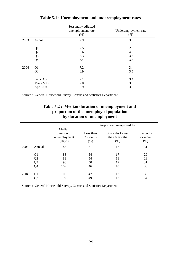|      |                | Seasonally adjusted<br>unemployment rate<br>(% ) | Underemployment rate<br>(% ) |
|------|----------------|--------------------------------------------------|------------------------------|
| 2003 | Annual         | 7.9                                              | 3.5                          |
|      | Q <sub>1</sub> | 7.5                                              | 2.9                          |
|      | Q2             | 8.6                                              | 4.3                          |
|      | Q <sub>3</sub> | 8.3                                              | 3.6                          |
|      | Q4             | 7.4                                              | 3.3                          |
| 2004 | Q <sub>1</sub> | 7.2                                              | 3.4                          |
|      | Q2             | 6.9                                              | 3.5                          |
|      | Feb - Apr      | 7.1                                              | 3.4                          |
|      | Mar - May      | 7.0                                              | 3.5                          |
|      | Apr - Jun      | 6.9                                              | 3.5                          |

**Table 5.1 : Unemployment and underemployment rates**

Source : General Household Survey, Census and Statistics Department.

# **Table 5.2 : Median duration of unemployment and proportion of the unemployed population by duration of unemployment**

|      |                |                                                 | Proportion unemployed for:    |                                           |                             |  |  |  |
|------|----------------|-------------------------------------------------|-------------------------------|-------------------------------------------|-----------------------------|--|--|--|
|      |                | Median<br>duration of<br>unemployment<br>(Days) | Less than<br>3 months<br>(% ) | 3 months to less<br>than 6 months<br>(% ) | 6 months<br>or more<br>(% ) |  |  |  |
| 2003 | Annual         | 88                                              | 51                            | 18                                        | 31                          |  |  |  |
|      |                |                                                 |                               |                                           |                             |  |  |  |
|      | Q1             | 83                                              | 54                            | 17                                        | 29                          |  |  |  |
|      | Q <sub>2</sub> | 82                                              | 54                            | 18                                        | 28                          |  |  |  |
|      | Q <sub>3</sub> | 90                                              | 50                            | 19                                        | 31                          |  |  |  |
|      | Q4             | 109                                             | 46                            | 18                                        | 36                          |  |  |  |
| 2004 | Q <sub>1</sub> | 106                                             | 47                            | 17                                        | 36                          |  |  |  |
|      | Q2             | 97                                              | 49                            | 17                                        | 34                          |  |  |  |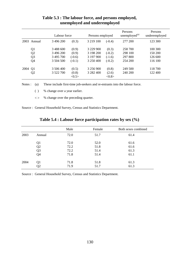|      |                | Labour force |          | Persons employed |          | Persons<br>unemployed <sup>(a)</sup> | Persons<br>underemployed |
|------|----------------|--------------|----------|------------------|----------|--------------------------------------|--------------------------|
|      | 2003 Annual    | 3 496 200    | (0.3)    | 3 219 100        | $(-0.4)$ | 277 200                              | 123 300                  |
|      | Q <sub>1</sub> | 3 488 600    | (0.9)    | 3 229 900        | (0.3)    | 258 700                              | 100 300                  |
|      | Q <sub>2</sub> | 3 496 200    | (0.9)    | 3 198 200        | $(-0.2)$ | 298 100                              | 150 200                  |
|      | Q <sub>3</sub> | 3 495 700    | $(-0.6)$ | 3 197 900        | $(-1.6)$ | 297 800                              | 126 600                  |
|      | Q4             | 3 504 500    | $(-0.1)$ | 3 250 400        | $(-0.2)$ | 254 200                              | 116 100                  |
| 2004 | Q <sub>1</sub> | 3 506 400    | (0.5)    | 3 256 900        | (0.8)    | 249 500                              | 118 700                  |
|      | Q <sub>2</sub> | 3 522 700    | (0.8)    | 3 282 400        | (2.6)    | 240 200                              | 122 400                  |
|      |                |              | <0.5>    |                  | <0.8>    |                                      |                          |

# **Table 5.3 : The labour force, and persons employed, unemployed and underemployed**

Notes : (a) These include first-time job-seekers and re-entrants into the labour force.

( ) % change over a year earlier.

< > % change over the preceding quarter.

Source : General Household Survey, Census and Statistics Department.

|      |                | Male | Female | Both sexes combined |
|------|----------------|------|--------|---------------------|
| 2003 | Annual         | 72.0 | 51.7   | 61.4                |
|      | Q1             | 72.0 | 52.0   | 61.6                |
|      | Q <sub>2</sub> | 72.2 | 51.8   | 61.6                |
|      | Q <sub>3</sub> | 72.2 | 51.4   | 61.3                |
|      | Q4             | 71.8 | 51.4   | 61.1                |
| 2004 | Q1             | 71.8 | 51.8   | 61.3                |
|      | Q2             | 71.9 | 51.7   | 61.3                |

# **Table 5.4 : Labour force participation rates by sex (%)**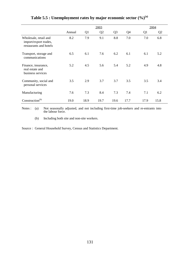|                                                                          |        |                |                | 2004           |      |                |                |  |
|--------------------------------------------------------------------------|--------|----------------|----------------|----------------|------|----------------|----------------|--|
|                                                                          | Annual | Q <sub>1</sub> | Q <sub>2</sub> | Q <sub>3</sub> | Q4   | Q <sub>1</sub> | Q <sub>2</sub> |  |
| Wholesale, retail and<br>import/export trades,<br>restaurants and hotels | 8.2    | 7.9            | 9.1            | 8.8            | 7.0  | 7.0            | 6.8            |  |
| Transport, storage and<br>communications                                 | 6.5    | 6.1            | 7.6            | 6.2            | 6.1  | 6.1            | 5.2            |  |
| Finance, insurance,<br>real estate and<br>business services              | 5.2    | 4.5            | 5.6            | 5.4            | 5.2  | 4.9            | 4.8            |  |
| Community, social and<br>personal services                               | 3.5    | 2.9            | 3.7            | 3.7            | 3.5  | 3.5            | 3.4            |  |
| Manufacturing                                                            | 7.6    | 7.3            | 8.4            | 7.3            | 7.4  | 7.1            | 6.2            |  |
| Construction <sup>(b)</sup>                                              | 19.0   | 18.9           | 19.7           | 19.6           | 17.7 | 17.9           | 15.8           |  |

# **Table 5.5 : Unemployment rates by major economic sector (%)(a)**

Notes : (a) Not seasonally adjusted, and not including first-time job-seekers and re-entrants into the labour force.

(b) Including both site and non-site workers.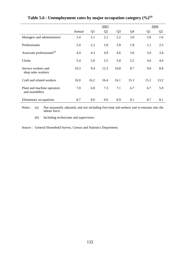|                                               |        |                | 2003 |                |                |      | 2004 |
|-----------------------------------------------|--------|----------------|------|----------------|----------------|------|------|
|                                               | Annual | Q <sub>1</sub> | Q2   | Q <sub>3</sub> | Q <sub>4</sub> | Q1   | Q2   |
| Managers and administrators                   | 2.4    | 2.1            | 2.2  | 2.2            | 3.0            | 2.0  | 1.6  |
| Professionals                                 | 2.4    | 2.2            | 2.8  | 2.8            | 1.8            | 2.1  | 2.5  |
| Associate professionals <sup>(b)</sup>        | 4.4    | 4.3            | 4.9  | 4.6            | 3.6            | 3.6  | 3.4  |
| Clerks                                        | 5.4    | 5.0            | 5.5  | 5.8            | 5.2            | 4.6  | 4.6  |
| Service workers and<br>shop sales workers     | 10.3   | 9.4            | 12.3 | 10.8           | 8.7            | 9.0  | 8.8  |
| Craft and related workers                     | 16.0   | 16.2           | 16.4 | 16.1           | 15.3           | 15.2 | 13.2 |
| Plant and machine operators<br>and assemblers | 7.0    | 6.8            | 7.3  | 7.1            | 6.7            | 6.7  | 5.9  |
| Elementary occupations                        | 8.7    | 8.0            | 9.6  | 8.9            | 8.1            | 8.7  | 8.1  |

# **Table 5.6 : Unemployment rates by major occupation category (%)(a)**

Notes : (a) Not seasonally adjusted, and not including first-time job-seekers and re-entrants into the labour force.

(b) Including technicians and supervisors.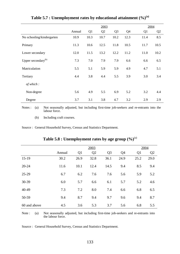|                                | 2003   |      |      |                |                | 2004           |                |  |
|--------------------------------|--------|------|------|----------------|----------------|----------------|----------------|--|
|                                | Annual | Q1   | Q2   | Q <sub>3</sub> | Q <sub>4</sub> | Q <sub>1</sub> | Q <sub>2</sub> |  |
| No schooling/kindergarten      | 10.9   | 10.3 | 10.7 | 10.2           | 12.3           | 11.4           | 8.5            |  |
| Primary                        | 11.3   | 10.6 | 12.5 | 11.8           | 10.5           | 11.7           | 10.5           |  |
| Lower secondary                | 12.0   | 11.5 | 13.2 | 12.2           | 11.2           | 11.0           | 10.2           |  |
| Upper secondary <sup>(b)</sup> | 7.3    | 7.0  | 7.9  | 7.9            | 6.6            | 6.6            | 6.5            |  |
| Matriculation                  | 5.5    | 5.1  | 5.9  | 5.9            | 4.9            | 4.7            | 5.1            |  |
| Tertiary                       | 4.4    | 3.8  | 4.4  | 5.5            | 3.9            | 3.0            | 3.4            |  |
| of which:                      |        |      |      |                |                |                |                |  |
| Non-degree                     | 5.6    | 4.9  | 5.5  | 6.9            | 5.2            | 3.2            | 4.4            |  |
| Degree                         | 3.7    | 3.1  | 3.8  | 4.7            | 3.2            | 2.9            | 2.9            |  |

**Table 5.7 : Unemployment rates by educational attainment (%)(a)**

Notes : (a) Not seasonally adjusted, but including first-time job-seekers and re-entrants into the labour force.

(b) Including craft courses.

Source : General Household Survey, Census and Statistics Department.

|              |        |                | 2003           |                |                |                | 2004           |
|--------------|--------|----------------|----------------|----------------|----------------|----------------|----------------|
|              | Annual | Q <sub>1</sub> | Q <sub>2</sub> | Q <sub>3</sub> | Q <sub>4</sub> | Q <sub>1</sub> | Q <sub>2</sub> |
| $15-19$      | 30.2   | 26.9           | 32.8           | 36.1           | 24.9           | 25.2           | 29.0           |
| $20 - 24$    | 11.6   | 10.1           | 12.4           | 14.5           | 9.4            | 8.5            | 9.4            |
| 25-29        | 6.7    | 6.2            | 7.6            | 7.6            | 5.6            | 5.9            | 5.2            |
| 30-39        | 6.0    | 5.7            | 6.6            | 6.1            | 5.7            | 5.2            | 4.6            |
| 40-49        | 7.3    | 7.2            | 8.0            | 7.4            | 6.6            | 6.8            | 6.5            |
| 50-59        | 9.4    | 8.7            | 9.4            | 9.7            | 9.6            | 9.4            | 8.7            |
| 60 and above | 4.5    | 3.6            | 5.3            | 3.7            | 5.6            | 6.8            | 5.5            |

**Table 5.8 : Unemployment rates by age group (%)**(a)

Note : (a) Not seasonally adjusted, but including first-time job-seekers and re-entrants into the labour force.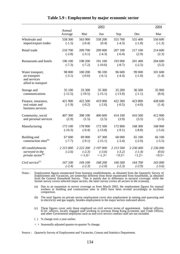|                     | 2004                                                                                                   |                                                                                                       |                                                                                                             |                                                                                                       |                                                                                                    |
|---------------------|--------------------------------------------------------------------------------------------------------|-------------------------------------------------------------------------------------------------------|-------------------------------------------------------------------------------------------------------------|-------------------------------------------------------------------------------------------------------|----------------------------------------------------------------------------------------------------|
| Annual<br>Average   | Mar                                                                                                    | Jun                                                                                                   | Sep                                                                                                         | Dec                                                                                                   | Mar                                                                                                |
| 558 300             | 563 900                                                                                                | 558 200                                                                                               | 555 700                                                                                                     | 555 400                                                                                               | 556 600<br>$(-1.3)$                                                                                |
| 210 700             | 209 700                                                                                                | 209 000                                                                                               | 207 100                                                                                                     | 217 100                                                                                               | 214 600                                                                                            |
|                     |                                                                                                        |                                                                                                       |                                                                                                             |                                                                                                       | (2.3)                                                                                              |
| $(-7.3)$            | $(-7.2)$                                                                                               | $(-10.6)$                                                                                             | $(-8.7)$                                                                                                    | $(-2.5)$                                                                                              | 204 600<br>(3.2)                                                                                   |
| 98 000              | 100 200                                                                                                | 96 100                                                                                                | 96 600                                                                                                      | 99 000                                                                                                | 101 600<br>(1.4)                                                                                   |
|                     |                                                                                                        |                                                                                                       |                                                                                                             |                                                                                                       |                                                                                                    |
| 35 100<br>$(-12.5)$ | 33 300<br>$(-19.5)$                                                                                    | 35 300<br>$(-15.1)$                                                                                   | 35 200<br>$(-13.0)$                                                                                         | 36 500<br>$(-1.1)$                                                                                    | 35 900<br>(8.0)                                                                                    |
| 421 900             | 422 500                                                                                                | 419 000                                                                                               | 422 300                                                                                                     | 423 800                                                                                               | 428 600<br>(1.4)                                                                                   |
|                     |                                                                                                        |                                                                                                       |                                                                                                             |                                                                                                       |                                                                                                    |
| 407 300<br>(2.9)    | 398 100<br>(1.5)                                                                                       | 400 600<br>(2.5)                                                                                      | 414 100<br>(3.9)                                                                                            | 416 500<br>(3.5)                                                                                      | 412 000<br>(3.5)                                                                                   |
| 173 100             | 178 900                                                                                                | 172 500                                                                                               | 172 800                                                                                                     | 168 300                                                                                               | 168 900<br>$(-5.6)$                                                                                |
|                     |                                                                                                        |                                                                                                       |                                                                                                             |                                                                                                       | 66 100                                                                                             |
| $(-7.7)$            | $(-9.1)$                                                                                               | $(-15.1)$                                                                                             | $(-3.4)$                                                                                                    | $(-2.0)$                                                                                              | $(-5.5)$                                                                                           |
| 2 215 800           | 2 222 200                                                                                              | 2 197 000                                                                                             | 2 213 500                                                                                                   | 2 230 400                                                                                             | 2 236 000                                                                                          |
|                     | $\langle -1.6 \rangle$                                                                                 | $\langle -1.3 \rangle$                                                                                | <0.3>                                                                                                       | <1.2>                                                                                                 | (0.6)<br><0.5>                                                                                     |
| 167 100             | 169 100                                                                                                | 168 200                                                                                               | 166 500                                                                                                     | 164 700                                                                                               | 163 000<br>$(-3.6)$                                                                                |
|                     | $(-1.5)$<br>$(-2.8)$<br>196 100<br>$(-3.1)$<br>$(-1.9)$<br>$(-10.3)$<br>67 600<br>$(-2.6)$<br>$(-2.4)$ | $(-0.4)$<br>$(-3.1)$<br>198 200<br>$(-0.6)$<br>$(-0.2)$<br>$(-9.4)$<br>69 900<br>$(-2.3)$<br>$(-2.3)$ | 2003<br>(0.4)<br>$(-4.3)$<br>191 100<br>$(-6.1)$<br>$(-2.6)$<br>$(-13.8)$<br>67 300<br>$(-3.6)$<br>$(-2.0)$ | $(-4.3)$<br>$(-6.4)$<br>193 900<br>$(-4.4)$<br>$(-0.5)$<br>$(-9.1)$<br>68 000<br>$(-3.2)$<br>$(-2.3)$ | $(-1.8)$<br>(2.9)<br>201 400<br>$(-1.0)$<br>$(-4.0)$<br>$(-8.8)$<br>65 100<br>$(-1.4)$<br>$(-2.9)$ |

#### **Table 5.9 : Employment by major economic sector**

Notes : Employment figures enumerated from business establishments, as obtained from the Quarterly Survey of Employment and Vacancies, are somewhat different from those enumerated from households, as obtained from the General Household Survey. This is mainly due to difference in sectoral coverage: while the former survey covers selected major sectors, the latter survey covers all sectors in the economy.

(a) Due to an expansion in survey coverage as from March 2003, the employment figures for manual workers at building and construction sites in 2003 have been revised accordingly to facilitate comparison.

(b) The total figures on private sector employment cover also employment in mining and quarrying and in electricity and gas supply, besides employment in the major sectors indicated above.

- (c) These figures cover only those employed on civil service terms of appointment. Judicial officers, ICAC officers, locally engaged staff working in overseas Hong Kong Economic and Trade Offices, and other Government employees such as non-civil service contract staff are not included.
- ( ) % change over a year earlier.
- $\langle$  > Seasonally adjusted quarter-to-quarter % change.

Source : Quarterly Survey of Employment and Vacancies, Census and Statistics Department.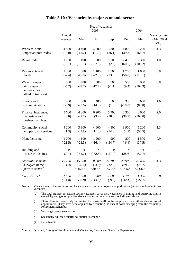|                                                                          |                    | No. of vacancies<br>2003          |                              |                           |                            | 2004                      |                                     |
|--------------------------------------------------------------------------|--------------------|-----------------------------------|------------------------------|---------------------------|----------------------------|---------------------------|-------------------------------------|
|                                                                          | Annual<br>average  | Mar                               | Jun                          | Sep                       | Dec                        | Mar                       | Vacancy rate<br>in Mar 2004<br>(% ) |
| Wholesale and<br>import/export trades                                    | 4 800<br>(10.0)    | 4 4 0 0<br>$(-12.2)$              | 4 9 0 0<br>$(-1.9)$          | 5 300<br>(26.1)           | 4 800<br>(39.8)            | 7 200<br>(64.7)           | 1.3                                 |
| Retail trade                                                             | 1700<br>$(-8.1)$   | 1 100<br>$(-35.1)$                | 1 500<br>$(-37.8)$           | 1700<br>(2.9)             | 2 4 0 0<br>(60.5)          | 2 300<br>(108.2)          | 1.0                                 |
| Restaurants and<br>hotels                                                | 1 300<br>$(-2.4)$  | 800<br>$(-47.0)$                  | 1 100<br>$(-22.3)$           | 1700<br>(23.3)            | 1700<br>(56.0)             | 1 800<br>(113.1)          | 0.8                                 |
| Water transport,<br>air transport<br>and services<br>allied to transport | 500<br>$(-5.7)$    | 400<br>$(-9.7)$                   | 500<br>$(-17.7)$             | 500<br>$(-1.1)$           | 500<br>(9.4)               | 900<br>(102.3)            | 0.8                                 |
| Storage and<br>communications                                            | 400<br>$(-6.9)$    | 300<br>$(-25.6)$                  | 400<br>(14.3)                | 500<br>(1.3)              | 300<br>$(-18.8)$           | 600<br>(83.8)             | 1.6                                 |
| Finance, insurance,<br>real estate and<br>business services              | 5 600<br>(8.0)     | 4 200<br>$(-22.1)$                | 6 200<br>(3.2)               | 5 700<br>(18.8)           | 6 300<br>(38.7)            | 8 600<br>(106.0)          | 2.0                                 |
| Community, social<br>and personal services                               | 4 200<br>(1.3)     | 3 300<br>$(-23.8)$                | 4 600<br>(11.0)              | 4 800<br>(14.6)           | 3 9 0 0<br>(4.9)           | 5 200<br>(56.5)           | 1.3                                 |
| Manufacturing                                                            | 1 000<br>$(-21.5)$ | 1 100<br>$(-23.5)$                | 1 200<br>$(-16.4)$           | 900<br>$(-34.7)$          | 800<br>$(-6.4)$            | 1500<br>(37.5)            | 0.9                                 |
| Building and<br>construction sites                                       | $\#$<br>$(-60.1)$  | $\#$<br>$(-81.7)$                 | $\#$<br>$(-52.6)$            | $\#$<br>$(-57.4)$         | $\#$<br>(28.6)             | $\#$<br>(57.7)            | 0.1                                 |
| All establishments<br>surveyed in the<br>private sector $^{(a)}$         | 19700<br>(1.4)     | 15 900<br>$(-23.4)$<br>$< -19.6>$ | 20 800<br>$(-4.9)$<br><30.5> | 21 100<br>(12.5)<br><7.8> | 20 900<br>(28.9)<br><14.0> | 28 400<br>(78.7)<br>11.6> | 1.3                                 |
| Civil service $^{(b)}$                                                   | 1500<br>$(-14.8)$  | 1600<br>$(-3.8)$                  | 1700<br>$(-13.5)$            | 1600<br>$(-9.9)$          | 1 200<br>$(-32.1)$         | 1300<br>$(-21.7)$         | 0.8                                 |

# **Table 5.10 : Vacancies by major economic sector**

Notes : Vacancy rate refers to the ratio of vacancies to total employment opportunities (actual employment plus vacancies).

(a) The total figures on private sector vacancies cover also vacancies in mining and quarrying and in electricity and gas supply, besides vacancies in the major sectors indicated above.

(b) These figures cover only vacancies for those staff to be employed on civil service terms of appointment. They have been adjusted by deducting the vacant posts emerging from the Voluntary Retirement Schemes.

- ( ) % change over a year earlier.
- < > Seasonally adjusted quarter-to-quarter % change.
- $(\#)$  Less than 50.

Source : Quarterly Survey of Employment and Vacancies, Census and Statistics Department.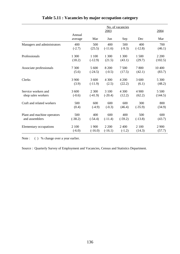|                             | No. of vacancies<br>2003 |           |           |           |           | 2004    |
|-----------------------------|--------------------------|-----------|-----------|-----------|-----------|---------|
|                             | Annual<br>average        | Mar       | Jun       | Sep       | Dec       | Mar     |
| Managers and administrators | 400                      | 500       | 400       | 500       | 400       | 700     |
|                             | $(-2.7)$                 | (25.5)    | $(-11.6)$ | $(-9.3)$  | $(-12.8)$ | (46.1)  |
| Professionals               | 1 300                    | 1 100     | 1 300     | 1 300     | 1500      | 2 2 0 0 |
|                             | (18.2)                   | $(-12.9)$ | (21.5)    | (43.1)    | (29.7)    | (102.5) |
| Associate professionals     | 7 300                    | 5 600     | 8 2 0 0   | 7500      | 7800      | 10 400  |
|                             | (5.6)                    | $(-24.5)$ | $(-0.5)$  | (17.5)    | (42.1)    | (83.7)  |
| Clerks                      | 3 900                    | 3 600     | 4 3 0 0   | 4 200     | 3 600     | 5 300   |
|                             | (3.9)                    | $(-11.9)$ | (2.5)     | (22.2)    | (6.1)     | (48.2)  |
| Service workers and         | 3 600                    | 2 300     | 3 100     | 4 3 0 0   | 4 9 0 0   | 5 500   |
| shop sales workers          | $(-0.6)$                 | $(-41.9)$ | $(-20.4)$ | (12.2)    | (62.2)    | (144.5) |
| Craft and related workers   | 500                      | 600       | 600       | 600       | 300       | 800     |
|                             | (0.4)                    | $(-4.9)$  | $(-0.3)$  | (46.4)    | $(-35.9)$ | (34.9)  |
| Plant and machine operators | 500                      | 400       | 600       | 400       | 500       | 600     |
| and assemblers              | $(-38.2)$                | $(-54.4)$ | $(-11.4)$ | $(-59.2)$ | $(-13.8)$ | (43.7)  |
| Elementary occupations      | 2 100                    | 1 900     | 2 2 0 0   | 2 400     | 2 100     | 2 9 0 0 |
|                             | $(-6.0)$                 | $(-16.0)$ | $(-16.1)$ | $(-1.2)$  | (14.3)    | (57.7)  |

# **Table 5.11 : Vacancies by major occupation category**

Note : ( ) % change over a year earlier.

Source : Quarterly Survey of Employment and Vacancies, Census and Statistics Department.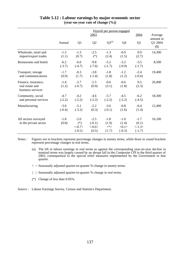|                                                             | Payroll per person engaged |                                         |                                             |                                      |                                        |                                        |                             |
|-------------------------------------------------------------|----------------------------|-----------------------------------------|---------------------------------------------|--------------------------------------|----------------------------------------|----------------------------------------|-----------------------------|
|                                                             |                            |                                         | 2003                                        |                                      |                                        | 2004                                   | Average                     |
|                                                             | Annual                     | Q <sub>1</sub>                          | Q2                                          | $Q3^{(a)}$                           | Q <sub>4</sub>                         | Q1                                     | amount in<br>Q1 2004<br>\$) |
| Wholesale, retail and<br>import/export trades               | $-1.5$<br>(1.1)            | $-1.3$<br>(0.7)                         | $-2.5$<br>$(*)$                             | $-1.3$<br>(2.4)                      | $-0.9$<br>(1.5)                        | 0.9<br>(2.7)                           | 14,300                      |
| Restaurants and hotels                                      | $-6.2$<br>$(-3.7)$         | $-6.6$<br>$(-4.7)$                      | $-9.8$<br>$(-7.6)$                          | $-5.2$<br>$(-1.7)$                   | $-3.2$<br>$(-0.9)$                     | $-3.5$<br>$(-1.7)$                     | 8,500                       |
| Transport, storage<br>and communications                    | $-1.7$<br>(0.9)            | $-0.3$<br>(1.7)                         | $-3.8$<br>$(-1.4)$                          | $-1.8$<br>(1.8)                      | $-1.2$<br>(1.2)                        | $-2.4$<br>$(-0.6)$                     | 19,400                      |
| Finance, insurance,<br>real estate and<br>business services | $-1.4$<br>(1.2)            | $-2.7$<br>$(-0.7)$                      | $-1.5$<br>(0.9)                             | $-0.6$<br>(3.1)                      | $-0.6$<br>(1.8)                        | 0.5<br>(2.3)                           | 20,400                      |
| Community, social<br>and personal services                  | $-4.7$<br>$(-2.2)$         | $-4.2$<br>$(-2.2)$                      | $-4.6$<br>$(-2.2)$                          | $-5.7$<br>$(-2.2)$                   | $-4.5$<br>$(-2.2)$                     | $-6.2$<br>$(-4.5)$                     | 18,300                      |
| Manufacturing                                               | $-3.0$<br>$(-0.4)$         | $-5.1$<br>$(-3.2)$                      | $-2.2$<br>(0.3)                             | $-3.6$<br>$(-0.1)$                   | $-0.8$<br>(1.6)                        | $-0.4$<br>(1.4)                        | 12,400                      |
| All sectors surveyed<br>in the private sector               | $-1.8$<br>(0.8)            | $-2.0$<br>$(*)$<br>< 0.7><br>$\{-0.5\}$ | $-2.5$<br>$(-0.1)$<br>$< -0.6 >$<br>${0.5}$ | $-1.8$<br>(1.9)<br>$<^*>$<br>${1.7}$ | $-1.0$<br>(1.4)<br><0.1><br>$\{-0.3\}$ | $-1.7$<br>(0.1)<br><1.3><br>$\{-1.7\}$ | 16,100                      |

### **Table 5.12 : Labour earnings by major economic sector (year-on-year rate of change (%))**

Notes : Figures not in brackets represent percentage changes in money terms, while those in round brackets represent percentage changes in real terms.

(a) The lift in labour earnings in real terms as against the corresponding year-on-year decline in nominal terms was largely caused by an abrupt fall in the Composite CPI in the third quarter of 2003, consequential to the special relief measures implemented by the Government in that quarter.

- < > Seasonally adjusted quarter-to-quarter % change in money terms.
- { } Seasonally adjusted quarter-to-quarter % change in real terms.
- (\*) Change of less than 0.05%.

Source : Labour Earnings Survey, Census and Statistics Department.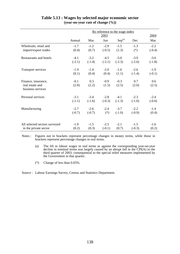|                                      |          |          |          | By reference to the wage index |          |          |
|--------------------------------------|----------|----------|----------|--------------------------------|----------|----------|
|                                      |          |          | 2003     |                                |          | 2004     |
|                                      | Annual   | Mar      | Jun      | Sep <sup>(a)</sup>             | Dec      | Mar      |
| Wholesale, retail and                | $-1.7$   | $-1.2$   | $-2.9$   | $-1.5$                         | $-1.3$   | $-2.2$   |
| import/export trades                 | (0.4)    | (0.7)    | $(-0.5)$ | (1.3)                          | $(*)$    | $(-0.4)$ |
| Restaurants and hotels               | $-4.1$   | $-3.2$   | $-4.5$   | $-5.0$                         | $-3.9$   | $-3.6$   |
|                                      | $(-2.1)$ | $(-1.4)$ | $(-2.1)$ | $(-2.3)$                       | $(-2.6)$ | $(-1.8)$ |
| Transport services                   | $-1.9$   | $-1.4$   | $-2.0$   | $-1.6$                         | $-2.6$   | $-1.9$   |
|                                      | (0.1)    | (0.4)    | (0.4)    | (1.1)                          | $(-1.4)$ | $(-0.1)$ |
| Finance, insurance,                  | $-0.1$   | 0.3      | $-0.9$   | $-0.3$                         | 0.7      | 0.6      |
| real estate and<br>business services | (2.0)    | (2.2)    | (1.5)    | (2.5)                          | (2.0)    | (2.5)    |
| Personal services                    | $-3.1$   | $-3.4$   | $-2.8$   | $-4.1$                         | $-2.3$   | $-2.4$   |
|                                      | $(-1.1)$ | $(-1.6)$ | $(-0.3)$ | $(-1.3)$                       | $(-1.0)$ | $(-0.6)$ |
| Manufacturing                        | $-2.7$   | $-2.6$   | $-2.4$   | $-3.7$                         | $-2.2$   | $-1.4$   |
|                                      | $(-0.7)$ | $(-0.7)$ | $(*)$    | $(-1.0)$                       | $(-0.9)$ | (0.4)    |
| All selected sectors surveyed        | $-1.9$   | $-1.5$   | $-2.5$   | $-2.1$                         | $-1.5$   | $-1.6$   |
| in the private sector                | (0.2)    | (0.3)    | $(-0.1)$ | (0.7)                          | $(-0.3)$ | (0.2)    |

### **Table 5.13 : Wages by selected major economic sector (year-on-year rate of change (%))**

Notes : Figures not in brackets represent percentage changes in money terms, while those in brackets represent percentage changes in real terms.

> (a) The lift in labour wages in real terms as against the corresponding year-on-year decline in nominal terms was largely caused by an abrupt fall in the CPI(A) in the third quarter of 2003, consequential to the special relief measures implemented by the Government in that quarter.

(\*) Change of less than 0.05%.

Source : Labour Earnings Survey, Census and Statistics Department.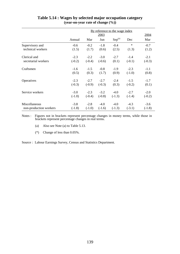|                        | By reference to the wage index |          |          |                    |          |          |
|------------------------|--------------------------------|----------|----------|--------------------|----------|----------|
|                        |                                |          | 2003     |                    |          | 2004     |
|                        | Annual                         | Mar      | Jun      | Sep <sup>(a)</sup> | Dec      | Mar      |
| Supervisory and        | $-0.6$                         | $-0.2$   | $-1.8$   | $-0.4$             | $\ast$   | $-0.7$   |
| technical workers      | (1.5)                          | (1.7)    | (0.6)    | (2.5)              | (1.3)    | (1.2)    |
| Clerical and           | $-2.3$                         | $-2.2$   | $-3.0$   | $-2.7$             | $-1.4$   | $-2.1$   |
| secretarial workers    | $(-0.2)$                       | $(-0.4)$ | $(-0.6)$ | (0.1)              | $(-0.1)$ | $(-0.3)$ |
| Craftsmen              | $-1.6$                         | $-1.5$   | $-0.8$   | $-1.9$             | $-2.3$   | $-1.1$   |
|                        | (0.5)                          | (0.3)    | (1.7)    | (0.9)              | $(-1.0)$ | (0.8)    |
| Operatives             | $-2.3$                         | $-2.7$   | $-2.7$   | $-2.4$             | $-1.5$   | $-1.7$   |
|                        | $(-0.3)$                       | $(-0.9)$ | $(-0.3)$ | (0.3)              | $(-0.2)$ | (0.1)    |
| Service workers        | $-3.0$                         | $-2.3$   | $-3.2$   | $-4.0$             | $-2.7$   | $-2.0$   |
|                        | $(-1.0)$                       | $(-0.4)$ | $(-0.8)$ | $(-1.3)$           | $(-1.4)$ | $(-0.2)$ |
| Miscellaneous          | $-3.8$                         | $-2.8$   | $-4.0$   | $-4.0$             | $-4.3$   | $-3.6$   |
| non-production workers | $(-1.8)$                       | $(-1.0)$ | $(-1.6)$ | $(-1.3)$           | $(-3.1)$ | $(-1.8)$ |

# **Table 5.14 : Wages by selected major occupation category (year-on-year rate of change (%))**

Notes : Figures not in brackets represent percentage changes in money terms, while those in brackets represent percentage changes in real terms.

- (a) Also see Note (a) to Table 5.13.
- (\*) Change of less than 0.05%.

Source : Labour Earnings Survey, Census and Statistics Department.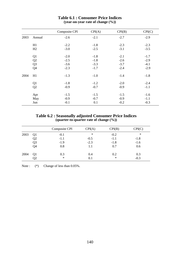|      |                | Composite CPI | CPI(A) | CPI(B) | CPI(C) |
|------|----------------|---------------|--------|--------|--------|
| 2003 | Annual         | $-2.6$        | $-2.1$ | $-2.7$ | $-2.9$ |
|      | H1             | $-2.2$        | $-1.8$ | $-2.3$ | $-2.3$ |
|      | H2             | $-3.0$        | $-2.5$ | $-3.1$ | $-3.5$ |
|      | Q <sub>1</sub> | $-2.0$        | $-1.8$ | $-2.1$ | $-1.7$ |
|      | Q2             | $-2.5$        | $-1.8$ | $-2.6$ | $-2.9$ |
|      | Q <sub>3</sub> | $-3.6$        | $-3.3$ | $-3.7$ | $-4.1$ |
|      | Q <sub>4</sub> | $-2.3$        | $-1.7$ | $-2.4$ | $-2.9$ |
| 2004 | H1             | $-1.3$        | $-1.0$ | $-1.4$ | $-1.8$ |
|      | Q <sub>1</sub> | $-1.8$        | $-1.2$ | $-2.0$ | $-2.4$ |
|      | Q2             | $-0.9$        | $-0.7$ | $-0.9$ | $-1.1$ |
|      | Apr            | $-1.5$        | $-1.5$ | $-1.5$ | $-1.6$ |
|      | May            | $-0.9$        | $-0.7$ | $-0.9$ | $-1.1$ |
|      | Jun            | $-0.1$        | 0.1    | $-0.2$ | $-0.3$ |

### **Table 6.1 : Consumer Price Indices (year-on-year rate of change (%))**

**Table 6.2 : Seasonally adjusted Consumer Price Indices (quarter-to-quarter rate of change (%))**

|      |                | Composite CPI | CPI(A) | CPI(B) | CPI(C) |
|------|----------------|---------------|--------|--------|--------|
| 2003 | Q1             | $-0.1$        | ∗      | $-0.2$ | $\ast$ |
|      | Q <sub>2</sub> | $-1.1$        | $-0.5$ | $-1.1$ | $-1.8$ |
|      | Q3             | $-1.9$        | $-2.3$ | $-1.8$ | $-1.6$ |
|      | Q4             | 0.8           | 1.1    | 0.7    | 0.6    |
| 2004 | Q1             | 0.3           | 0.4    | 0.2    | 0.3    |
|      | Q2             | $\ast$        | 0.1    | $\ast$ | $-0.3$ |

Note :  $(*)$  Change of less than 0.05%.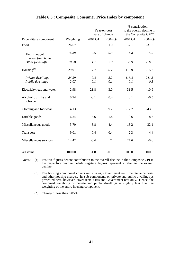|                                 |           |         | Year-on-year<br>rate of change |         | % contribution<br>to the overall decline in<br>the Composite CPI <sup>(a)</sup> |
|---------------------------------|-----------|---------|--------------------------------|---------|---------------------------------------------------------------------------------|
| Expenditure component           | Weighting | 2004 Q1 | 2004 Q2                        | 2004 Q1 | 2004 Q2                                                                         |
| Food                            | 26.67     | 0.1     | 1.0                            | $-2.1$  | $-31.8$                                                                         |
| Meals bought<br>away from home  | 16.39     | $-0.5$  | 0.3                            | 4.8     | $-5.2$                                                                          |
| Other foodstuffs                | 10.28     | 1.1     | 2.3                            | $-6.9$  | $-26.6$                                                                         |
| Housing <sup>(b)</sup>          | 29.91     | $-7.7$  | $-6.7$                         | 118.9   | 215.2                                                                           |
| Private dwellings               | 24.59     | $-9.3$  | $-8.2$                         | 116.3   | 211.3                                                                           |
| Public dwellings                | 2.07      | 0.1     | 0.1                            | $-0.1$  | $-0.3$                                                                          |
| Electricity, gas and water      | 2.98      | 21.8    | 3.0                            | $-31.5$ | $-10.9$                                                                         |
| Alcoholic drinks and<br>tobacco | 0.94      | $-0.1$  | 0.4                            | 0.1     | $-0.5$                                                                          |
| Clothing and footwear           | 4.13      | 6.1     | 9.2                            | $-12.7$ | $-43.6$                                                                         |
| Durable goods                   | 6.24      | $-3.6$  | $-1.4$                         | 10.6    | 8.7                                                                             |
| Miscellaneous goods             | 5.70      | 3.8     | 4.4                            | $-13.2$ | $-32.1$                                                                         |
| Transport                       | 9.01      | $-0.4$  | 0.4                            | 2.3     | $-4.4$                                                                          |
| Miscellaneous services          | 14.42     | $-3.4$  | $\ast$                         | 27.6    | $-0.6$                                                                          |
| All items                       | 100.00    | $-1.8$  | $-0.9$                         | 100.0   | 100.0                                                                           |

## **Table 6.3 : Composite Consumer Price Index by component**

Notes : (a) Positive figures denote contribution to the overall decline in the Composite CPI in the respective quarters, while negative figures represent a relief to the overall decline.

(b) The housing component covers rents, rates, Government rent, maintenance costs and other housing charges. Its sub-components on private and public dwellings as presented here, however, cover rents, rates and Government rent only. Hence, the combined weighting of private and public dwellings is slightly less than the weighting of the entire housing component.

(\*) Change of less than 0.05%.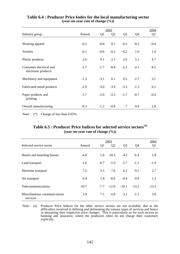|                                                |        | 2004           |                |                |                |        |
|------------------------------------------------|--------|----------------|----------------|----------------|----------------|--------|
| Industry group                                 | Annual | Q <sub>1</sub> | Q <sub>2</sub> | Q <sub>3</sub> | Q <sub>4</sub> | Q1     |
| Wearing apparel                                | $-0.2$ | $-0.8$         | 0.1            | 0.2            | $-0.2$         | $-0.4$ |
| <b>Textiles</b>                                | $-0.1$ | $-0.6$         | $-0.5$         | $-0.2$         | 1.0            | 1.4    |
| Plastic products                               | 2.6    | 0.1            | 2.5            | 2.6            | 5.1            | 4.7    |
| Consumer electrical and<br>electronic products | $-1.7$ | $-1.7$         | $-0.8$         | $-2.3$         | $-2.1$         | $-4.5$ |
| Machinery and equipment                        | $-1.3$ | $-3.1$         | 0.1            | 0.5            | $-2.7$         | 3.1    |
| Fabricated metal products                      | $-2.9$ | $-3.0$         | $-3.9$         | $-3.3$         | $-1.3$         | 0.2    |
| Paper products and<br>printing                 | $-1.7$ | $-2.0$         | $-2.3$         | $-1.7$         | $-0.7$         | $-0.4$ |
| Overall manufacturing                          | $-0.3$ | $-1.2$         | $-0.9$         | $\ast$         | 0.9            | 2.8    |

#### **Table 6.4 : Producer Price Index for the local manufacturing sector (year-on-year rate of change (%))**

Note :  $(*)$  Change of less than 0.05%.

## **Table 6.5 : Producer Price Indices for selected service sectors(a) (year-on-year rate of change (%))**

|                                          |         | 2004           |                |                |         |                |
|------------------------------------------|---------|----------------|----------------|----------------|---------|----------------|
| Selected service sector                  | Annual  | Q <sub>1</sub> | Q <sub>2</sub> | Q <sub>3</sub> | Q4      | Q <sub>1</sub> |
| Hotels and boarding houses               | $-4.9$  | 1.6            | $-10.5$        | $-4.2$         | $-6.3$  | 2.8            |
| Land transport                           | $-1.6$  | $-0.7$         | $-1.9$         | $-2.7$         | $-1.1$  | $-1.9$         |
| Maritime transport                       | 7.2     | 5.5            | 7.6            | 6.2            | 9.5     | 2.7            |
| Air transport                            | 0.4     | 1.8            | $-0.6$         | $-0.4$         | 0.9     | 1.2            |
| Telecommunications                       | $-10.7$ | $-7.7$         | $-12.0$        | $-10.1$        | $-13.2$ | $-13.2$        |
| Miscellaneous communications<br>services | 3.9     | 7.1            | 6.9            | 3.1            | $-1.1$  | 3.0            |

Note : (a) Producer Price Indices for the other service sectors are not available, due to the difficulties involved in defining and delineating the various types of services and hence in measuring their respective price changes. This is particularly so for such sectors as banking and insurance, where the producers often do not charge their customers explicitly.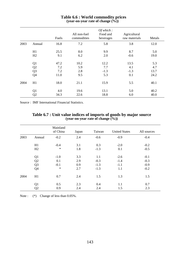|      |                | Fuels | All non-fuel<br>commodities | Of which:<br>Food and<br>beverages | Agricultural<br>raw materials | Metals |
|------|----------------|-------|-----------------------------|------------------------------------|-------------------------------|--------|
| 2003 | Annual         | 16.8  | 7.2                         | 5.8                                | 3.8                           | 12.0   |
|      | H1             | 25.5  | 8.0                         | 9.9                                | 8.7                           | 5.0    |
|      | H2             | 9.1   | 6.2                         | 2.0                                | $-0.6$                        | 19.0   |
|      | Q <sub>1</sub> | 47.2  | 10.2                        | 12.2                               | 13.5                          | 5.3    |
|      | Q2             | 7.2   | 5.9                         | 7.7                                | 4.1                           | 4.7    |
|      | Q <sub>3</sub> | 7.2   | 2.8                         | $-1.3$                             | $-1.3$                        | 13.7   |
|      | Q4             | 11.0  | 9.5                         | 5.3                                | 0.1                           | 24.2   |
| 2004 | H1             | 18.0  | 21.1                        | 15.9                               | 5.5                           | 40.1   |
|      | Q <sub>1</sub> | 4.0   | 19.6                        | 13.1                               | 5.0                           | 40.2   |
|      | Q <sub>2</sub> | 34.3  | 22.6                        | 18.8                               | 6.0                           | 40.0   |

#### **Table 6.6 : World commodity prices (year-on-year rate of change (%))**

Source : IMF International Financial Statistics.

|      |                | Mainland<br>of China | Japan | Taiwan | <b>United States</b> | All sources |
|------|----------------|----------------------|-------|--------|----------------------|-------------|
| 2003 | Annual         | $-0.2$               | 2.4   | $-0.6$ | $-0.9$               | $-0.4$      |
|      | H1             | $-0.4$               | 3.1   | 0.3    | $-2.0$               | $-0.2$      |
|      | H2             | $\ast$               | 1.8   | $-1.3$ | 0.1                  | $-0.5$      |
|      | Q <sub>1</sub> | $-1.0$               | 3.3   | 1.1    | $-2.6$               | $-0.1$      |
|      | Q2             | 0.1                  | 2.9   | $-0.3$ | $-1.4$               | $-0.3$      |
|      | Q <sub>3</sub> | $-0.1$               | 0.9   | $-1.3$ | $-1.1$               | $-0.9$      |
|      | Q4             | $\ast$               | 2.7   | $-1.3$ | 1.1                  | $-0.2$      |
| 2004 | H1             | 0.7                  | 2.4   | 1.5    | 1.3                  | 1.5         |
|      | Q <sub>1</sub> | 0.5                  | 2.3   | 0.4    | 1.1                  | 0.7         |
|      | Q2             | 0.9                  | 2.4   | 2.4    | 1.5                  | 2.3         |

**Table 6.7 : Unit value indices of imports of goods by major source (year-on-year rate of change (%))**

Note :  $(*)$  Change of less than 0.05%.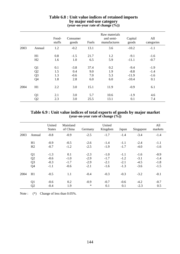|      |                | Food-<br>stuffs | Consumer<br>goods | Fuels | Raw materials<br>and semi-<br>manufactures | Capital<br>goods | All<br>categories |
|------|----------------|-----------------|-------------------|-------|--------------------------------------------|------------------|-------------------|
| 2003 | Annual         | 1.2             | $-0.2$            | 13.1  | 3.6                                        | $-10.2$          | $-1.1$            |
|      | H1             | 0.8             | $-1.5$            | 21.7  | 1.2                                        | $-9.1$           | $-1.6$            |
|      | H2             | 1.6             | 1.0               | 6.5   | 5.9                                        | $-11.1$          | $-0.7$            |
|      | Q1             | 0.1             | $-3.8$            | 37.4  | 0.2                                        | $-9.4$           | $-1.9$            |
|      | Q2             | 1.5             | 0.4               | 9.0   | 1.9                                        | $-8.8$           | $-1.4$            |
|      | Q <sub>3</sub> | 1.3             | $-0.6$            | 7.0   | 5.3                                        | $-11.9$          | $-1.6$            |
|      | Q4             | 1.8             | 2.8               | 6.0   | 6.0                                        | $-10.4$          | 0.1               |
| 2004 | H1             | 2.2             | 3.0               | 15.1  | 11.9                                       | $-0.9$           | 6.1               |
|      | Q <sub>1</sub> | 2.1             | 3.0               | 5.7   | 10.6                                       | $-1.9$           | 4.6               |
|      | Q2             | 2.3             | 3.0               | 25.5  | 13.1                                       | 0.1              | 7.4               |

#### **Table 6.8 : Unit value indices of retained imports by major end-use category (year-on-year rate of change (%))**

### **Table 6.9 : Unit value indices of total exports of goods by major market (year-on-year rate of change (%))**

|      |                | United<br><b>States</b> | Mainland<br>of China | Germany | United<br>Kingdom | Japan  | Singapore | All<br>markets |
|------|----------------|-------------------------|----------------------|---------|-------------------|--------|-----------|----------------|
| 2003 | Annual         | $-0.8$                  | $-0.9$               | $-2.5$  | $-1.7$            | $-1.4$ | $-3.4$    | $-1.4$         |
|      | H1             | $-0.9$                  | $-0.5$               | $-2.6$  | $-1.4$            | $-1.1$ | $-2.4$    | $-1.1$         |
|      | H2             | $-0.7$                  | $-1.2$               | $-2.5$  | $-1.9$            | $-1.7$ | $-4.0$    | $-1.6$         |
|      | Q <sub>1</sub> | $-1.3$                  | 0.1                  | $-2.3$  | $-1.0$            | $-1.1$ | $-1.6$    | $-0.9$         |
|      | Q <sub>2</sub> | $-0.6$                  | $-1.0$               | $-2.9$  | $-1.7$            | $-1.2$ | $-3.1$    | $-1.4$         |
|      | Q <sub>3</sub> | $-0.3$                  | $-1.7$               | $-2.9$  | $-2.1$            | $-2.1$ | $-4.5$    | $-1.8$         |
|      | Q <sub>4</sub> | $-1.1$                  | $-0.6$               | $-2.1$  | $-1.6$            | $-1.3$ | $-3.6$    | $-1.5$         |
| 2004 | H1             | $-0.5$                  | 1.1                  | $-0.4$  | $-0.3$            | $-0.3$ | $-3.2$    | $-0.1$         |
|      | Q <sub>1</sub> | $-0.6$                  | 0.2                  | $-0.9$  | $-0.7$            | $-0.6$ | $-4.2$    | $-0.7$         |
|      | Q <sub>2</sub> | $-0.4$                  | 1.9                  | $\ast$  | 0.1               | 0.1    | $-2.3$    | 0.5            |

Note :  $(*)$  Change of less than 0.05%.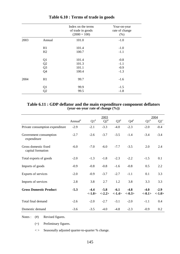|      |                | Index on the terms<br>of trade in goods<br>$(2000 = 100)$ | Year-on-year<br>rate of change<br>(% ) |
|------|----------------|-----------------------------------------------------------|----------------------------------------|
| 2003 | Annual         | 101.0                                                     | $-1.0$                                 |
|      | H1             | 101.4                                                     | $-1.0$                                 |
|      | H2             | 100.7                                                     | $-1.1$                                 |
|      | Q1             | 101.4                                                     | $-0.8$                                 |
|      | Q2             | 101.3                                                     | $-1.1$                                 |
|      | Q <sub>3</sub> | 101.1                                                     | $-0.9$                                 |
|      | Q <sub>4</sub> | 100.4                                                     | $-1.3$                                 |
| 2004 | H1             | 99.7                                                      | $-1.6$                                 |
|      | Q1             | 99.9                                                      | $-1.5$                                 |
|      | Q <sub>2</sub> | 99.5                                                      | $-1.8$                                 |

# **Table 6.10 : Terms of trade in goods**

#### **Table 6.11 : GDP deflator and the main expenditure component deflators (year-on-year rate of change (%))**

|                                           | 2003                |                    |                    |                     | 2004               |                    |                     |
|-------------------------------------------|---------------------|--------------------|--------------------|---------------------|--------------------|--------------------|---------------------|
|                                           | Annual <sup>#</sup> | $Q1^*$             | $Q2^{\#}$          | $Q3^{\#}$           | $Q4^{\#}$          | $Q1^*$             | ${\bf Q2}^+$        |
| Private consumption expenditure           | $-2.9$              | $-2.1$             | $-3.3$             | $-4.0$              | $-2.3$             | $-2.0$             | $-0.4$              |
| Government consumption<br>expenditure     | $-2.7$              | $-2.6$             | $-3.7$             | $-3.5$              | $-1.4$             | $-3.4$             | $-3.4$              |
| Gross domestic fixed<br>capital formation | $-6.0$              | $-7.0$             | $-6.0$             | $-7.7$              | $-3.5$             | 2.0                | 2.4                 |
| Total exports of goods                    | $-2.0$              | $-1.3$             | $-1.8$             | $-2.3$              | $-2.2$             | $-1.5$             | 0.1                 |
| Imports of goods                          | $-0.9$              | $-0.8$             | $-0.8$             | $-1.6$              | $-0.8$             | 0.5                | 2.2                 |
| Exports of services                       | $-2.0$              | $-0.9$             | $-3.7$             | $-2.7$              | $-1.1$             | 0.1                | 3.3                 |
| Imports of services                       | 2.8                 | 3.8                | 2.7                | 1.2                 | 3.8                | 3.3                | 3.3                 |
| <b>Gross Domestic Product</b>             | $-5.3$              | $-4.4$<br>$<-1.0>$ | $-5.8$<br>$<-2.2>$ | $-6.1$<br>$< -1.4>$ | $-4.8$<br>$<-0.3>$ | $-4.0$<br>$<-0.1>$ | $-2.9$<br>$< -1.0>$ |
| Total final demand                        | $-2.6$              | $-2.0$             | $-2.7$             | $-3.1$              | $-2.0$             | $-1.1$             | 0.4                 |
| Domestic demand                           | $-3.6$              | $-3.5$             | $-4.0$             | $-4.8$              | $-2.3$             | $-0.9$             | 0.2                 |

Notes : (#) Revised figures.

(+) Preliminary figures.

< > Seasonally adjusted quarter-to-quarter % change.